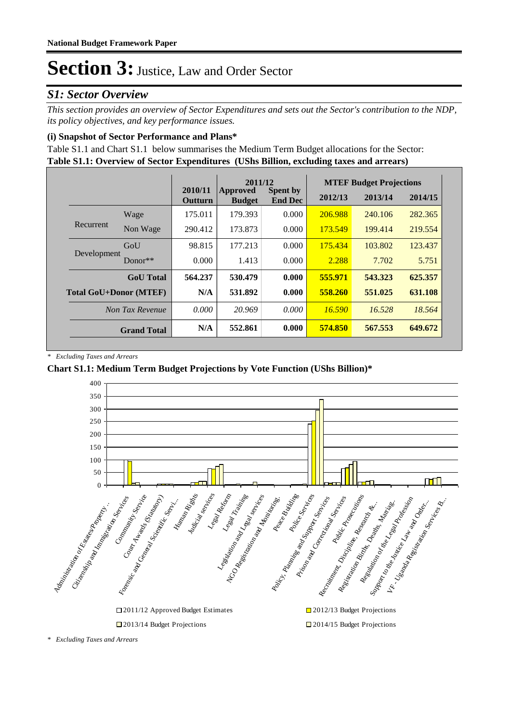#### *S1: Sector Overview*

*This section provides an overview of Sector Expenditures and sets out the Sector's contribution to the NDP, its policy objectives, and key performance issues.* 

#### **(i) Snapshot of Sector Performance and Plans\***

**Table S1.1: Overview of Sector Expenditures (UShs Billion, excluding taxes and arrears)** Table S1.1 and Chart S1.1 below summarises the Medium Term Budget allocations for the Sector:

|                               |                    | 2011/12            |                           | <b>MTEF Budget Projections</b>    |         |         |         |
|-------------------------------|--------------------|--------------------|---------------------------|-----------------------------------|---------|---------|---------|
|                               |                    | 2010/11<br>Outturn | Approved<br><b>Budget</b> | <b>Spent by</b><br><b>End Dec</b> | 2012/13 | 2013/14 | 2014/15 |
|                               | Wage               | 175.011            | 179.393                   | 0.000                             | 206.988 | 240.106 | 282.365 |
| Recurrent                     | Non Wage           | 290.412            | 173.873                   | 0.000                             | 173.549 | 199.414 | 219.554 |
|                               | GoU                | 98.815             | 177.213                   | 0.000                             | 175.434 | 103.802 | 123.437 |
| Development                   | $Donor**$          | 0.000              | 1.413                     | 0.000                             | 2.288   | 7.702   | 5.751   |
|                               | <b>GoU</b> Total   | 564.237            | 530.479                   | 0.000                             | 555.971 | 543.323 | 625.357 |
| <b>Total GoU+Donor (MTEF)</b> |                    | N/A                | 531.892                   | 0.000                             | 558.260 | 551.025 | 631.108 |
|                               | Non Tax Revenue    | 0.000              | 20.969                    | 0.000                             | 16.590  | 16.528  | 18.564  |
|                               | <b>Grand Total</b> | N/A                | 552.861                   | 0.000                             | 574.850 | 567.553 | 649.672 |

*\* Excluding Taxes and Arrears*

#### **Chart S1.1: Medium Term Budget Projections by Vote Function (UShs Billion)\***



*<sup>\*</sup> Excluding Taxes and Arrears*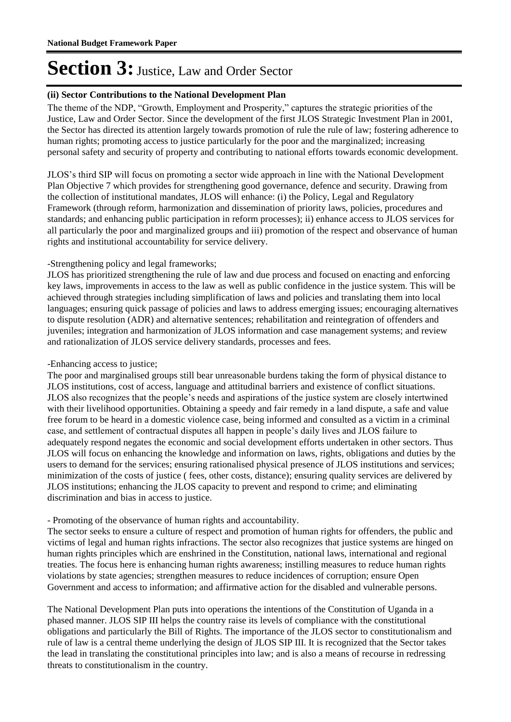#### **(ii) Sector Contributions to the National Development Plan**

The theme of the NDP, "Growth, Employment and Prosperity," captures the strategic priorities of the Justice, Law and Order Sector. Since the development of the first JLOS Strategic Investment Plan in 2001, the Sector has directed its attention largely towards promotion of rule the rule of law; fostering adherence to human rights; promoting access to justice particularly for the poor and the marginalized; increasing personal safety and security of property and contributing to national efforts towards economic development.

JLOS"s third SIP will focus on promoting a sector wide approach in line with the National Development Plan Objective 7 which provides for strengthening good governance, defence and security. Drawing from the collection of institutional mandates, JLOS will enhance: (i) the Policy, Legal and Regulatory Framework (through reform, harmonization and dissemination of priority laws, policies, procedures and standards; and enhancing public participation in reform processes); ii) enhance access to JLOS services for all particularly the poor and marginalized groups and iii) promotion of the respect and observance of human rights and institutional accountability for service delivery.

#### -Strengthening policy and legal frameworks;

JLOS has prioritized strengthening the rule of law and due process and focused on enacting and enforcing key laws, improvements in access to the law as well as public confidence in the justice system. This will be achieved through strategies including simplification of laws and policies and translating them into local languages; ensuring quick passage of policies and laws to address emerging issues; encouraging alternatives to dispute resolution (ADR) and alternative sentences; rehabilitation and reintegration of offenders and juveniles; integration and harmonization of JLOS information and case management systems; and review and rationalization of JLOS service delivery standards, processes and fees.

#### -Enhancing access to justice;

The poor and marginalised groups still bear unreasonable burdens taking the form of physical distance to JLOS institutions, cost of access, language and attitudinal barriers and existence of conflict situations. JLOS also recognizes that the people"s needs and aspirations of the justice system are closely intertwined with their livelihood opportunities. Obtaining a speedy and fair remedy in a land dispute, a safe and value free forum to be heard in a domestic violence case, being informed and consulted as a victim in a criminal case, and settlement of contractual disputes all happen in people"s daily lives and JLOS failure to adequately respond negates the economic and social development efforts undertaken in other sectors. Thus JLOS will focus on enhancing the knowledge and information on laws, rights, obligations and duties by the users to demand for the services; ensuring rationalised physical presence of JLOS institutions and services; minimization of the costs of justice ( fees, other costs, distance); ensuring quality services are delivered by JLOS institutions; enhancing the JLOS capacity to prevent and respond to crime; and eliminating discrimination and bias in access to justice.

#### - Promoting of the observance of human rights and accountability.

The sector seeks to ensure a culture of respect and promotion of human rights for offenders, the public and victims of legal and human rights infractions. The sector also recognizes that justice systems are hinged on human rights principles which are enshrined in the Constitution, national laws, international and regional treaties. The focus here is enhancing human rights awareness; instilling measures to reduce human rights violations by state agencies; strengthen measures to reduce incidences of corruption; ensure Open Government and access to information; and affirmative action for the disabled and vulnerable persons.

The National Development Plan puts into operations the intentions of the Constitution of Uganda in a phased manner. JLOS SIP III helps the country raise its levels of compliance with the constitutional obligations and particularly the Bill of Rights. The importance of the JLOS sector to constitutionalism and rule of law is a central theme underlying the design of JLOS SIP III. It is recognized that the Sector takes the lead in translating the constitutional principles into law; and is also a means of recourse in redressing threats to constitutionalism in the country.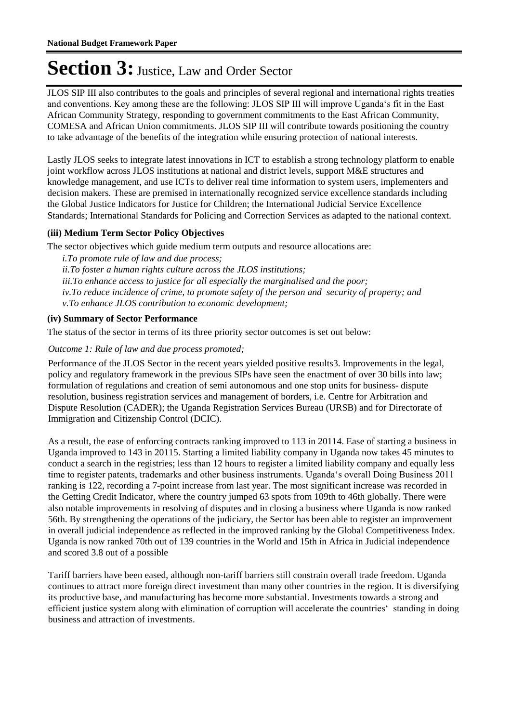JLOS SIP III also contributes to the goals and principles of several regional and international rights treaties and conventions. Key among these are the following: JLOS SIP III will improve Uganda"s fit in the East African Community Strategy, responding to government commitments to the East African Community, COMESA and African Union commitments. JLOS SIP III will contribute towards positioning the country to take advantage of the benefits of the integration while ensuring protection of national interests.

Lastly JLOS seeks to integrate latest innovations in ICT to establish a strong technology platform to enable joint workflow across JLOS institutions at national and district levels, support M&E structures and knowledge management, and use ICTs to deliver real time information to system users, implementers and decision makers. These are premised in internationally recognized service excellence standards including the Global Justice Indicators for Justice for Children; the International Judicial Service Excellence Standards; International Standards for Policing and Correction Services as adapted to the national context.

#### **(iii) Medium Term Sector Policy Objectives**

The sector objectives which guide medium term outputs and resource allocations are:

*i.To promote rule of law and due process; ii.To foster a human rights culture across the JLOS institutions; iii.To enhance access to justice for all especially the marginalised and the poor; iv.To reduce incidence of crime, to promote safety of the person and security of property; and v.To enhance JLOS contribution to economic development;*

#### **(iv) Summary of Sector Performance**

The status of the sector in terms of its three priority sector outcomes is set out below:

#### Outcome 1: Rule of law and due process promoted;

Performance of the JLOS Sector in the recent years yielded positive results3. Improvements in the legal, policy and regulatory framework in the previous SIPs have seen the enactment of over 30 bills into law; formulation of regulations and creation of semi autonomous and one stop units for business- dispute resolution, business registration services and management of borders, i.e. Centre for Arbitration and Dispute Resolution (CADER); the Uganda Registration Services Bureau (URSB) and for Directorate of Immigration and Citizenship Control (DCIC).

As a result, the ease of enforcing contracts ranking improved to 113 in 20114. Ease of starting a business in Uganda improved to 143 in 20115. Starting a limited liability company in Uganda now takes 45 minutes to conduct a search in the registries; less than 12 hours to register a limited liability company and equally less time to register patents, trademarks and other business instruments. Uganda"s overall Doing Business 2011 ranking is 122, recording a 7-point increase from last year. The most significant increase was recorded in the Getting Credit Indicator, where the country jumped 63 spots from 109th to 46th globally. There were also notable improvements in resolving of disputes and in closing a business where Uganda is now ranked 56th. By strengthening the operations of the judiciary, the Sector has been able to register an improvement in overall judicial independence as reflected in the improved ranking by the Global Competitiveness Index. Uganda is now ranked 70th out of 139 countries in the World and 15th in Africa in Judicial independence and scored 3.8 out of a possible

Tariff barriers have been eased, although non-tariff barriers still constrain overall trade freedom. Uganda continues to attract more foreign direct investment than many other countries in the region. It is diversifying its productive base, and manufacturing has become more substantial. Investments towards a strong and efficient justice system along with elimination of corruption will accelerate the countries" standing in doing business and attraction of investments.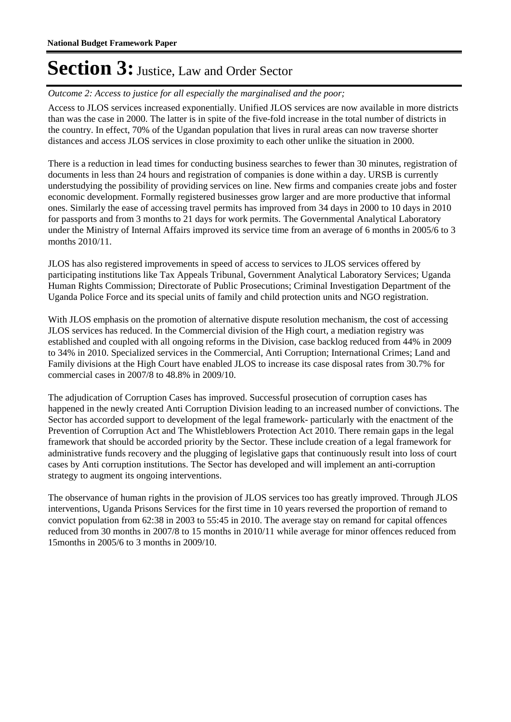Outcome 2: Access to justice for all especially the marginalised and the poor;

Access to JLOS services increased exponentially. Unified JLOS services are now available in more districts than was the case in 2000. The latter is in spite of the five-fold increase in the total number of districts in the country. In effect, 70% of the Ugandan population that lives in rural areas can now traverse shorter distances and access JLOS services in close proximity to each other unlike the situation in 2000.

There is a reduction in lead times for conducting business searches to fewer than 30 minutes, registration of documents in less than 24 hours and registration of companies is done within a day. URSB is currently understudying the possibility of providing services on line. New firms and companies create jobs and foster economic development. Formally registered businesses grow larger and are more productive that informal ones. Similarly the ease of accessing travel permits has improved from 34 days in 2000 to 10 days in 2010 for passports and from 3 months to 21 days for work permits. The Governmental Analytical Laboratory under the Ministry of Internal Affairs improved its service time from an average of 6 months in 2005/6 to 3 months 2010/11.

JLOS has also registered improvements in speed of access to services to JLOS services offered by participating institutions like Tax Appeals Tribunal, Government Analytical Laboratory Services; Uganda Human Rights Commission; Directorate of Public Prosecutions; Criminal Investigation Department of the Uganda Police Force and its special units of family and child protection units and NGO registration.

With JLOS emphasis on the promotion of alternative dispute resolution mechanism, the cost of accessing JLOS services has reduced. In the Commercial division of the High court, a mediation registry was established and coupled with all ongoing reforms in the Division, case backlog reduced from 44% in 2009 to 34% in 2010. Specialized services in the Commercial, Anti Corruption; International Crimes; Land and Family divisions at the High Court have enabled JLOS to increase its case disposal rates from 30.7% for commercial cases in 2007/8 to 48.8% in 2009/10.

The adjudication of Corruption Cases has improved. Successful prosecution of corruption cases has happened in the newly created Anti Corruption Division leading to an increased number of convictions. The Sector has accorded support to development of the legal framework- particularly with the enactment of the Prevention of Corruption Act and The Whistleblowers Protection Act 2010. There remain gaps in the legal framework that should be accorded priority by the Sector. These include creation of a legal framework for administrative funds recovery and the plugging of legislative gaps that continuously result into loss of court cases by Anti corruption institutions. The Sector has developed and will implement an anti-corruption strategy to augment its ongoing interventions.

The observance of human rights in the provision of JLOS services too has greatly improved. Through JLOS interventions, Uganda Prisons Services for the first time in 10 years reversed the proportion of remand to convict population from 62:38 in 2003 to 55:45 in 2010. The average stay on remand for capital offences reduced from 30 months in 2007/8 to 15 months in 2010/11 while average for minor offences reduced from 15months in 2005/6 to 3 months in 2009/10.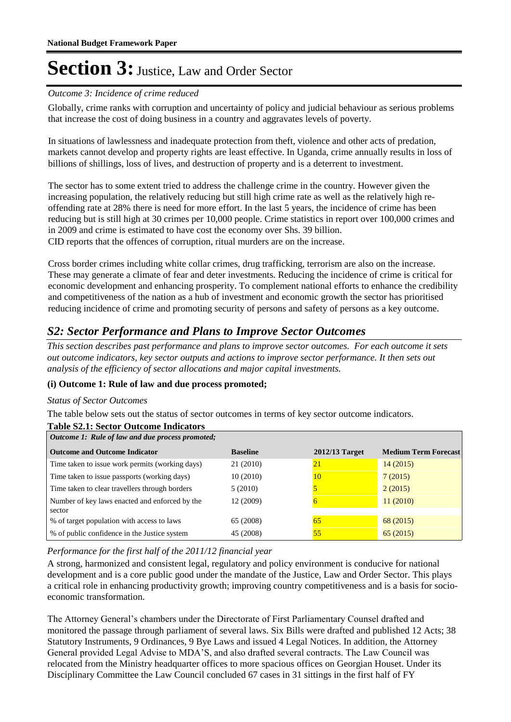#### Outcome 3: Incidence of crime reduced

Globally, crime ranks with corruption and uncertainty of policy and judicial behaviour as serious problems that increase the cost of doing business in a country and aggravates levels of poverty.

In situations of lawlessness and inadequate protection from theft, violence and other acts of predation, markets cannot develop and property rights are least effective. In Uganda, crime annually results in loss of billions of shillings, loss of lives, and destruction of property and is a deterrent to investment.

The sector has to some extent tried to address the challenge crime in the country. However given the increasing population, the relatively reducing but still high crime rate as well as the relatively high reoffending rate at 28% there is need for more effort. In the last 5 years, the incidence of crime has been reducing but is still high at 30 crimes per 10,000 people. Crime statistics in report over 100,000 crimes and in 2009 and crime is estimated to have cost the economy over Shs. 39 billion. CID reports that the offences of corruption, ritual murders are on the increase.

Cross border crimes including white collar crimes, drug trafficking, terrorism are also on the increase. These may generate a climate of fear and deter investments. Reducing the incidence of crime is critical for economic development and enhancing prosperity. To complement national efforts to enhance the credibility and competitiveness of the nation as a hub of investment and economic growth the sector has prioritised reducing incidence of crime and promoting security of persons and safety of persons as a key outcome.

#### *S2: Sector Performance and Plans to Improve Sector Outcomes*

*This section describes past performance and plans to improve sector outcomes. For each outcome it sets out outcome indicators, key sector outputs and actions to improve sector performance. It then sets out analysis of the efficiency of sector allocations and major capital investments.*

#### **(i) Outcome 1: Rule of law and due process promoted;**

#### *Status of Sector Outcomes*

The table below sets out the status of sector outcomes in terms of key sector outcome indicators.

#### **Table S2.1: Sector Outcome Indicators**

| Outcome 1: Rule of law and due process promoted;         |                 |                 |                             |  |  |  |
|----------------------------------------------------------|-----------------|-----------------|-----------------------------|--|--|--|
| <b>Outcome and Outcome Indicator</b>                     | <b>Baseline</b> | 2012/13 Target  | <b>Medium Term Forecast</b> |  |  |  |
| Time taken to issue work permits (working days)          | 21 (2010)       | $\overline{21}$ | 14(2015)                    |  |  |  |
| Time taken to issue passports (working days)             | 10(2010)        | 10              | 7(2015)                     |  |  |  |
| Time taken to clear travellers through borders           | 5(2010)         |                 | 2(2015)                     |  |  |  |
| Number of key laws enacted and enforced by the<br>sector | 12 (2009)       | 6               | 11(2010)                    |  |  |  |
| % of target population with access to laws               | 65 (2008)       | 65              | 68(2015)                    |  |  |  |
| % of public confidence in the Justice system             | 45 (2008)       | 55              | 65(2015)                    |  |  |  |

*Performance for the first half of the 2011/12 financial year*

A strong, harmonized and consistent legal, regulatory and policy environment is conducive for national development and is a core public good under the mandate of the Justice, Law and Order Sector. This plays a critical role in enhancing productivity growth; improving country competitiveness and is a basis for socioeconomic transformation.

The Attorney General"s chambers under the Directorate of First Parliamentary Counsel drafted and monitored the passage through parliament of several laws. Six Bills were drafted and published 12 Acts; 38 Statutory Instruments, 9 Ordinances, 9 Bye Laws and issued 4 Legal Notices. In addition, the Attorney General provided Legal Advise to MDA"S, and also drafted several contracts. The Law Council was relocated from the Ministry headquarter offices to more spacious offices on Georgian Houset. Under its Disciplinary Committee the Law Council concluded 67 cases in 31 sittings in the first half of FY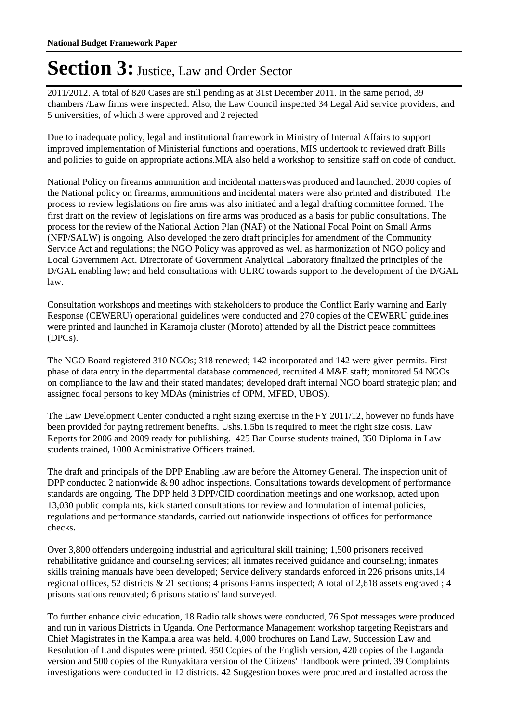2011/2012. A total of 820 Cases are still pending as at 31st December 2011. In the same period, 39 chambers /Law firms were inspected. Also, the Law Council inspected 34 Legal Aid service providers; and 5 universities, of which 3 were approved and 2 rejected

Due to inadequate policy, legal and institutional framework in Ministry of Internal Affairs to support improved implementation of Ministerial functions and operations, MIS undertook to reviewed draft Bills and policies to guide on appropriate actions. MIA also held a workshop to sensitize staff on code of conduct.

National Policy on firearms ammunition and incidental matterswas produced and launched. 2000 copies of the National policy on firearms, ammunitions and incidental maters were also printed and distributed. The process to review legislations on fire arms was also initiated and a legal drafting committee formed. The first draft on the review of legislations on fire arms was produced as a basis for public consultations. The process for the review of the National Action Plan (NAP) of the National Focal Point on Small Arms (NFP/SALW) is ongoing. Also developed the zero draft principles for amendment of the Community Service Act and regulations; the NGO Policy was approved as well as harmonization of NGO policy and Local Government Act. Directorate of Government Analytical Laboratory finalized the principles of the D/GAL enabling law; and held consultations with ULRC towards support to the development of the D/GAL law.

Consultation workshops and meetings with stakeholders to produce the Conflict Early warning and Early Response (CEWERU) operational guidelines were conducted and 270 copies of the CEWERU guidelines were printed and launched in Karamoja cluster (Moroto) attended by all the District peace committees (DPCs).

The NGO Board registered 310 NGOs; 318 renewed; 142 incorporated and 142 were given permits. First phase of data entry in the departmental database commenced, recruited 4 M&E staff; monitored 54 NGOs on compliance to the law and their stated mandates; developed draft internal NGO board strategic plan; and assigned focal persons to key MDAs (ministries of OPM, MFED, UBOS).

The Law Development Center conducted a right sizing exercise in the FY 2011/12, however no funds have been provided for paying retirement benefits. Ushs.1.5bn is required to meet the right size costs. Law Reports for 2006 and 2009 ready for publishing. 425 Bar Course students trained, 350 Diploma in Law students trained, 1000 Administrative Officers trained.

The draft and principals of the DPP Enabling law are before the Attorney General. The inspection unit of DPP conducted 2 nationwide & 90 adhoc inspections. Consultations towards development of performance standards are ongoing. The DPP held 3 DPP/CID coordination meetings and one workshop, acted upon 13,030 public complaints, kick started consultations for review and formulation of internal policies, regulations and performance standards, carried out nationwide inspections of offices for performance checks.

Over 3,800 offenders undergoing industrial and agricultural skill training; 1,500 prisoners received rehabilitative guidance and counseling services; all inmates received guidance and counseling; inmates skills training manuals have been developed; Service delivery standards enforced in 226 prisons units,14 regional offices, 52 districts & 21 sections; 4 prisons Farms inspected; A total of 2,618 assets engraved ; 4 prisons stations renovated; 6 prisons stations' land surveyed.

To further enhance civic education, 18 Radio talk shows were conducted, 76 Spot messages were produced and run in various Districts in Uganda. One Performance Management workshop targeting Registrars and Chief Magistrates in the Kampala area was held. 4,000 brochures on Land Law, Succession Law and Resolution of Land disputes were printed. 950 Copies of the English version, 420 copies of the Luganda version and 500 copies of the Runyakitara version of the Citizens' Handbook were printed. 39 Complaints investigations were conducted in 12 districts. 42 Suggestion boxes were procured and installed across the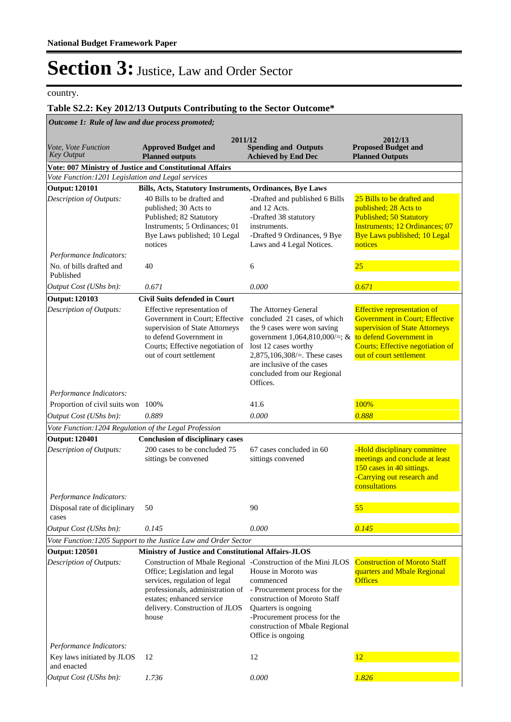country.

#### **Table S2.2: Key 2012/13 Outputs Contributing to the Sector Outcome\***

*Outcome 1: Rule of law and due process promoted;*

|                                                          | 2011/12                                                                                                                                                                                   |                                                                                                                                                                                                                                                                                   | 2012/13                                                                                                                                                                      |
|----------------------------------------------------------|-------------------------------------------------------------------------------------------------------------------------------------------------------------------------------------------|-----------------------------------------------------------------------------------------------------------------------------------------------------------------------------------------------------------------------------------------------------------------------------------|------------------------------------------------------------------------------------------------------------------------------------------------------------------------------|
| <i>Vote, Vote Function</i><br><b>Key Output</b>          | <b>Approved Budget and</b><br><b>Planned outputs</b>                                                                                                                                      | <b>Spending and Outputs</b><br><b>Achieved by End Dec</b>                                                                                                                                                                                                                         | <b>Proposed Budget and</b><br><b>Planned Outputs</b>                                                                                                                         |
| Vote: 007 Ministry of Justice and Constitutional Affairs |                                                                                                                                                                                           |                                                                                                                                                                                                                                                                                   |                                                                                                                                                                              |
| Vote Function: 1201 Legislation and Legal services       |                                                                                                                                                                                           |                                                                                                                                                                                                                                                                                   |                                                                                                                                                                              |
| <b>Output: 120101</b>                                    | Bills, Acts, Statutory Instruments, Ordinances, Bye Laws                                                                                                                                  |                                                                                                                                                                                                                                                                                   |                                                                                                                                                                              |
| Description of Outputs:                                  | 40 Bills to be drafted and<br>published; 30 Acts to<br>Published; 82 Statutory<br>Instruments; 5 Ordinances; 01<br>Bye Laws published; 10 Legal<br>notices                                | -Drafted and published 6 Bills<br>and 12 Acts.<br>-Drafted 38 statutory<br>instruments.<br>-Drafted 9 Ordinances, 9 Bye<br>Laws and 4 Legal Notices.                                                                                                                              | 25 Bills to be drafted and<br>published; 28 Acts to<br><b>Published; 50 Statutory</b><br><b>Instruments</b> ; 12 Ordinances; 07<br>Bye Laws published; 10 Legal<br>notices   |
| Performance Indicators:                                  |                                                                                                                                                                                           |                                                                                                                                                                                                                                                                                   |                                                                                                                                                                              |
| No. of bills drafted and<br>Published                    | 40                                                                                                                                                                                        | 6                                                                                                                                                                                                                                                                                 | 25                                                                                                                                                                           |
| Output Cost (UShs bn):                                   | 0.671                                                                                                                                                                                     | 0.000                                                                                                                                                                                                                                                                             | 0.671                                                                                                                                                                        |
| <b>Output: 120103</b>                                    | <b>Civil Suits defended in Court</b>                                                                                                                                                      |                                                                                                                                                                                                                                                                                   |                                                                                                                                                                              |
| Description of Outputs:                                  | Effective representation of<br>Government in Court; Effective<br>supervision of State Attorneys<br>to defend Government in<br>Courts; Effective negotiation of<br>out of court settlement | The Attorney General<br>concluded 21 cases, of which<br>the 9 cases were won saving<br>government 1,064,810,000/=; & to defend Government in<br>lost 12 cases worthy<br>2,875,106,308/ $=$ . These cases<br>are inclusive of the cases<br>concluded from our Regional<br>Offices. | <b>Effective representation of</b><br><b>Government in Court; Effective</b><br>supervision of State Attorneys<br>Courts; Effective negotiation of<br>out of court settlement |
| Performance Indicators:                                  |                                                                                                                                                                                           |                                                                                                                                                                                                                                                                                   |                                                                                                                                                                              |
| Proportion of civil suits won 100%                       |                                                                                                                                                                                           | 41.6                                                                                                                                                                                                                                                                              | 100%                                                                                                                                                                         |
| Output Cost (UShs bn):                                   | 0.889                                                                                                                                                                                     | 0.000                                                                                                                                                                                                                                                                             | 0.888                                                                                                                                                                        |
| Vote Function: 1204 Regulation of the Legal Profession   |                                                                                                                                                                                           |                                                                                                                                                                                                                                                                                   |                                                                                                                                                                              |
| <b>Output: 120401</b>                                    | <b>Conclusion of disciplinary cases</b>                                                                                                                                                   |                                                                                                                                                                                                                                                                                   |                                                                                                                                                                              |
| Description of Outputs:                                  | 200 cases to be concluded 75<br>sittings be convened                                                                                                                                      | 67 cases concluded in 60<br>sittings convened                                                                                                                                                                                                                                     | -Hold disciplinary committee<br>meetings and conclude at least<br>150 cases in 40 sittings.<br>-Carrying out research and<br>consultations                                   |
| Performance Indicators:                                  |                                                                                                                                                                                           |                                                                                                                                                                                                                                                                                   |                                                                                                                                                                              |
| Disposal rate of diciplinary<br>cases                    | 50                                                                                                                                                                                        | 90                                                                                                                                                                                                                                                                                | 55                                                                                                                                                                           |
| Output Cost (UShs bn):                                   | 0.145                                                                                                                                                                                     | 0.000                                                                                                                                                                                                                                                                             | 0.145                                                                                                                                                                        |
|                                                          | Vote Function: 1205 Support to the Justice Law and Order Sector                                                                                                                           |                                                                                                                                                                                                                                                                                   |                                                                                                                                                                              |
| <b>Output: 120501</b>                                    | Ministry of Justice and Constitutional Affairs-JLOS                                                                                                                                       |                                                                                                                                                                                                                                                                                   |                                                                                                                                                                              |
| Description of Outputs:                                  | Office; Legislation and legal<br>services, regulation of legal<br>professionals, administration of<br>estates; enhanced service<br>delivery. Construction of JLOS<br>house                | Construction of Mbale Regional -Construction of the Mini JLOS<br>House in Moroto was<br>commenced<br>- Procurement process for the<br>construction of Moroto Staff<br>Quarters is ongoing<br>-Procurement process for the<br>construction of Mbale Regional<br>Office is ongoing  | <b>Construction of Moroto Staff</b><br>quarters and Mbale Regional<br><b>Offices</b>                                                                                         |
| Performance Indicators:                                  |                                                                                                                                                                                           |                                                                                                                                                                                                                                                                                   |                                                                                                                                                                              |
| Key laws initiated by JLOS<br>and enacted                | 12                                                                                                                                                                                        | 12                                                                                                                                                                                                                                                                                | 12                                                                                                                                                                           |
| Output Cost (UShs bn):                                   | 1.736                                                                                                                                                                                     | 0.000                                                                                                                                                                                                                                                                             | 1.826                                                                                                                                                                        |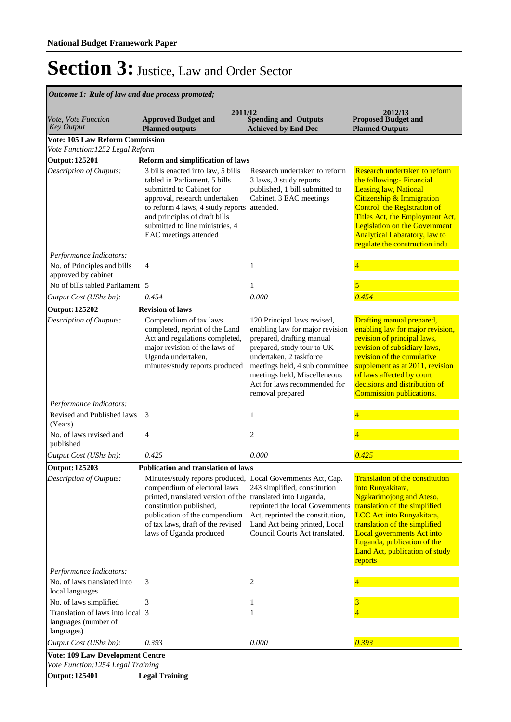| Vote, Vote Function                                                    |                                                                                                                                                                                                                                                                                                                         |                                                                                                                                                                                                                                                                            |                                                                                                                                                                                                                                                                                                              |
|------------------------------------------------------------------------|-------------------------------------------------------------------------------------------------------------------------------------------------------------------------------------------------------------------------------------------------------------------------------------------------------------------------|----------------------------------------------------------------------------------------------------------------------------------------------------------------------------------------------------------------------------------------------------------------------------|--------------------------------------------------------------------------------------------------------------------------------------------------------------------------------------------------------------------------------------------------------------------------------------------------------------|
| <b>Key Output</b>                                                      | <b>Approved Budget and</b><br><b>Planned outputs</b>                                                                                                                                                                                                                                                                    | 2011/12<br><b>Spending and Outputs</b><br><b>Achieved by End Dec</b>                                                                                                                                                                                                       | 2012/13<br><b>Proposed Budget and</b><br><b>Planned Outputs</b>                                                                                                                                                                                                                                              |
| <b>Vote: 105 Law Reform Commission</b>                                 |                                                                                                                                                                                                                                                                                                                         |                                                                                                                                                                                                                                                                            |                                                                                                                                                                                                                                                                                                              |
| Vote Function: 1252 Legal Reform                                       |                                                                                                                                                                                                                                                                                                                         |                                                                                                                                                                                                                                                                            |                                                                                                                                                                                                                                                                                                              |
| <b>Output: 125201</b><br><b>Description of Outputs:</b>                | <b>Reform and simplification of laws</b><br>3 bills enacted into law, 5 bills<br>tabled in Parliament, 5 bills<br>submitted to Cabinet for<br>approval, research undertaken<br>to reform 4 laws, 4 study reports attended.<br>and principlas of draft bills<br>submitted to line ministries, 4<br>EAC meetings attended | Research undertaken to reform<br>3 laws, 3 study reports<br>published, 1 bill submitted to<br>Cabinet, 3 EAC meetings                                                                                                                                                      | Research undertaken to reform<br>the following:- Financial<br><b>Leasing law, National</b><br>Citizenship & Immigration<br>Control, the Registration of<br>Titles Act, the Employment Act,<br><b>Legislation on the Government</b><br><b>Analytical Labaratory, law to</b><br>regulate the construction indu |
| Performance Indicators:<br>No. of Principles and bills                 | $\overline{4}$                                                                                                                                                                                                                                                                                                          | 1                                                                                                                                                                                                                                                                          |                                                                                                                                                                                                                                                                                                              |
| approved by cabinet<br>No of bills tabled Parliament 5                 |                                                                                                                                                                                                                                                                                                                         | 1                                                                                                                                                                                                                                                                          | 5                                                                                                                                                                                                                                                                                                            |
| Output Cost (UShs bn):                                                 | 0.454                                                                                                                                                                                                                                                                                                                   | 0.000                                                                                                                                                                                                                                                                      | 0.454                                                                                                                                                                                                                                                                                                        |
| <b>Output: 125202</b>                                                  | <b>Revision of laws</b>                                                                                                                                                                                                                                                                                                 |                                                                                                                                                                                                                                                                            |                                                                                                                                                                                                                                                                                                              |
| Description of Outputs:                                                | Compendium of tax laws<br>completed, reprint of the Land<br>Act and regulations completed,<br>major revision of the laws of<br>Uganda undertaken,<br>minutes/study reports produced                                                                                                                                     | 120 Principal laws revised,<br>enabling law for major revision<br>prepared, drafting manual<br>prepared, study tour to UK<br>undertaken, 2 taskforce<br>meetings held, 4 sub committee<br>meetings held, Miscelleneous<br>Act for laws recommended for<br>removal prepared | Drafting manual prepared,<br>enabling law for major revision,<br>revision of principal laws,<br>revision of subsidiary laws,<br>revision of the cumulative<br>supplement as at 2011, revision<br>of laws affected by court<br>decisions and distribution of<br><b>Commission publications.</b>               |
| Performance Indicators:                                                |                                                                                                                                                                                                                                                                                                                         |                                                                                                                                                                                                                                                                            |                                                                                                                                                                                                                                                                                                              |
| Revised and Published laws<br>(Years)                                  | 3                                                                                                                                                                                                                                                                                                                       | 1                                                                                                                                                                                                                                                                          |                                                                                                                                                                                                                                                                                                              |
| No. of laws revised and<br>published                                   | 4                                                                                                                                                                                                                                                                                                                       | $\overline{2}$                                                                                                                                                                                                                                                             |                                                                                                                                                                                                                                                                                                              |
| Output Cost (UShs bn):                                                 | 0.425                                                                                                                                                                                                                                                                                                                   | 0.000                                                                                                                                                                                                                                                                      | 0.425                                                                                                                                                                                                                                                                                                        |
| <b>Output: 125203</b>                                                  | <b>Publication and translation of laws</b>                                                                                                                                                                                                                                                                              |                                                                                                                                                                                                                                                                            |                                                                                                                                                                                                                                                                                                              |
| Description of Outputs:                                                | Minutes/study reports produced, Local Governments Act, Cap.<br>compendium of electoral laws<br>printed, translated version of the translated into Luganda,<br>constitution published,<br>publication of the compendium<br>of tax laws, draft of the revised<br>laws of Uganda produced                                  | 243 simplified, constitution<br>reprinted the local Governments<br>Act, reprinted the constitution,<br>Land Act being printed, Local<br>Council Courts Act translated.                                                                                                     | <b>Translation of the constitution</b><br>into Runyakitara,<br><b>Ngakarimojong and Ateso,</b><br>translation of the simplified<br>LCC Act into Runyakitara,<br>translation of the simplified<br>Local governments Act into<br>Luganda, publication of the<br>Land Act, publication of study<br>reports      |
| Performance Indicators:                                                |                                                                                                                                                                                                                                                                                                                         |                                                                                                                                                                                                                                                                            |                                                                                                                                                                                                                                                                                                              |
| No. of laws translated into<br>local languages                         | 3                                                                                                                                                                                                                                                                                                                       | 2                                                                                                                                                                                                                                                                          |                                                                                                                                                                                                                                                                                                              |
| No. of laws simplified                                                 | 3                                                                                                                                                                                                                                                                                                                       | 1                                                                                                                                                                                                                                                                          | 3                                                                                                                                                                                                                                                                                                            |
| Translation of laws into local 3<br>languages (number of<br>languages) |                                                                                                                                                                                                                                                                                                                         | 1                                                                                                                                                                                                                                                                          | $\overline{4}$                                                                                                                                                                                                                                                                                               |
| Output Cost (UShs bn):                                                 | 0.393                                                                                                                                                                                                                                                                                                                   | 0.000                                                                                                                                                                                                                                                                      | 0.393                                                                                                                                                                                                                                                                                                        |
| <b>Vote: 109 Law Development Centre</b>                                |                                                                                                                                                                                                                                                                                                                         |                                                                                                                                                                                                                                                                            |                                                                                                                                                                                                                                                                                                              |
| Vote Function: 1254 Legal Training<br><b>Output: 125401</b>            |                                                                                                                                                                                                                                                                                                                         |                                                                                                                                                                                                                                                                            |                                                                                                                                                                                                                                                                                                              |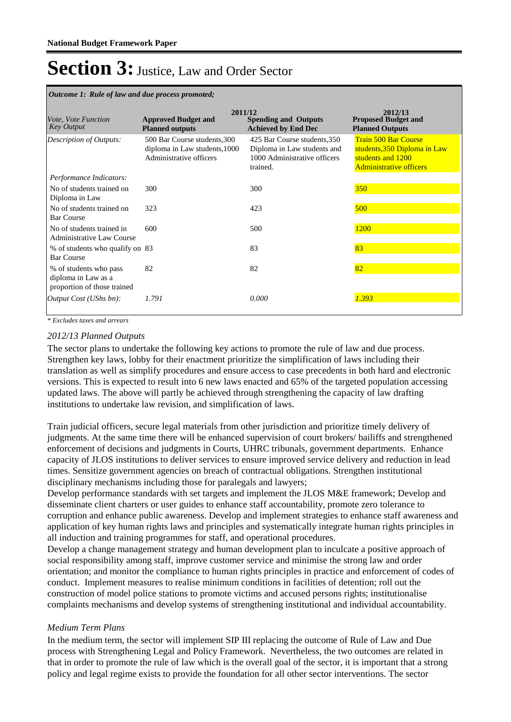| Outcome 1: Rule of law and due process promoted;                             |                                                                                          |                                                                                                         |                                                                                                                    |  |  |  |
|------------------------------------------------------------------------------|------------------------------------------------------------------------------------------|---------------------------------------------------------------------------------------------------------|--------------------------------------------------------------------------------------------------------------------|--|--|--|
| <i>Vote, Vote Function</i><br><b>Key Output</b>                              | 2011/12<br><b>Approved Budget and</b><br><b>Planned outputs</b>                          | <b>Spending and Outputs</b><br><b>Achieved by End Dec</b>                                               | 2012/13<br><b>Proposed Budget and</b><br><b>Planned Outputs</b>                                                    |  |  |  |
| Description of Outputs:                                                      | 500 Bar Course students, 300<br>diploma in Law students, 1000<br>Administrative officers | 425 Bar Course students, 350<br>Diploma in Law students and<br>1000 Administrative officers<br>trained. | <b>Train 500 Bar Course</b><br>students, 350 Diploma in Law<br>students and 1200<br><b>Administrative officers</b> |  |  |  |
| Performance Indicators:                                                      |                                                                                          |                                                                                                         |                                                                                                                    |  |  |  |
| No of students trained on<br>Diploma in Law                                  | 300                                                                                      | 300                                                                                                     | 350                                                                                                                |  |  |  |
| No of students trained on<br><b>Bar Course</b>                               | 323                                                                                      | 423                                                                                                     | 500                                                                                                                |  |  |  |
| No of students trained in<br>Administrative Law Course                       | 600                                                                                      | 500                                                                                                     | 1200                                                                                                               |  |  |  |
| % of students who qualify on 83<br><b>Bar Course</b>                         |                                                                                          | 83                                                                                                      | 83                                                                                                                 |  |  |  |
| % of students who pass<br>diploma in Law as a<br>proportion of those trained | 82                                                                                       | 82                                                                                                      | 82                                                                                                                 |  |  |  |
| Output Cost (UShs bn):                                                       | 1.791                                                                                    | 0.000                                                                                                   | 1.393                                                                                                              |  |  |  |

*\* Excludes taxes and arrears*

#### *2012/13 Planned Outputs*

The sector plans to undertake the following key actions to promote the rule of law and due process. Strengthen key laws, lobby for their enactment prioritize the simplification of laws including their translation as well as simplify procedures and ensure access to case precedents in both hard and electronic versions. This is expected to result into 6 new laws enacted and 65% of the targeted population accessing updated laws. The above will partly be achieved through strengthening the capacity of law drafting institutions to undertake law revision, and simplification of laws.

Train judicial officers, secure legal materials from other jurisdiction and prioritize timely delivery of judgments. At the same time there will be enhanced supervision of court brokers/ bailiffs and strengthened enforcement of decisions and judgments in Courts, UHRC tribunals, government departments. Enhance capacity of JLOS institutions to deliver services to ensure improved service delivery and reduction in lead times. Sensitize government agencies on breach of contractual obligations. Strengthen institutional disciplinary mechanisms including those for paralegals and lawyers;

Develop performance standards with set targets and implement the JLOS M&E framework; Develop and disseminate client charters or user guides to enhance staff accountability, promote zero tolerance to corruption and enhance public awareness. Develop and implement strategies to enhance staff awareness and application of key human rights laws and principles and systematically integrate human rights principles in all induction and training programmes for staff, and operational procedures.

Develop a change management strategy and human development plan to inculcate a positive approach of social responsibility among staff, improve customer service and minimise the strong law and order orientation; and monitor the compliance to human rights principles in practice and enforcement of codes of conduct. Implement measures to realise minimum conditions in facilities of detention; roll out the construction of model police stations to promote victims and accused persons rights; institutionalise complaints mechanisms and develop systems of strengthening institutional and individual accountability.

#### *Medium Term Plans*

In the medium term, the sector will implement SIP III replacing the outcome of Rule of Law and Due process with Strengthening Legal and Policy Framework. Nevertheless, the two outcomes are related in that in order to promote the rule of law which is the overall goal of the sector, it is important that a strong policy and legal regime exists to provide the foundation for all other sector interventions. The sector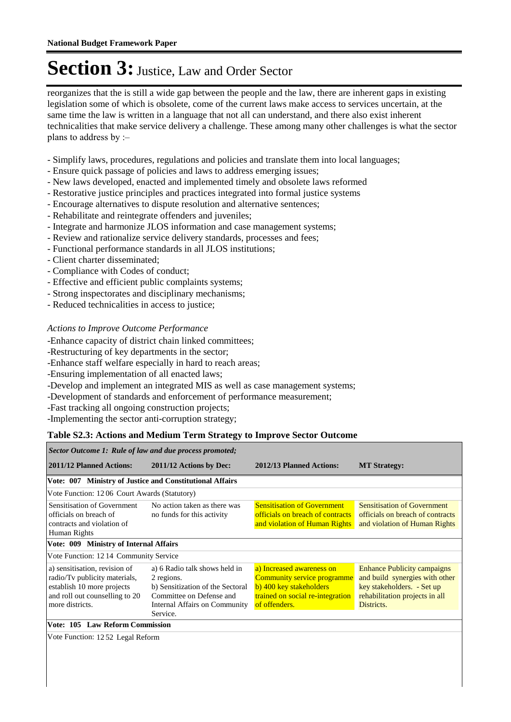reorganizes that the is still a wide gap between the people and the law, there are inherent gaps in existing legislation some of which is obsolete, come of the current laws make access to services uncertain, at the same time the law is written in a language that not all can understand, and there also exist inherent technicalities that make service delivery a challenge. These among many other challenges is what the sector plans to address by :–

- Simplify laws, procedures, regulations and policies and translate them into local languages;
- Ensure quick passage of policies and laws to address emerging issues;
- New laws developed, enacted and implemented timely and obsolete laws reformed
- Restorative justice principles and practices integrated into formal justice systems
- Encourage alternatives to dispute resolution and alternative sentences;
- Rehabilitate and reintegrate offenders and juveniles;
- Integrate and harmonize JLOS information and case management systems;
- Review and rationalize service delivery standards, processes and fees;
- Functional performance standards in all JLOS institutions;
- Client charter disseminated;
- Compliance with Codes of conduct;
- Effective and efficient public complaints systems;
- Strong inspectorates and disciplinary mechanisms;
- Reduced technicalities in access to justice;

#### *Actions to Improve Outcome Performance*

-Enhance capacity of district chain linked committees;

-Restructuring of key departments in the sector;

- -Enhance staff welfare especially in hard to reach areas;
- -Ensuring implementation of all enacted laws;
- -Develop and implement an integrated MIS as well as case management systems;
- -Development of standards and enforcement of performance measurement;
- -Fast tracking all ongoing construction projects;
- -Implementing the sector anti-corruption strategy;

#### **Table S2.3: Actions and Medium Term Strategy to Improve Sector Outcome**

| Sector Outcome 1: Rule of law and due process promoted;                                                                                           |                                                                                                                                                          |                                                                                                                                                 |                                                                                                                                                    |  |  |
|---------------------------------------------------------------------------------------------------------------------------------------------------|----------------------------------------------------------------------------------------------------------------------------------------------------------|-------------------------------------------------------------------------------------------------------------------------------------------------|----------------------------------------------------------------------------------------------------------------------------------------------------|--|--|
| 2011/12 Planned Actions:                                                                                                                          | 2011/12 Actions by Dec:                                                                                                                                  | 2012/13 Planned Actions:                                                                                                                        | <b>MT Strategy:</b>                                                                                                                                |  |  |
| Vote: 007 Ministry of Justice and Constitutional Affairs                                                                                          |                                                                                                                                                          |                                                                                                                                                 |                                                                                                                                                    |  |  |
| Vote Function: 1206 Court Awards (Statutory)                                                                                                      |                                                                                                                                                          |                                                                                                                                                 |                                                                                                                                                    |  |  |
| Sensitisation of Government<br>officials on breach of<br>contracts and violation of<br>Human Rights                                               | No action taken as there was<br>no funds for this activity                                                                                               | <b>Sensitisation of Government</b><br>officials on breach of contracts<br>and violation of Human Rights                                         | <b>Sensitisation of Government</b><br>officials on breach of contracts<br>and violation of Human Rights                                            |  |  |
| Vote: 009 Ministry of Internal Affairs                                                                                                            |                                                                                                                                                          |                                                                                                                                                 |                                                                                                                                                    |  |  |
| Vote Function: 1214 Community Service                                                                                                             |                                                                                                                                                          |                                                                                                                                                 |                                                                                                                                                    |  |  |
| a) sensitisation, revision of<br>radio/Tv publicity materials,<br>establish 10 more projects<br>and roll out counselling to 20<br>more districts. | a) 6 Radio talk shows held in<br>2 regions.<br>b) Sensitization of the Sectoral<br>Committee on Defense and<br>Internal Affairs on Community<br>Service. | a) Increased awareness on<br><b>Community service programme</b><br>b) 400 key stakeholders<br>trained on social re-integration<br>of offenders. | <b>Enhance Publicity campaigns</b><br>and build synergies with other<br>key stakeholders. - Set up<br>rehabilitation projects in all<br>Districts. |  |  |
| Vote: 105 Law Reform Commission                                                                                                                   |                                                                                                                                                          |                                                                                                                                                 |                                                                                                                                                    |  |  |
| Vote Function: 1252 Legal Reform                                                                                                                  |                                                                                                                                                          |                                                                                                                                                 |                                                                                                                                                    |  |  |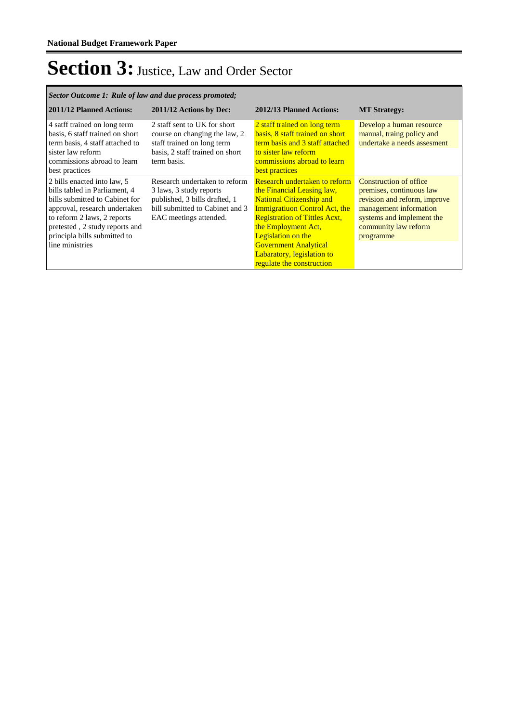| Sector Outcome 1: Rule of law and due process promoted;                                                                                                                                                                                             |                                                                                                                                                        |                                                                                                                                                                                                                                                                                                                               |                                                                                                                                                                                |  |  |  |
|-----------------------------------------------------------------------------------------------------------------------------------------------------------------------------------------------------------------------------------------------------|--------------------------------------------------------------------------------------------------------------------------------------------------------|-------------------------------------------------------------------------------------------------------------------------------------------------------------------------------------------------------------------------------------------------------------------------------------------------------------------------------|--------------------------------------------------------------------------------------------------------------------------------------------------------------------------------|--|--|--|
| 2011/12 Planned Actions:                                                                                                                                                                                                                            | 2011/12 Actions by Dec:                                                                                                                                | 2012/13 Planned Actions:                                                                                                                                                                                                                                                                                                      | <b>MT Strategy:</b>                                                                                                                                                            |  |  |  |
| 4 satff trained on long term<br>basis, 6 staff trained on short<br>term basis, 4 staff attached to<br>sister law reform<br>commissions abroad to learn<br>best practices                                                                            | 2 staff sent to UK for short<br>course on changing the law, 2<br>staff trained on long term<br>basis, 2 staff trained on short<br>term basis.          | 2 staff trained on long term<br>basis, 8 staff trained on short<br>term basis and 3 staff attached<br>to sister law reform<br>commissions abroad to learn<br>best practices                                                                                                                                                   | Develop a human resource<br>manual, traing policy and<br>undertake a needs assesment                                                                                           |  |  |  |
| 2 bills enacted into law, 5<br>bills tabled in Parliament, 4<br>bills submitted to Cabinet for<br>approval, research undertaken<br>to reform 2 laws, 2 reports<br>pretested, 2 study reports and<br>principla bills submitted to<br>line ministries | Research undertaken to reform<br>3 laws, 3 study reports<br>published, 3 bills drafted, 1<br>bill submitted to Cabinet and 3<br>EAC meetings attended. | <b>Research undertaken to reform</b><br>the Financial Leasing law,<br><b>National Citizenship and</b><br>Immigratiuon Control Act, the<br><b>Registration of Tittles Acxt,</b><br>the Employment Act,<br><b>Legislation on the</b><br><b>Government Analytical</b><br>Labaratory, legislation to<br>regulate the construction | Construction of office<br>premises, continuous law<br>revision and reform, improve<br>management information<br>systems and implement the<br>community law reform<br>programme |  |  |  |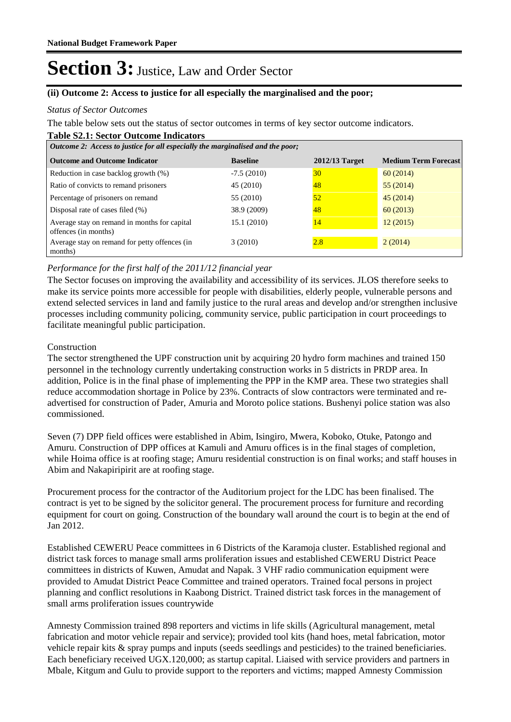#### **(ii) Outcome 2: Access to justice for all especially the marginalised and the poor;**

#### *Status of Sector Outcomes*

The table below sets out the status of sector outcomes in terms of key sector outcome indicators.

#### **Table S2.1: Sector Outcome Indicators**

| <i>Outcome 2: Access to justice for all especially the marginalised and the poor;</i> |                 |                |                             |  |  |  |
|---------------------------------------------------------------------------------------|-----------------|----------------|-----------------------------|--|--|--|
| <b>Outcome and Outcome Indicator</b>                                                  | <b>Baseline</b> | 2012/13 Target | <b>Medium Term Forecast</b> |  |  |  |
| Reduction in case backlog growth (%)                                                  | $-7.5(2010)$    | 30             | 60(2014)                    |  |  |  |
| Ratio of convicts to remand prisoners                                                 | 45 (2010)       | 48             | 55 (2014)                   |  |  |  |
| Percentage of prisoners on remand                                                     | 55 (2010)       | 52             | 45(2014)                    |  |  |  |
| Disposal rate of cases filed $(\%)$                                                   | 38.9 (2009)     | 48             | 60(2013)                    |  |  |  |
| Average stay on remand in months for capital<br>offences (in months)                  | 15.1 (2010)     | 14             | 12(2015)                    |  |  |  |
| Average stay on remand for petty offences (in<br>months)                              | 3(2010)         | 2.8            | 2(2014)                     |  |  |  |

#### *Performance for the first half of the 2011/12 financial year*

The Sector focuses on improving the availability and accessibility of its services. JLOS therefore seeks to make its service points more accessible for people with disabilities, elderly people, vulnerable persons and extend selected services in land and family justice to the rural areas and develop and/or strengthen inclusive processes including community policing, community service, public participation in court proceedings to facilitate meaningful public participation.

#### Construction

The sector strengthened the UPF construction unit by acquiring 20 hydro form machines and trained 150 personnel in the technology currently undertaking construction works in 5 districts in PRDP area. In addition, Police is in the final phase of implementing the PPP in the KMP area. These two strategies shall reduce accommodation shortage in Police by 23%. Contracts of slow contractors were terminated and readvertised for construction of Pader, Amuria and Moroto police stations. Bushenyi police station was also commissioned.

Seven (7) DPP field offices were established in Abim, Isingiro, Mwera, Koboko, Otuke, Patongo and Amuru. Construction of DPP offices at Kamuli and Amuru offices is in the final stages of completion, while Hoima office is at roofing stage; Amuru residential construction is on final works; and staff houses in Abim and Nakapiripirit are at roofing stage.

Procurement process for the contractor of the Auditorium project for the LDC has been finalised. The contract is yet to be signed by the solicitor general. The procurement process for furniture and recording equipment for court on going. Construction of the boundary wall around the court is to begin at the end of Jan 2012.

Established CEWERU Peace committees in 6 Districts of the Karamoja cluster. Established regional and district task forces to manage small arms proliferation issues and established CEWERU District Peace committees in districts of Kuwen, Amudat and Napak. 3 VHF radio communication equipment were provided to Amudat District Peace Committee and trained operators. Trained focal persons in project planning and conflict resolutions in Kaabong District. Trained district task forces in the management of small arms proliferation issues countrywide

Amnesty Commission trained 898 reporters and victims in life skills (Agricultural management, metal fabrication and motor vehicle repair and service); provided tool kits (hand hoes, metal fabrication, motor vehicle repair kits & spray pumps and inputs (seeds seedlings and pesticides) to the trained beneficiaries. Each beneficiary received UGX.120,000; as startup capital. Liaised with service providers and partners in Mbale, Kitgum and Gulu to provide support to the reporters and victims; mapped Amnesty Commission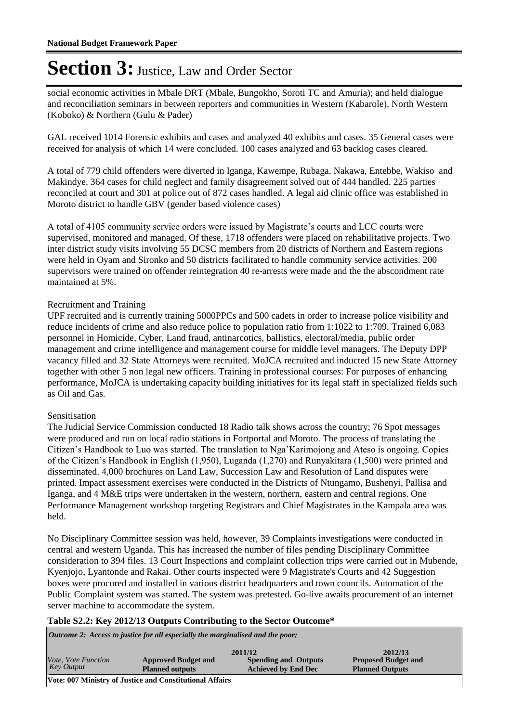social economic activities in Mbale DRT (Mbale, Bungokho, Soroti TC and Amuria); and held dialogue and reconciliation seminars in between reporters and communities in Western (Kabarole), North Western (Koboko) & Northern (Gulu & Pader)

GAL received 1014 Forensic exhibits and cases and analyzed 40 exhibits and cases. 35 General cases were received for analysis of which 14 were concluded. 100 cases analyzed and 63 backlog cases cleared.

A total of 779 child offenders were diverted in Iganga, Kawempe, Rubaga, Nakawa, Entebbe, Wakiso and Makindye. 364 cases for child neglect and family disagreement solved out of 444 handled. 225 parties reconciled at court and 301 at police out of 872 cases handled. A legal aid clinic office was established in Moroto district to handle GBV (gender based violence cases)

A total of 4105 community service orders were issued by Magistrate"s courts and LCC courts were supervised, monitored and managed. Of these, 1718 offenders were placed on rehabilitative projects. Two inter district study visits involving 55 DCSC members from 20 districts of Northern and Eastern regions were held in Oyam and Sironko and 50 districts facilitated to handle community service activities. 200 supervisors were trained on offender reintegration 40 re-arrests were made and the the abscondment rate maintained at 5%.

#### Recruitment and Training

UPF recruited and is currently training 5000PPCs and 500 cadets in order to increase police visibility and reduce incidents of crime and also reduce police to population ratio from 1:1022 to 1:709. Trained 6,083 personnel in Homicide, Cyber, Land fraud, antinarcotics, ballistics, electoral/media, public order management and crime intelligence and management course for middle level managers. The Deputy DPP vacancy filled and 32 State Attorneys were recruited. MoJCA recruited and inducted 15 new State Attorney together with other 5 non legal new officers. Training in professional courses: For purposes of enhancing performance, MoJCA is undertaking capacity building initiatives for its legal staff in specialized fields such as Oil and Gas.

#### Sensitisation

The Judicial Service Commission conducted 18 Radio talk shows across the country; 76 Spot messages were produced and run on local radio stations in Fortportal and Moroto. The process of translating the Citizen"s Handbook to Luo was started. The translation to Nga"Karimojong and Ateso is ongoing. Copies of the Citizen"s Handbook in English (1,950), Luganda (1,270) and Runyakitara (1,500) were printed and disseminated. 4,000 brochures on Land Law, Succession Law and Resolution of Land disputes were printed. Impact assessment exercises were conducted in the Districts of Ntungamo, Bushenyi, Pallisa and Iganga, and 4 M&E trips were undertaken in the western, northern, eastern and central regions. One Performance Management workshop targeting Registrars and Chief Magistrates in the Kampala area was held.

No Disciplinary Committee session was held, however, 39 Complaints investigations were conducted in central and western Uganda. This has increased the number of files pending Disciplinary Committee consideration to 394 files. 13 Court Inspections and complaint collection trips were carried out in Mubende, Kyenjojo, Lyantonde and Rakai. Other courts inspected were 9 Magistrate's Courts and 42 Suggestion boxes were procured and installed in various district headquarters and town councils. Automation of the Public Complaint system was started. The system was pretested. Go-live awaits procurement of an internet server machine to accommodate the system.

#### **Table S2.2: Key 2012/13 Outputs Contributing to the Sector Outcome\***

*Outcome 2: Access to justice for all especially the marginalised and the poor;*

| Vote, Vote Function<br><b>Approved Budget and</b> | <b>Spending and Outputs</b> | <b>Proposed Budget and</b> |
|---------------------------------------------------|-----------------------------|----------------------------|
|                                                   |                             |                            |
| <b>Key Output</b><br><b>Planned outputs</b>       | <b>Achieved by End Dec</b>  | <b>Planned Outputs</b>     |

**Vote: 007 Ministry of Justice and Constitutional Affairs**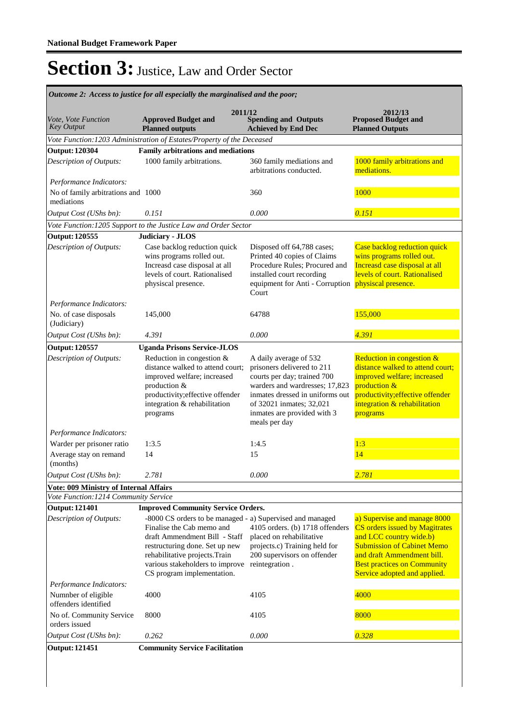|                                                    | Outcome 2: Access to justice for all especially the marginalised and the poor;                                                                                                                                                                               |                                                                                                                                                                                                                                      |                                                                                                                                                                                                                                           |  |  |  |
|----------------------------------------------------|--------------------------------------------------------------------------------------------------------------------------------------------------------------------------------------------------------------------------------------------------------------|--------------------------------------------------------------------------------------------------------------------------------------------------------------------------------------------------------------------------------------|-------------------------------------------------------------------------------------------------------------------------------------------------------------------------------------------------------------------------------------------|--|--|--|
| <i>Vote, Vote Function</i><br><b>Key Output</b>    | 2011/12<br><b>Approved Budget and</b><br><b>Planned outputs</b>                                                                                                                                                                                              | <b>Spending and Outputs</b><br><b>Achieved by End Dec</b>                                                                                                                                                                            | 2012/13<br><b>Proposed Budget and</b><br><b>Planned Outputs</b>                                                                                                                                                                           |  |  |  |
|                                                    | Vote Function: 1203 Administration of Estates/Property of the Deceased                                                                                                                                                                                       |                                                                                                                                                                                                                                      |                                                                                                                                                                                                                                           |  |  |  |
| <b>Output: 120304</b>                              | <b>Family arbitrations and mediations</b>                                                                                                                                                                                                                    |                                                                                                                                                                                                                                      |                                                                                                                                                                                                                                           |  |  |  |
| Description of Outputs:                            | 1000 family arbitrations.                                                                                                                                                                                                                                    | 360 family mediations and<br>arbitrations conducted.                                                                                                                                                                                 | 1000 family arbitrations and<br>mediations.                                                                                                                                                                                               |  |  |  |
| Performance Indicators:                            |                                                                                                                                                                                                                                                              |                                                                                                                                                                                                                                      |                                                                                                                                                                                                                                           |  |  |  |
| No of family arbitrations and 1000<br>mediations   |                                                                                                                                                                                                                                                              | 360                                                                                                                                                                                                                                  | 1000                                                                                                                                                                                                                                      |  |  |  |
| Output Cost (UShs bn):                             | 0.151                                                                                                                                                                                                                                                        | 0.000                                                                                                                                                                                                                                | 0.151                                                                                                                                                                                                                                     |  |  |  |
|                                                    | Vote Function: 1205 Support to the Justice Law and Order Sector                                                                                                                                                                                              |                                                                                                                                                                                                                                      |                                                                                                                                                                                                                                           |  |  |  |
| <b>Output: 120555</b>                              | <b>Judiciary - JLOS</b>                                                                                                                                                                                                                                      |                                                                                                                                                                                                                                      |                                                                                                                                                                                                                                           |  |  |  |
| Description of Outputs:<br>Performance Indicators: | Case backlog reduction quick<br>wins programs rolled out.<br>Increasd case disposal at all<br>levels of court. Rationalised<br>physiscal presence.                                                                                                           | Disposed off 64,788 cases;<br>Printed 40 copies of Claims<br>Procedure Rules; Procured and<br>installed court recording<br>equipment for Anti - Corruption physiscal presence.<br>Court                                              | Case backlog reduction quick<br>wins programs rolled out.<br>Increasd case disposal at all<br>levels of court. Rationalised                                                                                                               |  |  |  |
| No. of case disposals<br>(Judiciary)               | 145,000                                                                                                                                                                                                                                                      | 64788                                                                                                                                                                                                                                | 155,000                                                                                                                                                                                                                                   |  |  |  |
| Output Cost (UShs bn):                             | 4.391                                                                                                                                                                                                                                                        | 0.000                                                                                                                                                                                                                                | 4.391                                                                                                                                                                                                                                     |  |  |  |
| <b>Output: 120557</b>                              | <b>Uganda Prisons Service-JLOS</b>                                                                                                                                                                                                                           |                                                                                                                                                                                                                                      |                                                                                                                                                                                                                                           |  |  |  |
| Description of Outputs:                            | Reduction in congestion &<br>distance walked to attend court;<br>improved welfare; increased<br>production &<br>productivity; effective offender<br>integration & rehabilitation<br>programs                                                                 | A daily average of 532<br>prisoners delivered to 211<br>courts per day; trained 700<br>warders and wardresses; 17,823<br>inmates dressed in uniforms out<br>of 32021 inmates; 32,021<br>inmates are provided with 3<br>meals per day | Reduction in congestion &<br>distance walked to attend court;<br>improved welfare; increased<br>production &<br>productivity; effective offender<br>integration & rehabilitation<br>programs                                              |  |  |  |
| Performance Indicators:                            |                                                                                                                                                                                                                                                              |                                                                                                                                                                                                                                      |                                                                                                                                                                                                                                           |  |  |  |
| Warder per prisoner ratio                          | 1:3.5                                                                                                                                                                                                                                                        | 1:4.5                                                                                                                                                                                                                                | 1:3                                                                                                                                                                                                                                       |  |  |  |
| Average stay on remand<br>(months)                 | 14                                                                                                                                                                                                                                                           | 15                                                                                                                                                                                                                                   | 14                                                                                                                                                                                                                                        |  |  |  |
| <i>Output Cost (UShs bn):</i>                      | 2.781                                                                                                                                                                                                                                                        | 0.000                                                                                                                                                                                                                                | <u>2.781</u>                                                                                                                                                                                                                              |  |  |  |
| Vote: 009 Ministry of Internal Affairs             |                                                                                                                                                                                                                                                              |                                                                                                                                                                                                                                      |                                                                                                                                                                                                                                           |  |  |  |
| Vote Function: 1214 Community Service              |                                                                                                                                                                                                                                                              |                                                                                                                                                                                                                                      |                                                                                                                                                                                                                                           |  |  |  |
| <b>Output: 121401</b>                              | <b>Improved Community Service Orders.</b>                                                                                                                                                                                                                    |                                                                                                                                                                                                                                      |                                                                                                                                                                                                                                           |  |  |  |
| Description of Outputs:                            | -8000 CS orders to be managed - a) Supervised and managed<br>Finalise the Cab memo and<br>draft Ammendment Bill - Staff<br>restructuring done. Set up new<br>rehabilitative projects. Train<br>various stakeholders to improve<br>CS program implementation. | 4105 orders. (b) 1718 offenders<br>placed on rehabilitative<br>projects.c) Training held for<br>200 supervisors on offender<br>reintegration.                                                                                        | a) Supervise and manage 8000<br><b>CS</b> orders issued by Magitrates<br>and LCC country wide.b)<br><b>Submission of Cabinet Memo</b><br>and draft Ammendment bill.<br><b>Best practices on Community</b><br>Service adopted and applied. |  |  |  |
| Performance Indicators:                            |                                                                                                                                                                                                                                                              |                                                                                                                                                                                                                                      |                                                                                                                                                                                                                                           |  |  |  |
| Numnber of eligible<br>offenders identified        | 4000                                                                                                                                                                                                                                                         | 4105                                                                                                                                                                                                                                 | 4000                                                                                                                                                                                                                                      |  |  |  |
| No of. Community Service<br>orders issued          | 8000                                                                                                                                                                                                                                                         | 4105                                                                                                                                                                                                                                 | 8000                                                                                                                                                                                                                                      |  |  |  |
| Output Cost (UShs bn):                             | 0.262                                                                                                                                                                                                                                                        | 0.000                                                                                                                                                                                                                                | 0.328                                                                                                                                                                                                                                     |  |  |  |
| <b>Output: 121451</b>                              | <b>Community Service Facilitation</b>                                                                                                                                                                                                                        |                                                                                                                                                                                                                                      |                                                                                                                                                                                                                                           |  |  |  |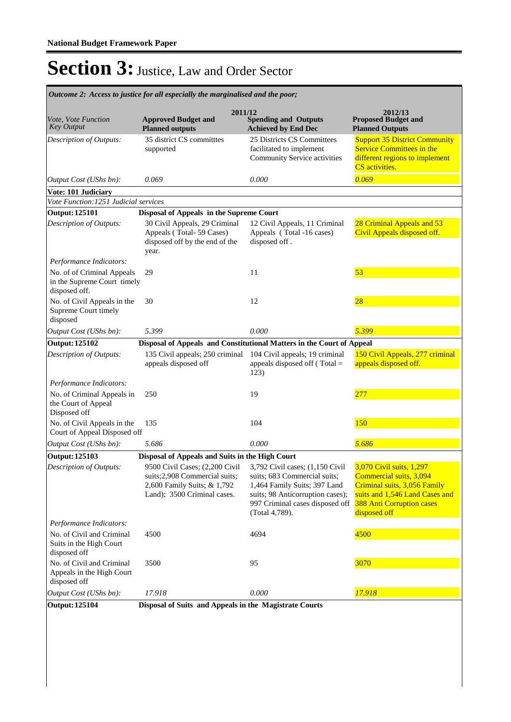|                                                                            | 2011/12                                                                                                                       |                                                                                                                                                                                          | 2012/13                                                                                                                                                                   |  |
|----------------------------------------------------------------------------|-------------------------------------------------------------------------------------------------------------------------------|------------------------------------------------------------------------------------------------------------------------------------------------------------------------------------------|---------------------------------------------------------------------------------------------------------------------------------------------------------------------------|--|
| Vote, Vote Function<br><b>Key Output</b>                                   | <b>Approved Budget and</b><br><b>Planned outputs</b>                                                                          | <b>Spending and Outputs</b><br><b>Achieved by End Dec</b>                                                                                                                                | <b>Proposed Budget and</b><br><b>Planned Outputs</b>                                                                                                                      |  |
| Description of Outputs:                                                    | 35 district CS committees<br>supported                                                                                        | 25 Districts CS Committees<br>facilitated to implement<br>Community Service activities                                                                                                   | <b>Support 35 District Community</b><br><b>Service Committees in the</b><br>different regions to implement<br>CS activities.                                              |  |
| Output Cost (UShs bn):                                                     | 0.069                                                                                                                         | 0.000                                                                                                                                                                                    | 0.069                                                                                                                                                                     |  |
| Vote: 101 Judiciary                                                        |                                                                                                                               |                                                                                                                                                                                          |                                                                                                                                                                           |  |
| Vote Function: 1251 Judicial services                                      |                                                                                                                               |                                                                                                                                                                                          |                                                                                                                                                                           |  |
| <b>Output: 125101</b>                                                      | Disposal of Appeals in the Supreme Court                                                                                      |                                                                                                                                                                                          |                                                                                                                                                                           |  |
| Description of Outputs:                                                    | 30 Civil Appeals, 29 Criminal<br>Appeals (Total-59 Cases)<br>disposed off by the end of the<br>year.                          | 12 Civil Appeals, 11 Criminal<br>Appeals (Total -16 cases)<br>disposed off.                                                                                                              | 28 Criminal Appeals and 53<br>Civil Appeals disposed off.                                                                                                                 |  |
| Performance Indicators:                                                    |                                                                                                                               |                                                                                                                                                                                          |                                                                                                                                                                           |  |
| No. of of Criminal Appeals<br>in the Supreme Court timely<br>disposed off. | 29                                                                                                                            | 11                                                                                                                                                                                       | 53                                                                                                                                                                        |  |
| No. of Civil Appeals in the<br>Supreme Court timely<br>disposed            | 30                                                                                                                            | 12                                                                                                                                                                                       | 28                                                                                                                                                                        |  |
| Output Cost (UShs bn):                                                     | 5.399                                                                                                                         | 0.000                                                                                                                                                                                    | 5.399                                                                                                                                                                     |  |
| <b>Output: 125102</b>                                                      |                                                                                                                               | Disposal of Appeals and Constitutional Matters in the Court of Appeal                                                                                                                    |                                                                                                                                                                           |  |
| Description of Outputs:                                                    | 135 Civil appeals; 250 criminal<br>appeals disposed off                                                                       | 104 Civil appeals; 19 criminal<br>appeals disposed off $(Total =$<br>123)                                                                                                                | 150 Civil Appeals, 277 criminal<br>appeals disposed off.                                                                                                                  |  |
| Performance Indicators:                                                    |                                                                                                                               |                                                                                                                                                                                          |                                                                                                                                                                           |  |
| No. of Criminal Appeals in<br>the Court of Appeal<br>Disposed off          | 250                                                                                                                           | 19                                                                                                                                                                                       | 277                                                                                                                                                                       |  |
| No. of Civil Appeals in the<br>Court of Appeal Disposed off                | 135                                                                                                                           | 104                                                                                                                                                                                      | 150                                                                                                                                                                       |  |
| Output Cost (UShs bn):                                                     | 5.686                                                                                                                         | 0.000                                                                                                                                                                                    | 5.686                                                                                                                                                                     |  |
| <b>Output: 125103</b>                                                      | Disposal of Appeals and Suits in the High Court                                                                               |                                                                                                                                                                                          |                                                                                                                                                                           |  |
| Description of Outputs:<br>Performance Indicators:                         | 9500 Civil Cases; (2,200 Civil<br>suits;2,908 Commercial suits;<br>2,600 Family Suits; & 1,792<br>Land); 3500 Criminal cases. | 3,792 Civil cases; (1,150 Civil<br>suits; 683 Commercial suits;<br>1,464 Family Suits; 397 Land<br>suits; 98 Anticorruption cases);<br>997 Criminal cases disposed off<br>(Total 4,789). | 3,070 Civil suits, 1,297<br>Commercial suits, 3,094<br>Criminal suits, 3,056 Family<br>suits and 1,546 Land Cases and<br><b>388 Anti Corruption cases</b><br>disposed off |  |
| No. of Civil and Criminal<br>Suits in the High Court<br>disposed off       | 4500                                                                                                                          | 4694                                                                                                                                                                                     | 4500                                                                                                                                                                      |  |
| No. of Civil and Criminal<br>Appeals in the High Court<br>disposed off     | 3500                                                                                                                          | 95                                                                                                                                                                                       | 3070                                                                                                                                                                      |  |
| Output Cost (UShs bn):                                                     | 17.918                                                                                                                        | 0.000                                                                                                                                                                                    | 17.918                                                                                                                                                                    |  |
| Disposal of Suits and Appeals in the Magistrate Courts<br>Output: 125104   |                                                                                                                               |                                                                                                                                                                                          |                                                                                                                                                                           |  |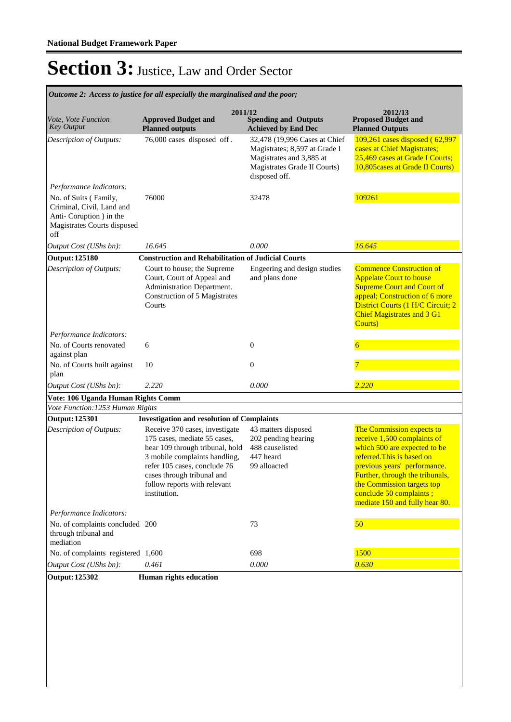**Spending and Outputs Achieved by End Dec Approved Budget and Planned outputs Proposed Budget and Planned Outputs 2011/12** *Vote, Vote Function Key Output* **2012/13** *Outcome 2: Access to justice for all especially the marginalised and the poor;* 76,000 cases disposed off . 32,478 (19,996 Cases at Chief Magistrates; 8,597 at Grade I Magistrates and 3,885 at Magistrates Grade II Courts) disposed off. 109,261 cases disposed ( 62,997 cases at Chief Magistrates; 25,469 cases at Grade I Courts; 10,805cases at Grade II Courts) *Output Cost (UShs bn): 16.645 0.000 16.645 Description of Outputs: Performance Indicators:* No. of Suits ( Family, Criminal, Civil, Land and Anti- Coruption ) in the Magistrates Courts disposed off 76000 32478 32478 109261 **Output: 125180 Construction and Rehabilitation of Judicial Courts**  Court to house; the Supreme Court, Court of Appeal and Administration Department. Construction of 5 Magistrates **Courts** Engeering and design studies and plans done Commence Construction of Appelate Court to house **Supreme Court and Court of** appeal; Construction of 6 more District Courts (1 H/C Circuit; 2 Chief Magistrates and 3 G1 Courts) *Output Cost (UShs bn): 2.220 0.000 2.220 Description of Outputs: Performance Indicators:* No. of Courts renovated against plan 6 0 0  $\overline{6}$ No. of Courts built against plan  $10$  0  $7$ **Vote: 106 Uganda Human Rights Comm** *Vote Function:1253 Human Rights* **Output: 125301 Investigation and resolution of Complaints** Receive 370 cases, investigate 175 cases, mediate 55 cases, hear 109 through tribunal, hold 3 mobile complaints handling, refer 105 cases, conclude 76 cases through tribunal and follow reports with relevant institution. 43 matters disposed 202 pending hearing 488 causelisted 447 heard 99 alloacted The Commission expects to receive 1,500 complaints of which 500 are expected to be referred.This is based on previous years' performance. Further, through the tribunals, the Commission targets top conclude 50 complaints ; mediate 150 and fully hear 80. *Output Cost (UShs bn): 0.461 0.000 0.630 Description of Outputs: Performance Indicators:* No. of complaints concluded 200 through tribunal and mediation 200 73 50 No. of complaints registered  $1,600$  698 698 1500 **Output: 125302 Human rights education**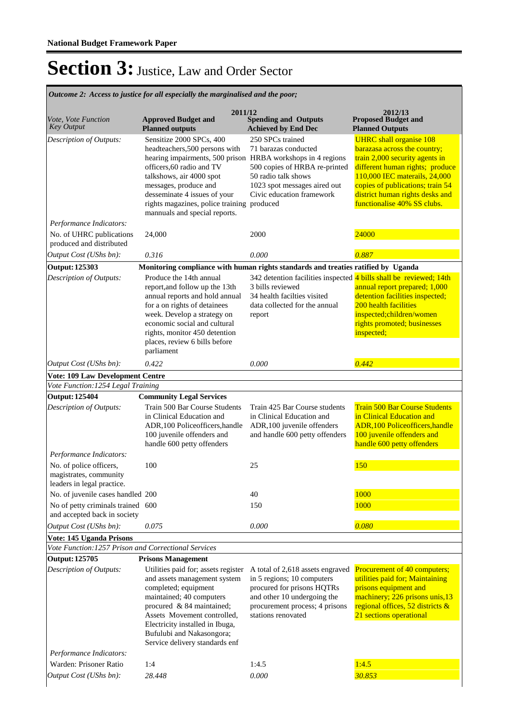**Spending and Outputs Achieved by End Dec Approved Budget and Planned outputs Proposed Budget and Planned Outputs 2011/12** *Vote, Vote Function Key Output* **2012/13** *Outcome 2: Access to justice for all especially the marginalised and the poor;* Sensitize 2000 SPCs, 400 headteachers,500 persons with hearing impairments, 500 prison officers,60 radio and TV talkshows, air 4000 spot messages, produce and desseminate 4 issues of your rights magazines, police training produced mannuals and special reports. 250 SPCs trained 71 barazas conducted HRBA workshops in 4 regions 500 copies of HRBA re-printed 50 radio talk shows 1023 spot messages aired out Civic education framework UHRC shall organise 108 barazasa across the country; train 2,000 security agents in different human rights; produce 110,000 IEC materails, 24,000 copies of publications; train 54 district human rights desks and functionalise 40% SS clubs. *Output Cost (UShs bn): 0.316 0.000 0.887 Description of Outputs: Performance Indicators:* No. of UHRC publications produced and distributed 24,000 2000 2000 2000 2000 2000 **Output: 125303 Monitoring compliance with human rights standards and treaties ratified by Uganda** Produce the 14th annual report,and follow up the 13th annual reports and hold annual for a on rights of detainees week. Develop a strategy on economic social and cultural rights, monitor 450 detention places, review 6 bills before parliament 342 detention facilities inspected 4 bills shall be reviewed; 14th 3 bills reviewed 34 health facilties visited data collected for the annual report annual report prepared; 1,000 detention facilities inspected; 200 health facilities inspected;children/women rights promoted; businesses inspected; *Output Cost (UShs bn): 0.422 0.000 0.442 Description of Outputs:* **Vote: 109 Law Development Centre** *Vote Function:1254 Legal Training* **Output: 125404 Community Legal Services** Train 500 Bar Course Students in Clinical Education and ADR,100 Policeofficers,handle 100 juvenile offenders and handle 600 petty offenders Train 425 Bar Course students in Clinical Education and ADR,100 juvenile offenders and handle 600 petty offenders Train 500 Bar Course Students in Clinical Education and ADR,100 Policeofficers,handle 100 juvenile offenders and handle 600 petty offenders *Output Cost (UShs bn): 0.075 0.000 0.080 Description of Outputs: Performance Indicators:* No. of police officers, magistrates, community leaders in legal practice. 100 25 150 No. of juvenile cases handled 200 40 40 1000 No of petty criminals trained 600 and accepted back in society 600 150 150 1000 **Vote: 145 Uganda Prisons** *Vote Function:1257 Prison and Correctional Services* **Output: 125705 Prisons Management** Utilities paid for; assets register A total of 2,618 assets engraved Procurement of 40 computers; and assets management system completed; equipment maintained; 40 computers procured & 84 maintained; Assets Movement controlled, Electricity installed in Ibuga, Bufulubi and Nakasongora; Service delivery standards enf in 5 regions; 10 computers procured for prisons HQTRs and other 10 undergoing the procurement process; 4 prisons stations renovated utilities paid for; Maintaining prisons equipment and machinery; 226 prisons unis,13 regional offices, 52 districts & 21 sections operational *Output Cost (UShs bn): 28.448 0.000 30.853 Description of Outputs: Performance Indicators:* Warden: Prisoner Ratio 1:4 1:4.5 1:4.5 1:4.5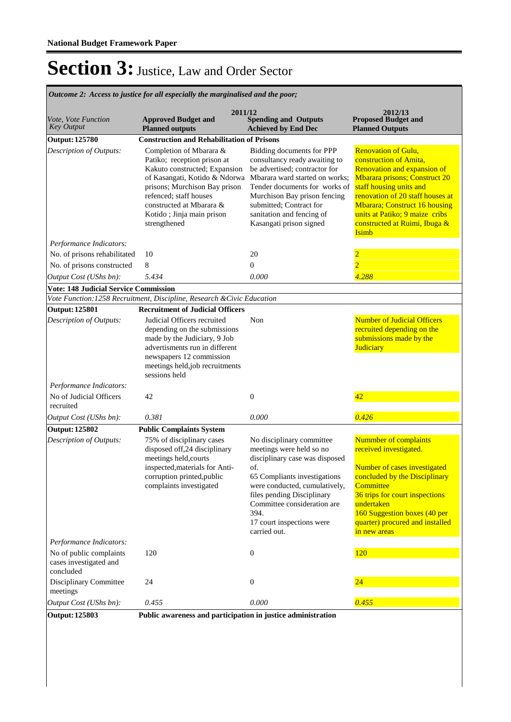**Spending and Outputs Achieved by End Dec Approved Budget and Planned outputs Proposed Budget and Planned Outputs 2011/12** *Vote, Vote Function Key Output* **2012/13** *Outcome 2: Access to justice for all especially the marginalised and the poor;* **Output: 125780 Construction and Rehabilitation of Prisons**  Completion of Mbarara & Patiko; reception prison at Kakuto constructed; Expansion of Kasangati, Kotido & Ndorwa prisons; Murchison Bay prison refenced; staff houses constructed at Mbarara & Kotido ; Jinja main prison strengthened Bidding documents for PPP consultancy ready awaiting to be advertised; contractor for Mbarara ward started on works; Tender documents for works of Murchison Bay prison fencing submitted; Contract for sanitation and fencing of Kasangati prison signed Renovation of Gulu, construction of Amita, Renovation and expansion of Mbarara prisons; Construct 20 staff housing units and renovation of 20 staff houses at Mbarara; Construct 16 housing units at Patiko; 9 maize cribs constructed at Ruimi, Ibuga & **Isimb** *Output Cost (UShs bn): 5.434 0.000 4.288 Description of Outputs: Performance Indicators:* No. of prisons rehabilitated 10 20 2 No. of prisons constructed 8 0  $\sqrt{2}$ **Vote: 148 Judicial Service Commission** *Vote Function:1258 Recruitment, Discipline, Research &Civic Education* **Output: 125801 Recruitment of Judicial Officers** Judicial Officers recruited depending on the submissions made by the Judiciary, 9 Job advertisments run in different newspapers 12 commission meetings held,job recruitments sessions held Non Number of Judicial Officers recruited depending on the submissions made by the **Judiciary** *Output Cost (UShs bn): 0.381 0.000 0.426 Description of Outputs: Performance Indicators:* No of Judicial Officers recruited 42 0 42 **Output: 125802 Public Complaints System** 75% of disciplinary cases disposed off,24 disciplinary meetings held,courts inspected,materials for Anticorruption printed,public complaints investigated No disciplinary committee meetings were held so no disciplinary case was disposed of. 65 Compliants investigations were conducted, cumulatively, files pending Disciplinary Committee consideration are 394. 17 court inspections were carried out. Nummber of complaints received investigated. Number of cases investigated concluded by the Disciplinary **Committee** 36 trips for court inspections undertaken 160 Suggestion boxes (40 per quarter) procured and installed in new areas *Output Cost (UShs bn): 0.455 0.000 0.455 Description of Outputs: Performance Indicators:* No of public complaints cases investigated and concluded 120 0 120 Disciplinary Committee meetings 24 0 0 24 **Output: 125803 Public awareness and participation in justice administration**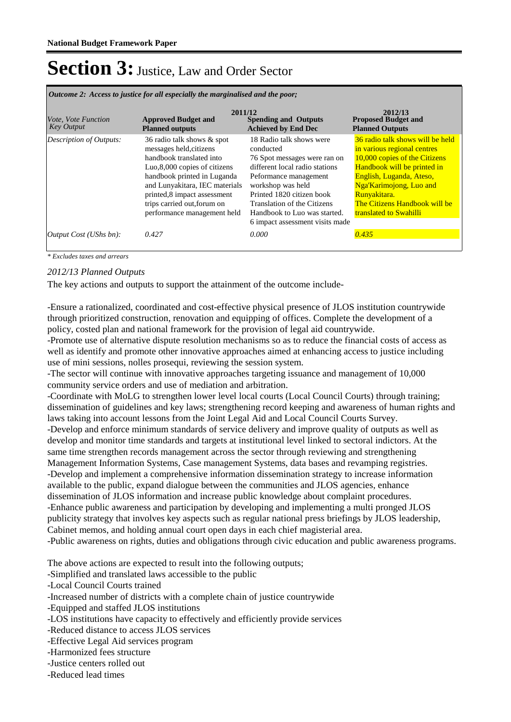*Outcome 2: Access to justice for all especially the marginalised and the poor;*

| Vote, Vote Function<br><b>Key Output</b> | 2011/12<br><b>Approved Budget and</b><br><b>Planned outputs</b>                                                                                                                                                                                                                   | <b>Spending and Outputs</b><br><b>Achieved by End Dec</b>                                                                                                                                                                                                                            | 2012/13<br><b>Proposed Budget and</b><br><b>Planned Outputs</b>                                                                                                                                                                                                   |
|------------------------------------------|-----------------------------------------------------------------------------------------------------------------------------------------------------------------------------------------------------------------------------------------------------------------------------------|--------------------------------------------------------------------------------------------------------------------------------------------------------------------------------------------------------------------------------------------------------------------------------------|-------------------------------------------------------------------------------------------------------------------------------------------------------------------------------------------------------------------------------------------------------------------|
| <b>Description of Outputs:</b>           | 36 radio talk shows & spot<br>messages held, citizens<br>handbook translated into<br>Luo, 8,000 copies of citizens<br>handbook printed in Luganda<br>and Lunyakitara, IEC materials<br>printed, 8 impact assessment<br>trips carried out, forum on<br>performance management held | 18 Radio talk shows were<br>conducted<br>76 Spot messages were ran on<br>different local radio stations<br>Peformance management<br>workshop was held<br>Printed 1820 citizen book<br>Translation of the Citizens<br>Handbook to Luo was started.<br>6 impact assessment visits made | 36 radio talk shows will be held<br>in various regional centres<br>10,000 copies of the Citizens<br>Handbook will be printed in<br>English, Luganda, Ateso,<br>Nga'Karimojong, Luo and<br>Runyakitara.<br>The Citizens Handbook will be<br>translated to Swahilli |
| <i>Output Cost (UShs bn):</i>            | 0.427                                                                                                                                                                                                                                                                             | 0.000                                                                                                                                                                                                                                                                                | 0.435                                                                                                                                                                                                                                                             |

*\* Excludes taxes and arrears*

#### *2012/13 Planned Outputs*

The key actions and outputs to support the attainment of the outcome include-

-Ensure a rationalized, coordinated and cost-effective physical presence of JLOS institution countrywide through prioritized construction, renovation and equipping of offices. Complete the development of a policy, costed plan and national framework for the provision of legal aid countrywide.

-Promote use of alternative dispute resolution mechanisms so as to reduce the financial costs of access as well as identify and promote other innovative approaches aimed at enhancing access to justice including use of mini sessions, nolles prosequi, reviewing the session system.

-The sector will continue with innovative approaches targeting issuance and management of 10,000 community service orders and use of mediation and arbitration.

-Coordinate with MoLG to strengthen lower level local courts (Local Council Courts) through training; dissemination of guidelines and key laws; strengthening record keeping and awareness of human rights and laws taking into account lessons from the Joint Legal Aid and Local Council Courts Survey. -Develop and enforce minimum standards of service delivery and improve quality of outputs as well as develop and monitor time standards and targets at institutional level linked to sectoral indictors. At the same time strengthen records management across the sector through reviewing and strengthening Management Information Systems, Case management Systems, data bases and revamping registries.

-Develop and implement a comprehensive information dissemination strategy to increase information available to the public, expand dialogue between the communities and JLOS agencies, enhance dissemination of JLOS information and increase public knowledge about complaint procedures. -Enhance public awareness and participation by developing and implementing a multi pronged JLOS publicity strategy that involves key aspects such as regular national press briefings by JLOS leadership, Cabinet memos, and holding annual court open days in each chief magisterial area.

-Public awareness on rights, duties and obligations through civic education and public awareness programs.

The above actions are expected to result into the following outputs;

-Simplified and translated laws accessible to the public

-Local Council Courts trained

-Increased number of districts with a complete chain of justice countrywide

- -Equipped and staffed JLOS institutions
- -LOS institutions have capacity to effectively and efficiently provide services
- -Reduced distance to access JLOS services
- -Effective Legal Aid services program
- -Harmonized fees structure
- -Justice centers rolled out
- -Reduced lead times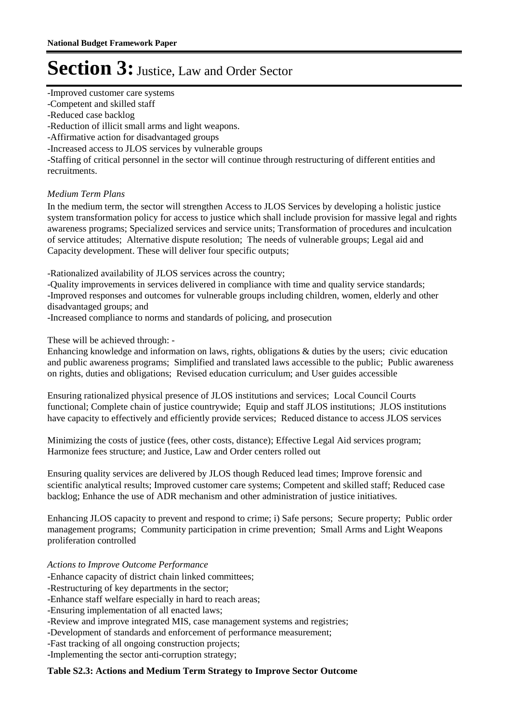-Improved customer care systems

-Competent and skilled staff

-Reduced case backlog

-Reduction of illicit small arms and light weapons.

-Affirmative action for disadvantaged groups

-Increased access to JLOS services by vulnerable groups

-Staffing of critical personnel in the sector will continue through restructuring of different entities and recruitments.

#### *Medium Term Plans*

In the medium term, the sector will strengthen Access to JLOS Services by developing a holistic justice system transformation policy for access to justice which shall include provision for massive legal and rights awareness programs; Specialized services and service units; Transformation of procedures and inculcation of service attitudes; Alternative dispute resolution; The needs of vulnerable groups; Legal aid and Capacity development. These will deliver four specific outputs;

-Rationalized availability of JLOS services across the country;

-Quality improvements in services delivered in compliance with time and quality service standards;

-Improved responses and outcomes for vulnerable groups including children, women, elderly and other disadvantaged groups; and

-Increased compliance to norms and standards of policing, and prosecution

These will be achieved through: -

Enhancing knowledge and information on laws, rights, obligations & duties by the users; civic education and public awareness programs; Simplified and translated laws accessible to the public; Public awareness on rights, duties and obligations; Revised education curriculum; and User guides accessible

Ensuring rationalized physical presence of JLOS institutions and services; Local Council Courts functional; Complete chain of justice countrywide; Equip and staff JLOS institutions; JLOS institutions have capacity to effectively and efficiently provide services; Reduced distance to access JLOS services

Minimizing the costs of justice (fees, other costs, distance); Effective Legal Aid services program; Harmonize fees structure; and Justice, Law and Order centers rolled out

Ensuring quality services are delivered by JLOS though Reduced lead times; Improve forensic and scientific analytical results; Improved customer care systems; Competent and skilled staff; Reduced case backlog; Enhance the use of ADR mechanism and other administration of justice initiatives.

Enhancing JLOS capacity to prevent and respond to crime; i) Safe persons; Secure property; Public order management programs; Community participation in crime prevention; Small Arms and Light Weapons proliferation controlled

*Actions to Improve Outcome Performance*

-Enhance capacity of district chain linked committees;

-Restructuring of key departments in the sector;

-Enhance staff welfare especially in hard to reach areas;

-Ensuring implementation of all enacted laws;

-Review and improve integrated MIS, case management systems and registries;

-Development of standards and enforcement of performance measurement;

-Fast tracking of all ongoing construction projects;

-Implementing the sector anti-corruption strategy;

#### **Table S2.3: Actions and Medium Term Strategy to Improve Sector Outcome**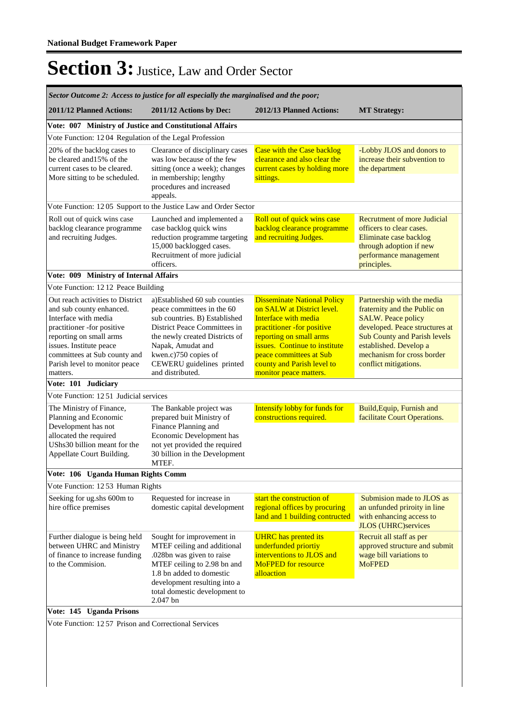| Sector Outcome 2: Access to justice for all especially the marginalised and the poor;                                                                                                                                                                 |                                                                                                                                                                                                                                                              |                                                                                                                                                                                                                                                                       |                                                                                                                                                                                                                                                   |
|-------------------------------------------------------------------------------------------------------------------------------------------------------------------------------------------------------------------------------------------------------|--------------------------------------------------------------------------------------------------------------------------------------------------------------------------------------------------------------------------------------------------------------|-----------------------------------------------------------------------------------------------------------------------------------------------------------------------------------------------------------------------------------------------------------------------|---------------------------------------------------------------------------------------------------------------------------------------------------------------------------------------------------------------------------------------------------|
| 2011/12 Planned Actions:                                                                                                                                                                                                                              | 2011/12 Actions by Dec:                                                                                                                                                                                                                                      | 2012/13 Planned Actions:                                                                                                                                                                                                                                              | <b>MT Strategy:</b>                                                                                                                                                                                                                               |
| Vote: 007 Ministry of Justice and Constitutional Affairs                                                                                                                                                                                              |                                                                                                                                                                                                                                                              |                                                                                                                                                                                                                                                                       |                                                                                                                                                                                                                                                   |
| Vote Function: 1204 Regulation of the Legal Profession                                                                                                                                                                                                |                                                                                                                                                                                                                                                              |                                                                                                                                                                                                                                                                       |                                                                                                                                                                                                                                                   |
| 20% of the backlog cases to<br>be cleared and 15% of the<br>current cases to be cleared.<br>More sitting to be scheduled.                                                                                                                             | Clearance of disciplinary cases<br>was low because of the few<br>sitting (once a week); changes<br>in membership; lengthy<br>procedures and increased<br>appeals.                                                                                            | <b>Case with the Case backlog</b><br>clearance and also clear the<br>current cases by holding more<br>sittings.                                                                                                                                                       | -Lobby JLOS and donors to<br>increase their subvention to<br>the department                                                                                                                                                                       |
|                                                                                                                                                                                                                                                       | Vote Function: 1205 Support to the Justice Law and Order Sector                                                                                                                                                                                              |                                                                                                                                                                                                                                                                       |                                                                                                                                                                                                                                                   |
| Roll out of quick wins case<br>backlog clearance programme<br>and recruiting Judges.                                                                                                                                                                  | Launched and implemented a<br>case backlog quick wins<br>reduction programme targeting<br>15,000 backlogged cases.<br>Recruitment of more judicial<br>officers.                                                                                              | Roll out of quick wins case<br>backlog clearance programme<br>and recruiting Judges.                                                                                                                                                                                  | Recrutment of more Judicial<br>officers to clear cases.<br>Eliminate case backlog<br>through adoption if new<br>performance management<br>principles.                                                                                             |
| Vote: 009 Ministry of Internal Affairs                                                                                                                                                                                                                |                                                                                                                                                                                                                                                              |                                                                                                                                                                                                                                                                       |                                                                                                                                                                                                                                                   |
| Vote Function: 1212 Peace Building                                                                                                                                                                                                                    |                                                                                                                                                                                                                                                              |                                                                                                                                                                                                                                                                       |                                                                                                                                                                                                                                                   |
| Out reach activities to District<br>and sub county enhanced.<br>Interface with media<br>practitioner -for positive<br>reporting on small arms<br>issues. Institute peace<br>committees at Sub county and<br>Parish level to monitor peace<br>matters. | a)Established 60 sub counties<br>peace committees in the 60<br>sub countries. B) Established<br>District Peace Committees in<br>the newly created Districts of<br>Napak, Amudat and<br>kwen.c)750 copies of<br>CEWERU guidelines printed<br>and distributed. | <b>Disseminate National Policy</b><br>on SALW at District level.<br>Interface with media<br>practitioner -for positive<br>reporting on small arms<br>issues. Continue to institute<br>peace committees at Sub<br>county and Parish level to<br>monitor peace matters. | Partnership with the media<br>fraternity and the Public on<br><b>SALW.</b> Peace policy<br>developed. Peace structures at<br><b>Sub County and Parish levels</b><br>established. Develop a<br>mechanism for cross border<br>conflict mitigations. |
| Vote: 101 Judiciary                                                                                                                                                                                                                                   |                                                                                                                                                                                                                                                              |                                                                                                                                                                                                                                                                       |                                                                                                                                                                                                                                                   |
| Vote Function: 1251 Judicial services                                                                                                                                                                                                                 |                                                                                                                                                                                                                                                              |                                                                                                                                                                                                                                                                       |                                                                                                                                                                                                                                                   |
| The Ministry of Finance,<br>Planning and Economic<br>Development has not<br>allocated the required<br>UShs30 billion meant for the<br>Appellate Court Building.                                                                                       | The Bankable project was<br>prepared buit Ministry of<br>Finance Planning and<br>Economic Development has<br>not yet provided the required<br>30 billion in the Development<br>MTEF.                                                                         | Intensify lobby for funds for<br>constructions required.                                                                                                                                                                                                              | Build, Equip, Furnish and<br>facilitate Court Operations.                                                                                                                                                                                         |
| Vote: 106 Uganda Human Rights Comm                                                                                                                                                                                                                    |                                                                                                                                                                                                                                                              |                                                                                                                                                                                                                                                                       |                                                                                                                                                                                                                                                   |
| Vote Function: 1253 Human Rights                                                                                                                                                                                                                      |                                                                                                                                                                                                                                                              |                                                                                                                                                                                                                                                                       |                                                                                                                                                                                                                                                   |
| Seeking for ug.shs 600m to<br>hire office premises                                                                                                                                                                                                    | Requested for increase in<br>domestic capital development                                                                                                                                                                                                    | start the construction of<br>regional offices by procuring<br>land and 1 building contructed                                                                                                                                                                          | Submision made to JLOS as<br>an unfunded priroity in line<br>with enhancing access to<br><b>JLOS</b> (UHRC)services                                                                                                                               |
| Further dialogue is being held<br>between UHRC and Ministry<br>of finance to increase funding<br>to the Commision.                                                                                                                                    | Sought for improvement in<br>MTEF ceiling and additional<br>.028bn was given to raise<br>MTEF ceiling to 2.98 bn and<br>1.8 bn added to domestic<br>development resulting into a<br>total domestic development to<br>2.047 bn                                | <b>UHRC</b> has prented its<br>underfunded priortiy<br>interventions to JLOS and<br><b>MoFPED</b> for resource<br>alloaction                                                                                                                                          | Recruit all staff as per<br>approved structure and submit<br>wage bill variations to<br><b>MoFPED</b>                                                                                                                                             |
| Vote: 145 Uganda Prisons                                                                                                                                                                                                                              |                                                                                                                                                                                                                                                              |                                                                                                                                                                                                                                                                       |                                                                                                                                                                                                                                                   |
| Vote Function: 1257 Prison and Correctional Services                                                                                                                                                                                                  |                                                                                                                                                                                                                                                              |                                                                                                                                                                                                                                                                       |                                                                                                                                                                                                                                                   |
|                                                                                                                                                                                                                                                       |                                                                                                                                                                                                                                                              |                                                                                                                                                                                                                                                                       |                                                                                                                                                                                                                                                   |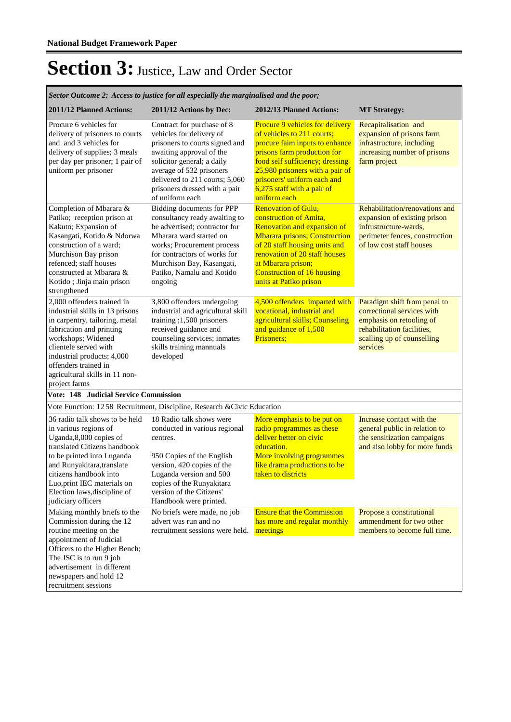*Sector Outcome 2: Access to justice for all especially the marginalised and the poor;*

|                                                                                                                                                                                                                                                                                     | эесіог Өйнөте 2. Ассезз ід јизисе јог ан езресшиу те тагутанзей апа те роог,                                                                                                                                                                                         |                                                                                                                                                                                                                                                                                          |                                                                                                                                                                |
|-------------------------------------------------------------------------------------------------------------------------------------------------------------------------------------------------------------------------------------------------------------------------------------|----------------------------------------------------------------------------------------------------------------------------------------------------------------------------------------------------------------------------------------------------------------------|------------------------------------------------------------------------------------------------------------------------------------------------------------------------------------------------------------------------------------------------------------------------------------------|----------------------------------------------------------------------------------------------------------------------------------------------------------------|
| 2011/12 Planned Actions:                                                                                                                                                                                                                                                            | 2011/12 Actions by Dec:                                                                                                                                                                                                                                              | 2012/13 Planned Actions:                                                                                                                                                                                                                                                                 | <b>MT Strategy:</b>                                                                                                                                            |
| Procure 6 vehicles for<br>delivery of prisoners to courts<br>and and 3 vehicles for<br>delivery of supplies; 3 meals<br>per day per prisoner; 1 pair of<br>uniform per prisoner                                                                                                     | Contract for purchase of 8<br>vehicles for delivery of<br>prisoners to courts signed and<br>awaiting approval of the<br>solicitor general; a daily<br>average of 532 prisoners<br>delivered to 211 courts; 5,060<br>prisoners dressed with a pair<br>of uniform each | <b>Procure 9 vehicles for delivery</b><br>of vehicles to 211 courts;<br>procure faim inputs to enhance<br>prisons farm production for<br>food self sufficiency; dressing<br>25,980 prisoners with a pair of<br>prisoners' uniform each and<br>6,275 staff with a pair of<br>uniform each | Recapitalisation and<br>expansion of prisons farm<br>infrastructure, including<br>increasing number of prisons<br>farm project                                 |
| Completion of Mbarara &<br>Patiko; reception prison at<br>Kakuto; Expansion of<br>Kasangati, Kotido & Ndorwa<br>construction of a ward;<br>Murchison Bay prison<br>refenced; staff houses<br>constructed at Mbarara &<br>Kotido ; Jinja main prison<br>strengthened                 | Bidding documents for PPP<br>consultancy ready awaiting to<br>be advertised; contractor for<br>Mbarara ward started on<br>works; Procurement process<br>for contractors of works for<br>Murchison Bay, Kasangati,<br>Patiko, Namalu and Kotido<br>ongoing            | <b>Renovation of Gulu,</b><br>construction of Amita,<br>Renovation and expansion of<br><b>Mbarara prisons; Construction</b><br>of 20 staff housing units and<br>renovation of 20 staff houses<br>at Mbarara prison;<br><b>Construction of 16 housing</b><br>units at Patiko prison       | Rehabilitation/renovations and<br>expansion of existing prison<br>infrustructure-wards,<br>perimeter fences, construction<br>of low cost staff houses          |
| 2,000 offenders trained in<br>industrial skills in 13 prisons<br>in carpentry, tailoring, metal<br>fabrication and printing<br>workshops; Widened<br>clientele served with<br>industrial products; 4,000<br>offenders trained in<br>agricultural skills in 11 non-<br>project farms | 3,800 offenders undergoing<br>industrial and agricultural skill<br>training ;1,500 prisoners<br>received guidance and<br>counseling services; inmates<br>skills training mannuals<br>developed                                                                       | 4,500 offenders imparted with<br>vocational, industrial and<br>agricultural skills; Counseling<br>and guidance of 1,500<br>Prisoners;                                                                                                                                                    | Paradigm shift from penal to<br>correctional services with<br>emphasis on retooling of<br>rehabilitation facilities,<br>scalling up of counselling<br>services |
| <b>Vote: 148 Judicial Service Commission</b>                                                                                                                                                                                                                                        |                                                                                                                                                                                                                                                                      |                                                                                                                                                                                                                                                                                          |                                                                                                                                                                |
|                                                                                                                                                                                                                                                                                     | Vote Function: 1258 Recruitment, Discipline, Research & Civic Education                                                                                                                                                                                              |                                                                                                                                                                                                                                                                                          |                                                                                                                                                                |
| 36 radio talk shows to be held<br>in various regions of<br>Uganda, 8,000 copies of<br>translated Citizens handbook<br>to be printed into Luganda<br>and Runyakitara, translate<br>citizens handbook into<br>Luo, print IEC materials on<br>Election laws, discipline of             | 18 Radio talk shows were<br>conducted in various regional<br>centres.<br>950 Copies of the English<br>version, 420 copies of the<br>Luganda version and 500<br>copies of the Runyakitara<br>version of the Citizens'                                                 | More emphasis to be put on<br>radio programmes as these<br>deliver better on civic<br>education.<br>More involving programmes<br>like drama productions to be<br>taken to districts                                                                                                      | Increase contact with the<br>general public in relation to<br>the sensitization campaigns<br>and also lobby for more funds                                     |
| judiciary officers                                                                                                                                                                                                                                                                  | Handbook were printed.                                                                                                                                                                                                                                               |                                                                                                                                                                                                                                                                                          |                                                                                                                                                                |
| Making monthly briefs to the<br>Commission during the 12<br>routine meeting on the<br>appointment of Judicial<br>Officers to the Higher Bench;<br>The JSC is to run 9 job<br>advertisement in different<br>newspapers and hold 12<br>recruitment sessions                           | No briefs were made, no job<br>advert was run and no<br>recruitment sessions were held.                                                                                                                                                                              | <b>Ensure that the Commission</b><br>has more and regular monthly<br>meetings                                                                                                                                                                                                            | Propose a constitutional<br>ammendment for two other<br>members to become full time.                                                                           |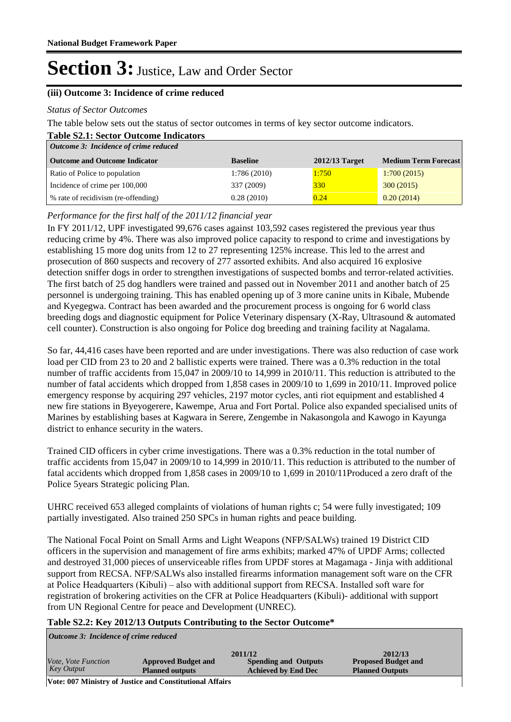#### **(iii) Outcome 3: Incidence of crime reduced**

#### *Status of Sector Outcomes*

The table below sets out the status of sector outcomes in terms of key sector outcome indicators.

| <b>Table S2.1: Sector Outcome Indicators</b> |                 |                  |                             |
|----------------------------------------------|-----------------|------------------|-----------------------------|
| Outcome 3: Incidence of crime reduced        |                 |                  |                             |
| <b>Outcome and Outcome Indicator</b>         | <b>Baseline</b> | $2012/13$ Target | <b>Medium Term Forecast</b> |
| Ratio of Police to population                | 1:786(2010)     | 1:750            | 1:700(2015)                 |
| Incidence of crime per 100,000               | 337 (2009)      | 330              | 300(2015)                   |
| % rate of recidivism (re-offending)          | 0.28(2010)      | 0.24             | 0.20(2014)                  |

#### *Performance for the first half of the 2011/12 financial year*

In FY 2011/12, UPF investigated 99,676 cases against 103,592 cases registered the previous year thus reducing crime by 4%. There was also improved police capacity to respond to crime and investigations by establishing 15 more dog units from 12 to 27 representing 125% increase. This led to the arrest and prosecution of 860 suspects and recovery of 277 assorted exhibits. And also acquired 16 explosive detection sniffer dogs in order to strengthen investigations of suspected bombs and terror-related activities. The first batch of 25 dog handlers were trained and passed out in November 2011 and another batch of 25 personnel is undergoing training. This has enabled opening up of 3 more canine units in Kibale, Mubende and Kyegegwa. Contract has been awarded and the procurement process is ongoing for 6 world class breeding dogs and diagnostic equipment for Police Veterinary dispensary (X-Ray, Ultrasound & automated cell counter). Construction is also ongoing for Police dog breeding and training facility at Nagalama.

So far, 44,416 cases have been reported and are under investigations. There was also reduction of case work load per CID from 23 to 20 and 2 ballistic experts were trained. There was a 0.3% reduction in the total number of traffic accidents from 15,047 in 2009/10 to 14,999 in 2010/11. This reduction is attributed to the number of fatal accidents which dropped from 1,858 cases in 2009/10 to 1,699 in 2010/11. Improved police emergency response by acquiring 297 vehicles, 2197 motor cycles, anti riot equipment and established 4 new fire stations in Byeyogerere, Kawempe, Arua and Fort Portal. Police also expanded specialised units of Marines by establishing bases at Kagwara in Serere, Zengembe in Nakasongola and Kawogo in Kayunga district to enhance security in the waters.

Trained CID officers in cyber crime investigations. There was a 0.3% reduction in the total number of traffic accidents from 15,047 in 2009/10 to 14,999 in 2010/11. This reduction is attributed to the number of fatal accidents which dropped from 1,858 cases in 2009/10 to 1,699 in 2010/11Produced a zero draft of the Police 5years Strategic policing Plan.

UHRC received 653 alleged complaints of violations of human rights c; 54 were fully investigated; 109 partially investigated. Also trained 250 SPCs in human rights and peace building.

The National Focal Point on Small Arms and Light Weapons (NFP/SALWs) trained 19 District CID officers in the supervision and management of fire arms exhibits; marked 47% of UPDF Arms; collected and destroyed 31,000 pieces of unserviceable rifles from UPDF stores at Magamaga - Jinja with additional support from RECSA. NFP/SALWs also installed firearms information management soft ware on the CFR at Police Headquarters (Kibuli) – also with additional support from RECSA. Installed soft ware for registration of brokering activities on the CFR at Police Headquarters (Kibuli)- additional with support from UN Regional Centre for peace and Development (UNREC).

#### **Table S2.2: Key 2012/13 Outputs Contributing to the Sector Outcome\***

*Outcome 3: Incidence of crime reduced*

|                     |                            | 2011/12                     | 2012/13                    |
|---------------------|----------------------------|-----------------------------|----------------------------|
| Vote, Vote Function | <b>Approved Budget and</b> | <b>Spending and Outputs</b> | <b>Proposed Budget and</b> |
| Key Output          | <b>Planned outputs</b>     | <b>Achieved by End Dec</b>  | <b>Planned Outputs</b>     |
| __                  |                            |                             |                            |

**Vote: 007 Ministry of Justice and Constitutional Affairs**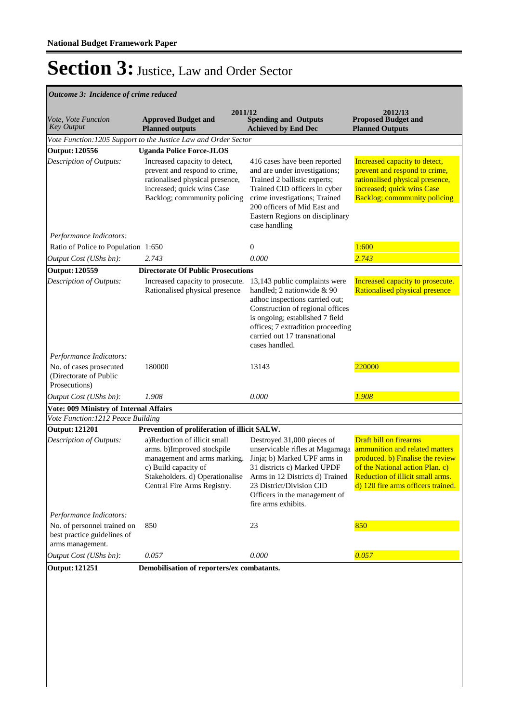#### *Outcome 3: Incidence of crime reduced*

| Vote, Vote Function<br><b>Key Output</b>                                       | 2011/12<br><b>Approved Budget and</b><br><b>Planned outputs</b>                                                                                                                      | <b>Spending and Outputs</b><br><b>Achieved by End Dec</b>                                                                                                                                                                                                   | 2012/13<br><b>Proposed Budget and</b><br><b>Planned Outputs</b>                                                                                                                                                  |
|--------------------------------------------------------------------------------|--------------------------------------------------------------------------------------------------------------------------------------------------------------------------------------|-------------------------------------------------------------------------------------------------------------------------------------------------------------------------------------------------------------------------------------------------------------|------------------------------------------------------------------------------------------------------------------------------------------------------------------------------------------------------------------|
|                                                                                | Vote Function: 1205 Support to the Justice Law and Order Sector                                                                                                                      |                                                                                                                                                                                                                                                             |                                                                                                                                                                                                                  |
| <b>Output: 120556</b>                                                          | <b>Uganda Police Force-JLOS</b>                                                                                                                                                      |                                                                                                                                                                                                                                                             |                                                                                                                                                                                                                  |
| Description of Outputs:                                                        | Increased capacity to detect,<br>prevent and respond to crime,<br>rationalised physical presence,<br>increased; quick wins Case<br>Backlog; commmunity policing                      | 416 cases have been reported<br>and are under investigations;<br>Trained 2 ballistic experts;<br>Trained CID officers in cyber<br>crime investigations; Trained<br>200 officers of Mid East and<br>Eastern Regions on disciplinary<br>case handling         | Increased capacity to detect,<br>prevent and respond to crime,<br>rationalised physical presence,<br>increased; quick wins Case<br><b>Backlog</b> ; commmunity policing                                          |
| Performance Indicators:                                                        |                                                                                                                                                                                      |                                                                                                                                                                                                                                                             |                                                                                                                                                                                                                  |
| Ratio of Police to Population 1:650                                            |                                                                                                                                                                                      | $\theta$                                                                                                                                                                                                                                                    | 1:600                                                                                                                                                                                                            |
| Output Cost (UShs bn):                                                         | 2.743                                                                                                                                                                                | 0.000                                                                                                                                                                                                                                                       | 2.743                                                                                                                                                                                                            |
| <b>Output: 120559</b>                                                          | <b>Directorate Of Public Prosecutions</b>                                                                                                                                            |                                                                                                                                                                                                                                                             |                                                                                                                                                                                                                  |
| Description of Outputs:                                                        | Increased capacity to prosecute.<br>Rationalised physical presence                                                                                                                   | 13,143 public complaints were<br>handled; 2 nationwide & 90<br>adhoc inspections carried out;<br>Construction of regional offices<br>is ongoing; established 7 field<br>offices; 7 extradition proceeding<br>carried out 17 transnational<br>cases handled. | Increased capacity to prosecute.<br>Rationalised physical presence                                                                                                                                               |
| Performance Indicators:                                                        |                                                                                                                                                                                      |                                                                                                                                                                                                                                                             |                                                                                                                                                                                                                  |
| No. of cases prosecuted<br>(Directorate of Public<br>Prosecutions)             | 180000                                                                                                                                                                               | 13143                                                                                                                                                                                                                                                       | 220000                                                                                                                                                                                                           |
| Output Cost (UShs bn):                                                         | 1.908                                                                                                                                                                                | 0.000                                                                                                                                                                                                                                                       | 1.908                                                                                                                                                                                                            |
| <b>Vote: 009 Ministry of Internal Affairs</b>                                  |                                                                                                                                                                                      |                                                                                                                                                                                                                                                             |                                                                                                                                                                                                                  |
| Vote Function: 1212 Peace Building                                             |                                                                                                                                                                                      |                                                                                                                                                                                                                                                             |                                                                                                                                                                                                                  |
| <b>Output: 121201</b>                                                          | Prevention of proliferation of illicit SALW.                                                                                                                                         |                                                                                                                                                                                                                                                             |                                                                                                                                                                                                                  |
| Description of Outputs:                                                        | a)Reduction of illicit small<br>arms. b)Improved stockpile<br>management and arms marking.<br>c) Build capacity of<br>Stakeholders. d) Operationalise<br>Central Fire Arms Registry. | Destroyed 31,000 pieces of<br>unservicable rifles at Magamaga<br>Jinja; b) Marked UPF arms in<br>31 districts c) Marked UPDF<br>Arms in 12 Districts d) Trained<br>23 District/Division CID<br>Officers in the management of<br>fire arms exhibits.         | <b>Draft bill on firearms</b><br>ammunition and related matters<br>produced. b) Finalise the review<br>of the National action Plan. c)<br>Reduction of illicit small arms.<br>d) 120 fire arms officers trained. |
| Performance Indicators:                                                        |                                                                                                                                                                                      |                                                                                                                                                                                                                                                             |                                                                                                                                                                                                                  |
| No. of personnel trained on<br>best practice guidelines of<br>arms management. | 850                                                                                                                                                                                  | 23                                                                                                                                                                                                                                                          | 850                                                                                                                                                                                                              |
| Output Cost (UShs bn):                                                         | 0.057                                                                                                                                                                                | 0.000                                                                                                                                                                                                                                                       | 0.057                                                                                                                                                                                                            |
| <b>Output: 121251</b>                                                          | Demobilisation of reporters/ex combatants.                                                                                                                                           |                                                                                                                                                                                                                                                             |                                                                                                                                                                                                                  |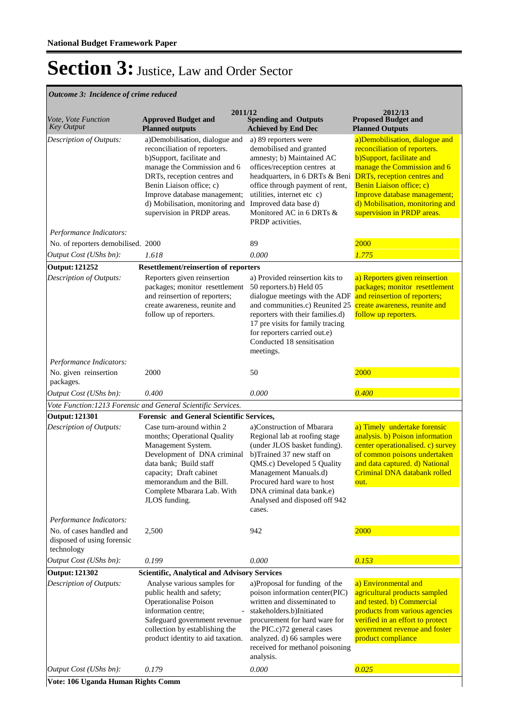#### *Outcome 3: Incidence of crime reduced*

|                                                                      | 2011/12                                                                                                                                                                                                                                                                                |                                                                                                                                                                                                                                                                                          | 2012/13                                                                                                                                                                                                                                                                                        |
|----------------------------------------------------------------------|----------------------------------------------------------------------------------------------------------------------------------------------------------------------------------------------------------------------------------------------------------------------------------------|------------------------------------------------------------------------------------------------------------------------------------------------------------------------------------------------------------------------------------------------------------------------------------------|------------------------------------------------------------------------------------------------------------------------------------------------------------------------------------------------------------------------------------------------------------------------------------------------|
| Vote, Vote Function<br><b>Key Output</b>                             | <b>Approved Budget and</b><br><b>Planned outputs</b>                                                                                                                                                                                                                                   | <b>Spending and Outputs</b><br><b>Achieved by End Dec</b>                                                                                                                                                                                                                                | <b>Proposed Budget and</b><br><b>Planned Outputs</b>                                                                                                                                                                                                                                           |
| Description of Outputs:                                              | a)Demobilisation, dialogue and<br>reconciliation of reporters.<br>b)Support, facilitate and<br>manage the Commission and 6<br>DRTs, reception centres and<br>Benin Liaison office; c)<br>Improve database management;<br>d) Mobilisation, monitoring and<br>supervision in PRDP areas. | a) 89 reporters were<br>demobilised and granted<br>amnesty; b) Maintained AC<br>offices/reception centres at<br>headquarters, in 6 DRTs & Beni<br>office through payment of rent,<br>utilities, internet etc c)<br>Improved data base d)<br>Monitored AC in 6 DRTs &<br>PRDP activities. | a)Demobilisation, dialogue and<br>reconciliation of reporters.<br>b)Support, facilitate and<br>manage the Commission and 6<br><b>DRTs</b> , reception centres and<br>Benin Liaison office; c)<br>Improve database management;<br>d) Mobilisation, monitoring and<br>supervision in PRDP areas. |
| Performance Indicators:                                              |                                                                                                                                                                                                                                                                                        |                                                                                                                                                                                                                                                                                          |                                                                                                                                                                                                                                                                                                |
| No. of reporters demobilised. 2000                                   | 1.618                                                                                                                                                                                                                                                                                  | 89<br>0.000                                                                                                                                                                                                                                                                              | 2000<br>1.775                                                                                                                                                                                                                                                                                  |
| Output Cost (UShs bn):<br><b>Output: 121252</b>                      |                                                                                                                                                                                                                                                                                        |                                                                                                                                                                                                                                                                                          |                                                                                                                                                                                                                                                                                                |
| Description of Outputs:                                              | <b>Resettlement/reinsertion of reporters</b><br>Reporters given reinsertion<br>packages; monitor resettlement<br>and reinsertion of reporters;<br>create awareness, reunite and<br>follow up of reporters.                                                                             | a) Provided reinsertion kits to<br>50 reporters.b) Held 05<br>dialogue meetings with the ADF<br>and communities.c) Reunited 25<br>reporters with their families.d)<br>17 pre visits for family tracing<br>for reporters carried out.e)<br>Conducted 18 sensitisation<br>meetings.        | a) Reporters given reinsertion<br>packages; monitor resettlement<br>and reinsertion of reporters;<br>create awareness, reunite and<br>follow up reporters.                                                                                                                                     |
| Performance Indicators:                                              |                                                                                                                                                                                                                                                                                        |                                                                                                                                                                                                                                                                                          |                                                                                                                                                                                                                                                                                                |
| No. given reinsertion<br>packages.                                   | 2000                                                                                                                                                                                                                                                                                   | 50                                                                                                                                                                                                                                                                                       | 2000                                                                                                                                                                                                                                                                                           |
| Output Cost (UShs bn):                                               | 0.400                                                                                                                                                                                                                                                                                  | 0.000                                                                                                                                                                                                                                                                                    | 0.400                                                                                                                                                                                                                                                                                          |
|                                                                      | Vote Function: 1213 Forensic and General Scientific Services.                                                                                                                                                                                                                          |                                                                                                                                                                                                                                                                                          |                                                                                                                                                                                                                                                                                                |
| <b>Output: 121301</b>                                                | Forensic and General Scientific Services,                                                                                                                                                                                                                                              |                                                                                                                                                                                                                                                                                          |                                                                                                                                                                                                                                                                                                |
| Description of Outputs:                                              | Case turn-around within 2<br>months; Operational Quality<br>Management System.<br>Development of DNA criminal<br>data bank; Build staff<br>capacity; Draft cabinet<br>memorandum and the Bill.<br>Complete Mbarara Lab. With<br>JLOS funding.                                          | a)Construction of Mbarara<br>Regional lab at roofing stage<br>(under JLOS basket funding).<br>b)Trained 37 new staff on<br>QMS.c) Developed 5 Quality<br>Management Manuals.d)<br>Procured hard ware to host<br>DNA criminal data bank.e)<br>Analysed and disposed off 942<br>cases.     | a) Timely undertake forensic<br>analysis. b) Poison information<br>center operationalised. c) survey<br>of common poisons undertaken<br>and data captured. d) National<br>Criminal DNA databank rolled<br><u>out.</u>                                                                          |
| Performance Indicators:                                              |                                                                                                                                                                                                                                                                                        |                                                                                                                                                                                                                                                                                          |                                                                                                                                                                                                                                                                                                |
| No. of cases handled and<br>disposed of using forensic<br>technology | 2,500                                                                                                                                                                                                                                                                                  | 942                                                                                                                                                                                                                                                                                      | 2000                                                                                                                                                                                                                                                                                           |
| Output Cost (UShs bn):                                               | 0.199                                                                                                                                                                                                                                                                                  | 0.000                                                                                                                                                                                                                                                                                    | 0.153                                                                                                                                                                                                                                                                                          |
| <b>Output: 121302</b>                                                | <b>Scientific, Analytical and Advisory Services</b>                                                                                                                                                                                                                                    |                                                                                                                                                                                                                                                                                          |                                                                                                                                                                                                                                                                                                |
| Description of Outputs:                                              | Analyse various samples for<br>public health and safety;<br>Operationalise Poison<br>information centre;<br>Safeguard government revenue<br>collection by establishing the<br>product identity to aid taxation.                                                                        | a)Proposal for funding of the<br>poison information center(PIC)<br>written and disseminated to<br>stakeholders.b)Initiated<br>procurement for hard ware for<br>the PIC.c)72 general cases<br>analyzed. d) 66 samples were<br>received for methanol poisoning<br>analysis.                | a) Environmental and<br>agricultural products sampled<br>and tested. b) Commercial<br>products from various agencies<br>verified in an effort to protect<br>government revenue and foster<br>product compliance                                                                                |
| Output Cost (UShs bn):                                               | 0.179                                                                                                                                                                                                                                                                                  | 0.000                                                                                                                                                                                                                                                                                    | 0.025                                                                                                                                                                                                                                                                                          |

**Vote: 106 Uganda Human Rights Comm**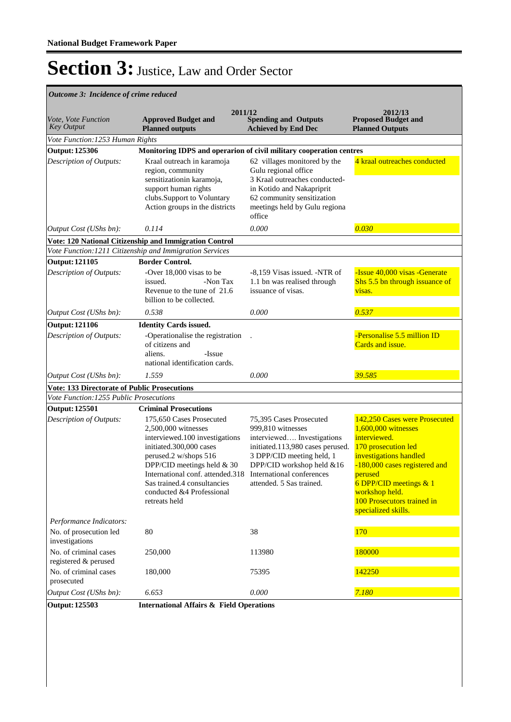*Outcome 3: Incidence of crime reduced*

| Vote, Vote Function<br><b>Key Output</b>      | 2011/12<br><b>Approved Budget and</b><br><b>Planned outputs</b>                                                                                                                                                                                                                      | <b>Spending and Outputs</b><br><b>Achieved by End Dec</b>                                                                                                                                                                         | 2012/13<br><b>Proposed Budget and</b><br><b>Planned Outputs</b>                                                                                                                                                                                                      |  |  |
|-----------------------------------------------|--------------------------------------------------------------------------------------------------------------------------------------------------------------------------------------------------------------------------------------------------------------------------------------|-----------------------------------------------------------------------------------------------------------------------------------------------------------------------------------------------------------------------------------|----------------------------------------------------------------------------------------------------------------------------------------------------------------------------------------------------------------------------------------------------------------------|--|--|
| Vote Function: 1253 Human Rights              |                                                                                                                                                                                                                                                                                      |                                                                                                                                                                                                                                   |                                                                                                                                                                                                                                                                      |  |  |
| <b>Output: 125306</b>                         | Monitoring IDPS and operarion of civil military cooperation centres                                                                                                                                                                                                                  |                                                                                                                                                                                                                                   |                                                                                                                                                                                                                                                                      |  |  |
| Description of Outputs:                       | Kraal outreach in karamoja<br>region, community<br>sensitizationin karamoja,<br>support human rights<br>clubs.Support to Voluntary<br>Action groups in the districts                                                                                                                 | 62 villages monitored by the<br>Gulu regional office<br>3 Kraal outreaches conducted-<br>in Kotido and Nakapriprit<br>62 community sensitization<br>meetings held by Gulu regiona<br>office                                       | 4 kraal outreaches conducted                                                                                                                                                                                                                                         |  |  |
| Output Cost (UShs bn):                        | 0.114                                                                                                                                                                                                                                                                                | 0.000                                                                                                                                                                                                                             | 0.030                                                                                                                                                                                                                                                                |  |  |
|                                               | Vote: 120 National Citizenship and Immigration Control                                                                                                                                                                                                                               |                                                                                                                                                                                                                                   |                                                                                                                                                                                                                                                                      |  |  |
|                                               | Vote Function: 1211 Citizenship and Immigration Services                                                                                                                                                                                                                             |                                                                                                                                                                                                                                   |                                                                                                                                                                                                                                                                      |  |  |
| <b>Output: 121105</b>                         | <b>Border Control.</b>                                                                                                                                                                                                                                                               |                                                                                                                                                                                                                                   |                                                                                                                                                                                                                                                                      |  |  |
| Description of Outputs:                       | -Over 18,000 visas to be<br>-Non Tax<br>issued.<br>Revenue to the tune of 21.6<br>billion to be collected.                                                                                                                                                                           | -8,159 Visas issued. -NTR of<br>1.1 bn was realised through<br>issuance of visas.                                                                                                                                                 | -Issue 40,000 visas -Generate<br>Shs 5.5 bn through issuance of<br>visas.                                                                                                                                                                                            |  |  |
| Output Cost (UShs bn):                        | 0.538                                                                                                                                                                                                                                                                                | 0.000                                                                                                                                                                                                                             | 0.537                                                                                                                                                                                                                                                                |  |  |
| <b>Output: 121106</b>                         | <b>Identity Cards issued.</b>                                                                                                                                                                                                                                                        |                                                                                                                                                                                                                                   |                                                                                                                                                                                                                                                                      |  |  |
| Description of Outputs:                       | -Operationalise the registration<br>of citizens and<br>aliens.<br>-Issue<br>national identification cards.                                                                                                                                                                           |                                                                                                                                                                                                                                   | -Personalise 5.5 million ID<br>Cards and issue.                                                                                                                                                                                                                      |  |  |
| Output Cost (UShs bn):                        | 1.559                                                                                                                                                                                                                                                                                | 0.000                                                                                                                                                                                                                             | 39.585                                                                                                                                                                                                                                                               |  |  |
|                                               | <b>Vote: 133 Directorate of Public Prosecutions</b>                                                                                                                                                                                                                                  |                                                                                                                                                                                                                                   |                                                                                                                                                                                                                                                                      |  |  |
| Vote Function: 1255 Public Prosecutions       |                                                                                                                                                                                                                                                                                      |                                                                                                                                                                                                                                   |                                                                                                                                                                                                                                                                      |  |  |
| <b>Output: 125501</b>                         | <b>Criminal Prosecutions</b>                                                                                                                                                                                                                                                         |                                                                                                                                                                                                                                   |                                                                                                                                                                                                                                                                      |  |  |
| Description of Outputs:                       | 175,650 Cases Prosecuted<br>2,500,000 witnesses<br>interviewed.100 investigations<br>initiated.300,000 cases<br>perused.2 w/shops 516<br>DPP/CID meetings held & 30<br>International conf. attended.318<br>Sas trained.4 consultancies<br>conducted &4 Professional<br>retreats held | 75,395 Cases Prosecuted<br>999,810 witnesses<br>interviewed Investigations<br>initiated.113,980 cases perused.<br>3 DPP/CID meeting held, 1<br>DPP/CID workshop held &16<br>International conferences<br>attended. 5 Sas trained. | 142,250 Cases were Prosecuted<br>1,600,000 witnesses<br>interviewed.<br>170 prosecution led<br>investigations handled<br>-180,000 cases registered and<br>perused<br>6 DPP/CID meetings $& 1$<br>workshop held.<br>100 Prosecutors trained in<br>specialized skills. |  |  |
| Performance Indicators:                       |                                                                                                                                                                                                                                                                                      |                                                                                                                                                                                                                                   |                                                                                                                                                                                                                                                                      |  |  |
| No. of prosecution led<br>investigations      | 80                                                                                                                                                                                                                                                                                   | 38                                                                                                                                                                                                                                | 170                                                                                                                                                                                                                                                                  |  |  |
| No. of criminal cases<br>registered & perused | 250,000                                                                                                                                                                                                                                                                              | 113980                                                                                                                                                                                                                            | 180000                                                                                                                                                                                                                                                               |  |  |
| No. of criminal cases<br>prosecuted           | 180,000                                                                                                                                                                                                                                                                              | 75395                                                                                                                                                                                                                             | 142250                                                                                                                                                                                                                                                               |  |  |
| Output Cost (UShs bn):                        | 6.653                                                                                                                                                                                                                                                                                | 0.000                                                                                                                                                                                                                             | 7.180                                                                                                                                                                                                                                                                |  |  |
| <b>Output: 125503</b>                         | <b>International Affairs &amp; Field Operations</b>                                                                                                                                                                                                                                  |                                                                                                                                                                                                                                   |                                                                                                                                                                                                                                                                      |  |  |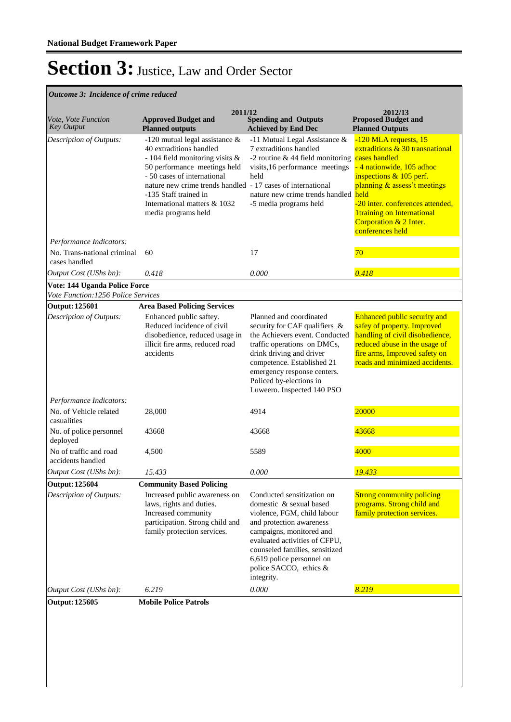### *Outcome 3: Incidence of crime reduced*

| Vote, Vote Function<br><b>Key Output</b>               | 2011/12<br><b>Approved Budget and</b><br><b>Planned outputs</b>                                                                                                                                                                                                                                               | <b>Spending and Outputs</b><br><b>Achieved by End Dec</b>                                                                                                                                                                                                                            | 2012/13<br><b>Proposed Budget and</b><br><b>Planned Outputs</b>                                                                                                                                                                                                                            |
|--------------------------------------------------------|---------------------------------------------------------------------------------------------------------------------------------------------------------------------------------------------------------------------------------------------------------------------------------------------------------------|--------------------------------------------------------------------------------------------------------------------------------------------------------------------------------------------------------------------------------------------------------------------------------------|--------------------------------------------------------------------------------------------------------------------------------------------------------------------------------------------------------------------------------------------------------------------------------------------|
| Description of Outputs:                                | -120 mutual legal assistance $\&$<br>40 extraditions handled<br>- 104 field monitoring visits &<br>50 performance meetings held<br>- 50 cases of international<br>nature new crime trends handled - 17 cases of international<br>-135 Staff trained in<br>International matters & 1032<br>media programs held | -11 Mutual Legal Assistance &<br>7 extraditions handled<br>-2 routine $& 44$ field monitoring<br>visits, 16 performance meetings<br>held<br>nature new crime trends handled held<br>-5 media programs held                                                                           | -120 MLA requests, 15<br>extraditions & 30 transnational<br>cases handled<br>- 4 nationwide, 105 adhoc<br>inspections $& 105$ perf.<br>planning & assess't meetings<br>-20 inter. conferences attended,<br><b>1training on International</b><br>Corporation & 2 Inter.<br>conferences held |
| Performance Indicators:<br>No. Trans-national criminal | 60                                                                                                                                                                                                                                                                                                            | 17                                                                                                                                                                                                                                                                                   | 70                                                                                                                                                                                                                                                                                         |
| cases handled<br>Output Cost (UShs bn):                | 0.418                                                                                                                                                                                                                                                                                                         | 0.000                                                                                                                                                                                                                                                                                | 0.418                                                                                                                                                                                                                                                                                      |
| Vote: 144 Uganda Police Force                          |                                                                                                                                                                                                                                                                                                               |                                                                                                                                                                                                                                                                                      |                                                                                                                                                                                                                                                                                            |
| Vote Function: 1256 Police Services                    |                                                                                                                                                                                                                                                                                                               |                                                                                                                                                                                                                                                                                      |                                                                                                                                                                                                                                                                                            |
| <b>Output: 125601</b>                                  | <b>Area Based Policing Services</b>                                                                                                                                                                                                                                                                           |                                                                                                                                                                                                                                                                                      |                                                                                                                                                                                                                                                                                            |
| Description of Outputs:                                | Enhanced public saftey.<br>Reduced incidence of civil<br>disobedience, reduced usage in<br>illicit fire arms, reduced road<br>accidents                                                                                                                                                                       | Planned and coordinated<br>security for CAF qualifiers &<br>the Achievers event. Conducted<br>traffic operations on DMCs,<br>drink driving and driver<br>competence. Established 21<br>emergency response centers.<br>Policed by-elections in<br>Luweero. Inspected 140 PSO          | Enhanced public security and<br>safey of property. Improved<br>handling of civil disobedience,<br>reduced abuse in the usage of<br>fire arms, Improved safety on<br>roads and minimized accidents.                                                                                         |
| Performance Indicators:                                |                                                                                                                                                                                                                                                                                                               |                                                                                                                                                                                                                                                                                      |                                                                                                                                                                                                                                                                                            |
| No. of Vehicle related<br>casualities                  | 28,000                                                                                                                                                                                                                                                                                                        | 4914                                                                                                                                                                                                                                                                                 | 20000                                                                                                                                                                                                                                                                                      |
| No. of police personnel<br>deployed                    | 43668                                                                                                                                                                                                                                                                                                         | 43668                                                                                                                                                                                                                                                                                | 43668                                                                                                                                                                                                                                                                                      |
| No of traffic and road<br>accidents handled            | 4,500                                                                                                                                                                                                                                                                                                         | 5589                                                                                                                                                                                                                                                                                 | 4000                                                                                                                                                                                                                                                                                       |
| <i>Output Cost (UShs bn):</i>                          | 15.433                                                                                                                                                                                                                                                                                                        | 0.000                                                                                                                                                                                                                                                                                | 19.433                                                                                                                                                                                                                                                                                     |
| <b>Output: 125604</b>                                  | <b>Community Based Policing</b>                                                                                                                                                                                                                                                                               |                                                                                                                                                                                                                                                                                      |                                                                                                                                                                                                                                                                                            |
| Description of Outputs:                                | Increased public awareness on<br>laws, rights and duties.<br>Increased community<br>participation. Strong child and<br>family protection services.                                                                                                                                                            | Conducted sensitization on<br>domestic & sexual based<br>violence, FGM, child labour<br>and protection awareness<br>campaigns, monitored and<br>evaluated activities of CFPU,<br>counseled families, sensitized<br>6,619 police personnel on<br>police SACCO, ethics &<br>integrity. | <b>Strong community policing</b><br>programs. Strong child and<br>family protection services.                                                                                                                                                                                              |
| Output Cost (UShs bn):                                 | 6.219                                                                                                                                                                                                                                                                                                         | 0.000                                                                                                                                                                                                                                                                                | 8.219                                                                                                                                                                                                                                                                                      |
| <b>Output: 125605</b>                                  | <b>Mobile Police Patrols</b>                                                                                                                                                                                                                                                                                  |                                                                                                                                                                                                                                                                                      |                                                                                                                                                                                                                                                                                            |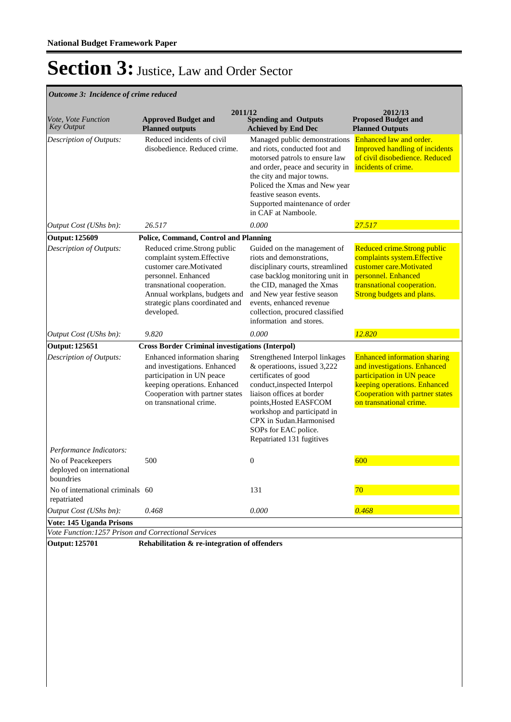#### *Outcome 3: Incidence of crime reduced*

| Vote, Vote Function<br><b>Key Output</b>                     | 2011/12<br><b>Approved Budget and</b><br><b>Planned outputs</b>                                                                                                                                                              | <b>Spending and Outputs</b><br><b>Achieved by End Dec</b>                                                                                                                                                                                                                                  | 2012/13<br><b>Proposed Budget and</b><br><b>Planned Outputs</b>                                                                                                                                       |
|--------------------------------------------------------------|------------------------------------------------------------------------------------------------------------------------------------------------------------------------------------------------------------------------------|--------------------------------------------------------------------------------------------------------------------------------------------------------------------------------------------------------------------------------------------------------------------------------------------|-------------------------------------------------------------------------------------------------------------------------------------------------------------------------------------------------------|
| Description of Outputs:                                      | Reduced incidents of civil<br>disobedience. Reduced crime.                                                                                                                                                                   | Managed public demonstrations<br>and riots, conducted foot and<br>motorsed patrols to ensure law<br>and order, peace and security in<br>the city and major towns.<br>Policed the Xmas and New year<br>feastive season events.<br>Supported maintenance of order<br>in CAF at Namboole.     | Enhanced law and order.<br><b>Improved handling of incidents</b><br>of civil disobedience. Reduced<br>incidents of crime.                                                                             |
| Output Cost (UShs bn):                                       | 26.517                                                                                                                                                                                                                       | 0.000                                                                                                                                                                                                                                                                                      | 27.517                                                                                                                                                                                                |
| <b>Output: 125609</b>                                        | <b>Police, Command, Control and Planning</b>                                                                                                                                                                                 |                                                                                                                                                                                                                                                                                            |                                                                                                                                                                                                       |
| Description of Outputs:                                      | Reduced crime.Strong public<br>complaint system.Effective<br>customer care. Motivated<br>personnel. Enhanced<br>transnational cooperation.<br>Annual workplans, budgets and<br>strategic plans coordinated and<br>developed. | Guided on the management of<br>riots and demonstrations,<br>disciplinary courts, streamlined<br>case backlog monitoring unit in<br>the CID, managed the Xmas<br>and New year festive season<br>events, enhanced revenue<br>collection, procured classified<br>information and stores.      | Reduced crime.Strong public<br>complaints system.Effective<br>customer care.Motivated<br>personnel. Enhanced<br>transnational cooperation.<br>Strong budgets and plans.                               |
| Output Cost (UShs bn):                                       | 9.820                                                                                                                                                                                                                        | 0.000                                                                                                                                                                                                                                                                                      | 12.820                                                                                                                                                                                                |
| <b>Output: 125651</b>                                        | <b>Cross Border Criminal investigations (Interpol)</b>                                                                                                                                                                       |                                                                                                                                                                                                                                                                                            |                                                                                                                                                                                                       |
| Description of Outputs:                                      | Enhanced information sharing<br>and investigations. Enhanced<br>participation in UN peace<br>keeping operations. Enhanced<br>Cooperation with partner states<br>on transnational crime.                                      | Strengthened Interpol linkages<br>& operatioons, issued 3,222<br>certificates of good<br>conduct, inspected Interpol<br>liaison offices at border<br>points, Hosted EASFCOM<br>workshop and participatd in<br>CPX in Sudan.Harmonised<br>SOPs for EAC police.<br>Repatriated 131 fugitives | <b>Enhanced information sharing</b><br>and investigations. Enhanced<br>participation in UN peace<br>keeping operations. Enhanced<br><b>Cooperation with partner states</b><br>on transnational crime. |
| Performance Indicators:                                      |                                                                                                                                                                                                                              |                                                                                                                                                                                                                                                                                            |                                                                                                                                                                                                       |
| No of Peacekeepers<br>deployed on international<br>boundries | 500                                                                                                                                                                                                                          | $\boldsymbol{0}$                                                                                                                                                                                                                                                                           | 600                                                                                                                                                                                                   |
| No of international criminals 60<br>repatriated              |                                                                                                                                                                                                                              | 131                                                                                                                                                                                                                                                                                        | 70                                                                                                                                                                                                    |
| Output Cost (UShs bn):                                       | 0.468                                                                                                                                                                                                                        | 0.000                                                                                                                                                                                                                                                                                      | 0.468                                                                                                                                                                                                 |
| Vote: 145 Uganda Prisons                                     |                                                                                                                                                                                                                              |                                                                                                                                                                                                                                                                                            |                                                                                                                                                                                                       |
| Vote Function: 1257 Prison and Correctional Services         |                                                                                                                                                                                                                              |                                                                                                                                                                                                                                                                                            |                                                                                                                                                                                                       |

**Output: 125701 Rehabilitation & re-integration of offenders**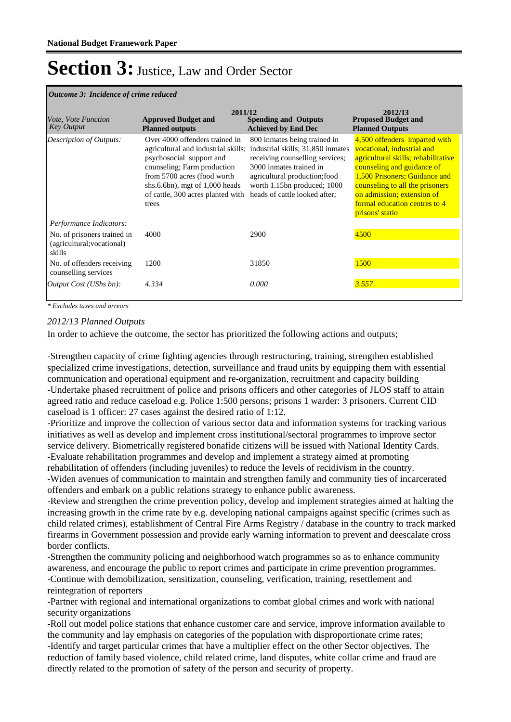#### *Outcome 3: Incidence of crime reduced*

| <i>Vote, Vote Function</i><br><b>Key Output</b>                     | 2011/12<br><b>Approved Budget and</b><br><b>Planned outputs</b>                                                                                                                                                                                   | <b>Spending and Outputs</b><br><b>Achieved by End Dec</b>                                                                                                                                                                        | 2012/13<br><b>Proposed Budget and</b><br><b>Planned Outputs</b>                                                                                                                                                                                                                        |
|---------------------------------------------------------------------|---------------------------------------------------------------------------------------------------------------------------------------------------------------------------------------------------------------------------------------------------|----------------------------------------------------------------------------------------------------------------------------------------------------------------------------------------------------------------------------------|----------------------------------------------------------------------------------------------------------------------------------------------------------------------------------------------------------------------------------------------------------------------------------------|
| Description of Outputs:                                             | Over 4000 offenders trained in<br>agricultural and industrial skills;<br>psychosocial support and<br>counseling; Farm production<br>from 5700 acres (food worth<br>shs.6.6bn), mgt of $1,000$ heads<br>of cattle, 300 acres planted with<br>trees | 800 inmates being trained in<br>industrial skills; 31,850 inmates<br>receiving counselling services;<br>3000 inmates trained in<br>agricultural production; food<br>worth 1.15bn produced; 1000<br>heads of cattle looked after; | 4,500 offenders imparted with<br>vocational, industrial and<br>agricultural skills; rehabilitative<br>counseling and guidance of<br>1,500 Prisoners; Guidance and<br>counseling to all the prisoners<br>on admission; extension of<br>formal education centres to 4<br>prisons' statio |
| Performance Indicators:                                             |                                                                                                                                                                                                                                                   |                                                                                                                                                                                                                                  |                                                                                                                                                                                                                                                                                        |
| No. of prisoners trained in<br>(agricultural; vocational)<br>skills | 4000                                                                                                                                                                                                                                              | 2900                                                                                                                                                                                                                             | 4500                                                                                                                                                                                                                                                                                   |
| No. of offenders receiving<br>counselling services                  | 1200                                                                                                                                                                                                                                              | 31850                                                                                                                                                                                                                            | 1500                                                                                                                                                                                                                                                                                   |
| <i>Output Cost (UShs bn):</i>                                       | 4.334                                                                                                                                                                                                                                             | 0.000                                                                                                                                                                                                                            | 3.557                                                                                                                                                                                                                                                                                  |

*\* Excludes taxes and arrears*

#### *2012/13 Planned Outputs*

In order to achieve the outcome, the sector has prioritized the following actions and outputs;

-Strengthen capacity of crime fighting agencies through restructuring, training, strengthen established specialized crime investigations, detection, surveillance and fraud units by equipping them with essential communication and operational equipment and re-organization, recruitment and capacity building -Undertake phased recruitment of police and prisons officers and other categories of JLOS staff to attain agreed ratio and reduce caseload e.g. Police 1:500 persons; prisons 1 warder: 3 prisoners. Current CID caseload is 1 officer: 27 cases against the desired ratio of 1:12.

-Prioritize and improve the collection of various sector data and information systems for tracking various initiatives as well as develop and implement cross institutional/sectoral programmes to improve sector service delivery. Biometrically registered bonafide citizens will be issued with National Identity Cards. -Evaluate rehabilitation programmes and develop and implement a strategy aimed at promoting rehabilitation of offenders (including juveniles) to reduce the levels of recidivism in the country.

-Widen avenues of communication to maintain and strengthen family and community ties of incarcerated offenders and embark on a public relations strategy to enhance public awareness.

-Review and strengthen the crime prevention policy, develop and implement strategies aimed at halting the increasing growth in the crime rate by e.g. developing national campaigns against specific (crimes such as child related crimes), establishment of Central Fire Arms Registry / database in the country to track marked firearms in Government possession and provide early warning information to prevent and deescalate cross border conflicts.

-Strengthen the community policing and neighborhood watch programmes so as to enhance community awareness, and encourage the public to report crimes and participate in crime prevention programmes. -Continue with demobilization, sensitization, counseling, verification, training, resettlement and reintegration of reporters

-Partner with regional and international organizations to combat global crimes and work with national security organizations

-Roll out model police stations that enhance customer care and service, improve information available to the community and lay emphasis on categories of the population with disproportionate crime rates; -Identify and target particular crimes that have a multiplier effect on the other Sector objectives. The reduction of family based violence, child related crime, land disputes, white collar crime and fraud are directly related to the promotion of safety of the person and security of property.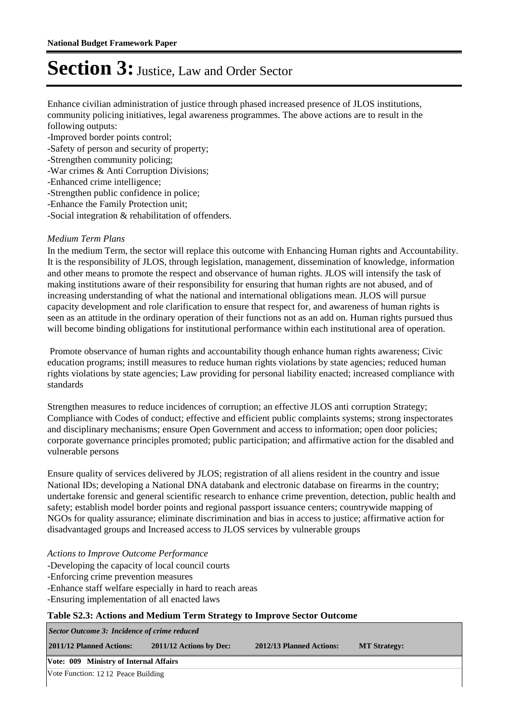Enhance civilian administration of justice through phased increased presence of JLOS institutions, community policing initiatives, legal awareness programmes. The above actions are to result in the following outputs:

- -Improved border points control;
- -Safety of person and security of property;
- -Strengthen community policing;
- -War crimes & Anti Corruption Divisions;
- -Enhanced crime intelligence;
- -Strengthen public confidence in police;
- -Enhance the Family Protection unit;
- -Social integration & rehabilitation of offenders.

#### *Medium Term Plans*

In the medium Term, the sector will replace this outcome with Enhancing Human rights and Accountability. It is the responsibility of JLOS, through legislation, management, dissemination of knowledge, information and other means to promote the respect and observance of human rights. JLOS will intensify the task of making institutions aware of their responsibility for ensuring that human rights are not abused, and of increasing understanding of what the national and international obligations mean. JLOS will pursue capacity development and role clarification to ensure that respect for, and awareness of human rights is seen as an attitude in the ordinary operation of their functions not as an add on. Human rights pursued thus will become binding obligations for institutional performance within each institutional area of operation.

 Promote observance of human rights and accountability though enhance human rights awareness; Civic education programs; instill measures to reduce human rights violations by state agencies; reduced human rights violations by state agencies; Law providing for personal liability enacted; increased compliance with standards

Strengthen measures to reduce incidences of corruption; an effective JLOS anti corruption Strategy; Compliance with Codes of conduct; effective and efficient public complaints systems; strong inspectorates and disciplinary mechanisms; ensure Open Government and access to information; open door policies; corporate governance principles promoted; public participation; and affirmative action for the disabled and vulnerable persons

Ensure quality of services delivered by JLOS; registration of all aliens resident in the country and issue National IDs; developing a National DNA databank and electronic database on firearms in the country; undertake forensic and general scientific research to enhance crime prevention, detection, public health and safety; establish model border points and regional passport issuance centers; countrywide mapping of NGOs for quality assurance; eliminate discrimination and bias in access to justice; affirmative action for disadvantaged groups and Increased access to JLOS services by vulnerable groups

*Actions to Improve Outcome Performance*

- -Developing the capacity of local council courts
- -Enforcing crime prevention measures
- -Enhance staff welfare especially in hard to reach areas
- -Ensuring implementation of all enacted laws

#### **Table S2.3: Actions and Medium Term Strategy to Improve Sector Outcome**

**2011/12 Planned Actions: 2011/12 Actions by Dec: 2012/13 Planned Actions: MT Strategy:** *Sector Outcome 3: Incidence of crime reduced*

**Vote: 009 Ministry of Internal Affairs**

Vote Function: 12 12 Peace Building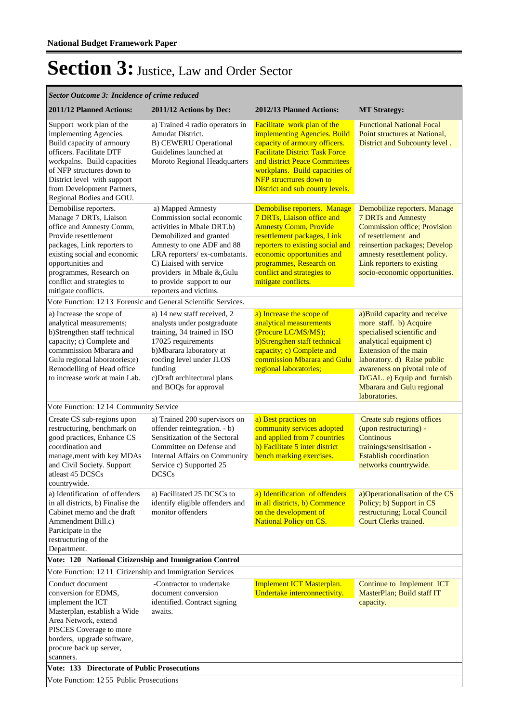| 2011/12 Planned Actions:                                                                                                                                                                                                                                                | 2011/12 Actions by Dec:                                                                                                                                                                                                                                                              | 2012/13 Planned Actions:                                                                                                                                                                                                                                                      | <b>MT Strategy:</b>                                                                                                                                                                                                                                                                         |
|-------------------------------------------------------------------------------------------------------------------------------------------------------------------------------------------------------------------------------------------------------------------------|--------------------------------------------------------------------------------------------------------------------------------------------------------------------------------------------------------------------------------------------------------------------------------------|-------------------------------------------------------------------------------------------------------------------------------------------------------------------------------------------------------------------------------------------------------------------------------|---------------------------------------------------------------------------------------------------------------------------------------------------------------------------------------------------------------------------------------------------------------------------------------------|
| Support work plan of the<br>implementing Agencies.<br>Build capacity of armoury<br>officers. Facilitate DTF<br>workpalns. Build capacities<br>of NFP structures down to<br>District level with support<br>from Development Partners,<br>Regional Bodies and GOU.        | a) Trained 4 radio operators in<br>Amudat District.<br><b>B) CEWERU Operational</b><br>Guidelines launched at<br>Moroto Regional Headquarters                                                                                                                                        | <b>Facilitate</b> work plan of the<br>implementing Agencies. Build<br>capacity of armoury officers.<br><b>Facilitate District Task Force</b><br>and district Peace Committees<br>workplans. Build capacities of<br>NFP strucrtures down to<br>District and sub county levels. | <b>Functional National Focal</b><br>Point structures at National,<br>District and Subcounty level.                                                                                                                                                                                          |
| Demobilise reporters.<br>Manage 7 DRTs, Liaison<br>office and Amnesty Comm,<br>Provide resettlement<br>packages, Link reporters to<br>existing social and economic<br>opportunities and<br>programmes, Research on<br>conflict and strategies to<br>mitigate conflicts. | a) Mapped Amnesty<br>Commission social economic<br>activities in Mbale DRT.b)<br>Demobilized and granted<br>Amnesty to one ADF and 88<br>LRA reporters/ex-combatants.<br>C) Liaised with service<br>providers in Mbale &,Gulu<br>to provide support to our<br>reporters and victims. | Demobilise reporters. Manage<br>7 DRTs, Liaison office and<br><b>Amnesty Comm, Provide</b><br>resettlement packages, Link<br>reporters to existing social and<br>economic opportunities and<br>programmes, Research on<br>conflict and strategies to<br>mitigate conflicts.   | Demobilize reporters. Manage<br>7 DRTs and Amnesty<br><b>Commission office; Provision</b><br>of resettlement and<br>reinsertion packages; Develop<br>amnesty resettlement policy.<br>Link reporters to existing<br>socio-economic opportunities.                                            |
| Vote Function: 1213 Forensic and General Scientific Services.                                                                                                                                                                                                           |                                                                                                                                                                                                                                                                                      |                                                                                                                                                                                                                                                                               |                                                                                                                                                                                                                                                                                             |
| a) Increase the scope of<br>analytical measurements;<br>b)Strengthen staff technical<br>capacity; c) Complete and<br>commmission Mbarara and<br>Gulu regional laboratories;e)<br>Remodelling of Head office<br>to increase work at main Lab.                            | a) 14 new staff received, 2<br>analysts under postgraduate<br>training, 34 trained in ISO<br>17025 requirements<br>b)Mbarara laboratory at<br>roofing level under JLOS<br>funding<br>c)Draft architectural plans<br>and BOQs for approval                                            | a) Increase the scope of<br>analytical measurements<br>(Procure LC/MS/MS);<br>b)Strengthen staff technical<br>capacity; c) Complete and<br>commission Mbarara and Gulu<br>regional laboratories;                                                                              | a)Build capacity and receive<br>more staff. b) Acquire<br>specialised scientific and<br>analytical equipment c)<br><b>Extension of the main</b><br>laboratory. d) Raise public<br>awareness on pivotal role of<br>D/GAL. e) Equip and furnish<br>Mbarara and Gulu regional<br>laboratories. |
| Vote Function: 12 14 Community Service                                                                                                                                                                                                                                  |                                                                                                                                                                                                                                                                                      |                                                                                                                                                                                                                                                                               |                                                                                                                                                                                                                                                                                             |
| Create CS sub-regions upon<br>restructuring, benchmark on<br>good practices, Enhance CS<br>coordination and<br>manage, ment with key MDAs<br>and Civil Society. Support<br>atleast 45 DCSCs                                                                             | a) Trained 200 supervisors on<br>offender reintegration. - b)<br>Sensitization of the Sectoral<br>Committee on Defense and<br>Internal Affairs on Community<br>Service c) Supported 25<br><b>DCSCs</b>                                                                               | a) Best practices on<br>community services adopted<br>and applied from 7 countries<br>b) Facilitate 5 inter district<br>bench marking exercises.                                                                                                                              | Create sub regions offices<br>(upon restructuring) -<br><b>Continous</b><br>trainings/sensitisation -<br><b>Establish coordination</b><br>networks countrywide.                                                                                                                             |
| countrywide.<br>a) Identification of offenders<br>in all districts, b) Finalise the<br>Cabinet memo and the draft<br>Ammendment Bill.c)<br>Participate in the<br>restructuring of the<br>Department.                                                                    | a) Facilitated 25 DCSCs to<br>identify eligible offenders and<br>monitor offenders                                                                                                                                                                                                   | a) Identification of offenders<br>in all districts, b) Commence<br>on the development of<br><b>National Policy on CS.</b>                                                                                                                                                     | a)Operationalisation of the CS<br>Policy; b) Support in CS<br>restructuring; Local Council<br>Court Clerks trained.                                                                                                                                                                         |
| Vote: 120 National Citizenship and Immigration Control                                                                                                                                                                                                                  |                                                                                                                                                                                                                                                                                      |                                                                                                                                                                                                                                                                               |                                                                                                                                                                                                                                                                                             |
| Vote Function: 12 11 Citizenship and Immigration Services                                                                                                                                                                                                               |                                                                                                                                                                                                                                                                                      |                                                                                                                                                                                                                                                                               |                                                                                                                                                                                                                                                                                             |
| Conduct document<br>conversion for EDMS,<br>implement the ICT<br>Masterplan, establish a Wide<br>Area Network, extend<br>PISCES Coverage to more<br>borders, upgrade software,<br>procure back up server,<br>scanners.                                                  | -Contractor to undertake<br>document conversion<br>identified. Contract signing<br>awaits.                                                                                                                                                                                           | Implement ICT Masterplan.<br>Undertake interconnectivity.                                                                                                                                                                                                                     | Continue to Implement ICT<br>MasterPlan; Build staff IT<br>capacity.                                                                                                                                                                                                                        |
| <b>Vote: 133 Directorate of Public Prosecutions</b><br>$10.55 \times 11$                                                                                                                                                                                                |                                                                                                                                                                                                                                                                                      |                                                                                                                                                                                                                                                                               |                                                                                                                                                                                                                                                                                             |

Vote Function: 12 55 Public Prosecutions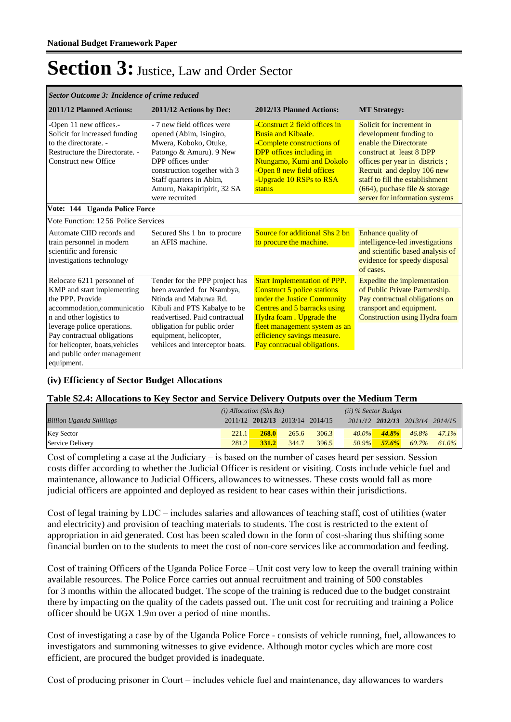| Sector Outcome 3: Incidence of crime reduced                                                                                                                                                                                                                                          |                                                                                                                                                                                                                                                    |                                                                                                                                                                                                                                                                    |                                                                                                                                                                                                                                                                                   |  |  |  |  |  |  |
|---------------------------------------------------------------------------------------------------------------------------------------------------------------------------------------------------------------------------------------------------------------------------------------|----------------------------------------------------------------------------------------------------------------------------------------------------------------------------------------------------------------------------------------------------|--------------------------------------------------------------------------------------------------------------------------------------------------------------------------------------------------------------------------------------------------------------------|-----------------------------------------------------------------------------------------------------------------------------------------------------------------------------------------------------------------------------------------------------------------------------------|--|--|--|--|--|--|
| 2011/12 Planned Actions:                                                                                                                                                                                                                                                              | 2011/12 Actions by Dec:                                                                                                                                                                                                                            | 2012/13 Planned Actions:                                                                                                                                                                                                                                           | <b>MT Strategy:</b>                                                                                                                                                                                                                                                               |  |  |  |  |  |  |
| -Open 11 new offices.-<br>Solicit for increased funding<br>to the directorate. -<br>Restructure the Directorate. -<br>Construct new Office                                                                                                                                            | - 7 new field offices were<br>opened (Abim, Isingiro,<br>Mwera, Koboko, Otuke,<br>Patongo & Amuru). 9 New<br>DPP offices under<br>construction together with 3<br>Staff quarters in Abim,<br>Amuru, Nakapiripirit, 32 SA<br>were recruited         | -Construct 2 field offices in<br><b>Busia and Kibaale.</b><br>-Complete constructions of<br><b>DPP</b> offices including in<br>Ntungamo, Kumi and Dokolo<br>-Open 8 new field offices<br>-Upgrade 10 RSPs to RSA<br>status                                         | Solicit for increment in<br>development funding to<br>enable the Directorate<br>construct at least 8 DPP<br>offices per year in districts;<br>Recruit and deploy 106 new<br>staff to fill the establishment<br>$(664)$ , puchase file & storage<br>server for information systems |  |  |  |  |  |  |
|                                                                                                                                                                                                                                                                                       | Vote: 144 Uganda Police Force                                                                                                                                                                                                                      |                                                                                                                                                                                                                                                                    |                                                                                                                                                                                                                                                                                   |  |  |  |  |  |  |
| Vote Function: 1256 Police Services                                                                                                                                                                                                                                                   |                                                                                                                                                                                                                                                    |                                                                                                                                                                                                                                                                    |                                                                                                                                                                                                                                                                                   |  |  |  |  |  |  |
| Automate CIID records and<br>train personnel in modern<br>scientific and forensic<br>investigations technology                                                                                                                                                                        | Secured Shs 1 bn to procure<br>an AFIS machine.                                                                                                                                                                                                    | Source for additional Shs 2 bn<br>to procure the machine.                                                                                                                                                                                                          | Enhance quality of<br>intelligence-led investigations<br>and scientific based analysis of<br>evidence for speedy disposal<br>of cases.                                                                                                                                            |  |  |  |  |  |  |
| Relocate 6211 personnel of<br>KMP and start implementing<br>the PPP. Provide<br>accommodation, communicatio<br>n and other logistics to<br>leverage police operations.<br>Pay contractual obligations<br>for helicopter, boats, vehicles<br>and public order management<br>equipment. | Tender for the PPP project has<br>been awarded for Nsambya,<br>Ntinda and Mabuwa Rd.<br>Kibuli and PTS Kabalye to be<br>readvertised. Paid contractual<br>obligation for public order<br>equipment, helicopter,<br>vehilces and interceptor boats. | <b>Start Implementation of PPP.</b><br><b>Construct 5 police stations</b><br>under the Justice Community<br>Centres and 5 barracks using<br>Hydra foam. Upgrade the<br>fleet management system as an<br>efficiency savings measure.<br>Pay contracual obligations. | Expedite the implementation<br>of Public Private Partnership.<br>Pay contractual obligations on<br>transport and equipment.<br>Construction using Hydra foam                                                                                                                      |  |  |  |  |  |  |

#### **(iv) Efficiency of Sector Budget Allocations**

#### **Table S2.4: Allocations to Key Sector and Service Delivery Outputs over the Medium Term**

|                                 | $(i)$ Allocation (Shs Bn) |              |                                 | $(ii)$ % Sector Budget |          |       |          |                                 |
|---------------------------------|---------------------------|--------------|---------------------------------|------------------------|----------|-------|----------|---------------------------------|
| <b>Billion Uganda Shillings</b> |                           |              | 2011/12 2012/13 2013/14 2014/15 |                        |          |       |          | 2011/12 2012/13 2013/14 2014/15 |
| <b>Key Sector</b>               | 221.1                     | <b>268.0</b> | 265.6                           | 306.3                  | $40.0\%$ | 44.8% | $46.8\%$ | $47.1\%$                        |
| Service Delivery                | 281.2                     | <b>331.2</b> | 344.7                           | 396.5                  | 50.9%    | 57.6% | 60.7%    | 61.0%                           |

Cost of completing a case at the Judiciary – is based on the number of cases heard per session. Session costs differ according to whether the Judicial Officer is resident or visiting. Costs include vehicle fuel and maintenance, allowance to Judicial Officers, allowances to witnesses. These costs would fall as more judicial officers are appointed and deployed as resident to hear cases within their jurisdictions.

Cost of legal training by LDC – includes salaries and allowances of teaching staff, cost of utilities (water and electricity) and provision of teaching materials to students. The cost is restricted to the extent of appropriation in aid generated. Cost has been scaled down in the form of cost-sharing thus shifting some financial burden on to the students to meet the cost of non-core services like accommodation and feeding.

Cost of training Officers of the Uganda Police Force – Unit cost very low to keep the overall training within available resources. The Police Force carries out annual recruitment and training of 500 constables for 3 months within the allocated budget. The scope of the training is reduced due to the budget constraint there by impacting on the quality of the cadets passed out. The unit cost for recruiting and training a Police officer should be UGX 1.9m over a period of nine months.

Cost of investigating a case by of the Uganda Police Force - consists of vehicle running, fuel, allowances to investigators and summoning witnesses to give evidence. Although motor cycles which are more cost efficient, are procured the budget provided is inadequate.

Cost of producing prisoner in Court – includes vehicle fuel and maintenance, day allowances to warders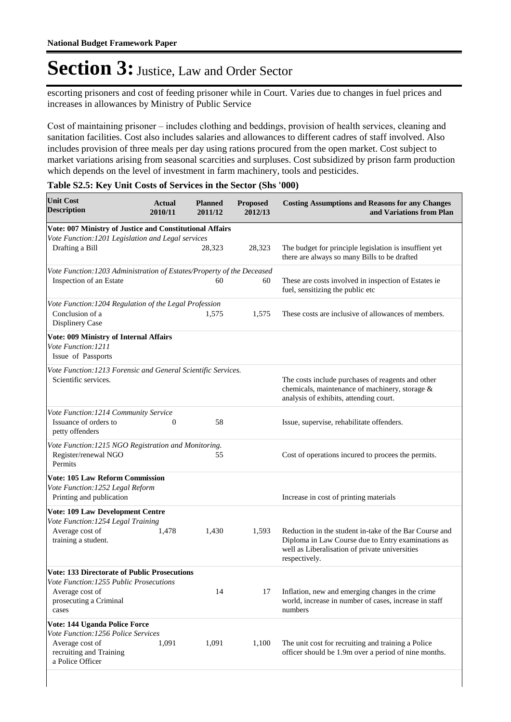escorting prisoners and cost of feeding prisoner while in Court. Varies due to changes in fuel prices and increases in allowances by Ministry of Public Service

Cost of maintaining prisoner – includes clothing and beddings, provision of health services, cleaning and sanitation facilities. Cost also includes salaries and allowances to different cadres of staff involved. Also includes provision of three meals per day using rations procured from the open market. Cost subject to market variations arising from seasonal scarcities and surpluses. Cost subsidized by prison farm production which depends on the level of investment in farm machinery, tools and pesticides.

| <b>Unit Cost</b><br><b>Description</b>                                                                                                               | Actual<br>2010/11 | <b>Planned</b><br>2011/12 | <b>Proposed</b><br>2012/13 | <b>Costing Assumptions and Reasons for any Changes</b><br>and Variations from Plan                                                                                              |
|------------------------------------------------------------------------------------------------------------------------------------------------------|-------------------|---------------------------|----------------------------|---------------------------------------------------------------------------------------------------------------------------------------------------------------------------------|
| Vote: 007 Ministry of Justice and Constitutional Affairs                                                                                             |                   |                           |                            |                                                                                                                                                                                 |
| Vote Function: 1201 Legislation and Legal services<br>Drafting a Bill                                                                                |                   | 28,323                    | 28,323                     | The budget for principle legislation is insuffient yet<br>there are always so many Bills to be drafted                                                                          |
| Vote Function: 1203 Administration of Estates/Property of the Deceased<br>Inspection of an Estate                                                    |                   | 60                        | 60                         | These are costs involved in inspection of Estates ie.<br>fuel, sensitizing the public etc                                                                                       |
| Vote Function: 1204 Regulation of the Legal Profession<br>Conclusion of a<br>Displinery Case                                                         |                   | 1,575                     | 1,575                      | These costs are inclusive of allowances of members.                                                                                                                             |
| Vote: 009 Ministry of Internal Affairs<br>Vote Function: 1211<br>Issue of Passports                                                                  |                   |                           |                            |                                                                                                                                                                                 |
| Vote Function: 1213 Forensic and General Scientific Services.<br>Scientific services.                                                                |                   |                           |                            | The costs include purchases of reagents and other<br>chemicals, maintenance of machinery, storage &<br>analysis of exhibits, attending court.                                   |
| Vote Function: 1214 Community Service<br>Issuance of orders to<br>petty offenders                                                                    | $\theta$          | 58                        |                            | Issue, supervise, rehabilitate offenders.                                                                                                                                       |
| Vote Function: 1215 NGO Registration and Monitoring.<br>Register/renewal NGO<br>Permits                                                              |                   | 55                        |                            | Cost of operations incured to procees the permits.                                                                                                                              |
| <b>Vote: 105 Law Reform Commission</b><br>Vote Function: 1252 Legal Reform<br>Printing and publication                                               |                   |                           |                            | Increase in cost of printing materials                                                                                                                                          |
| Vote: 109 Law Development Centre<br>Vote Function: 1254 Legal Training<br>Average cost of<br>training a student.                                     | 1,478             | 1,430                     | 1,593                      | Reduction in the student in-take of the Bar Course and<br>Diploma in Law Course due to Entry examinations as<br>well as Liberalisation of private universities<br>respectively. |
| <b>Vote: 133 Directorate of Public Prosecutions</b><br>Vote Function: 1255 Public Prosecutions<br>Average cost of<br>prosecuting a Criminal<br>cases |                   | 14                        | 17                         | Inflation, new and emerging changes in the crime<br>world, increase in number of cases, increase in staff<br>numbers                                                            |
| Vote: 144 Uganda Police Force<br>Vote Function: 1256 Police Services<br>Average cost of<br>recruiting and Training<br>a Police Officer               | 1,091             | 1,091                     | 1,100                      | The unit cost for recruiting and training a Police<br>officer should be 1.9m over a period of nine months.                                                                      |

#### **Table S2.5: Key Unit Costs of Services in the Sector (Shs '000)**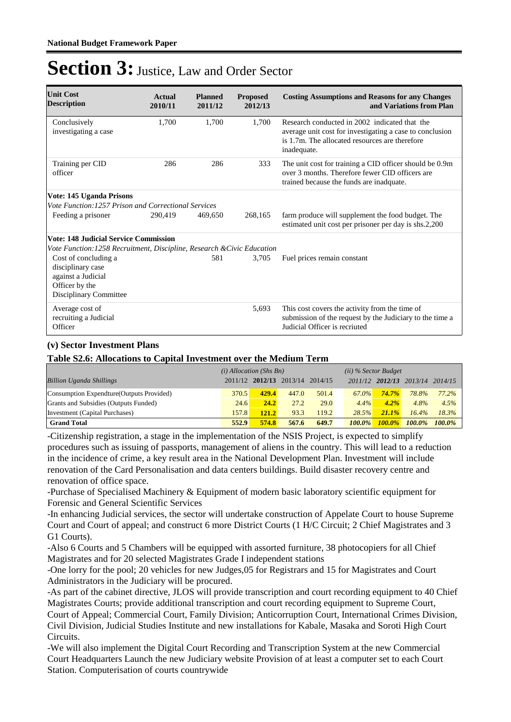| <b>Unit Cost</b><br><b>Description</b>                                                                      | Actual<br>2010/11 | <b>Planned</b><br>2011/12 | <b>Proposed</b><br>2012/13 | <b>Costing Assumptions and Reasons for any Changes</b><br>and Variations from Plan                                                                                         |
|-------------------------------------------------------------------------------------------------------------|-------------------|---------------------------|----------------------------|----------------------------------------------------------------------------------------------------------------------------------------------------------------------------|
| Conclusively<br>investigating a case                                                                        | 1.700             | 1.700                     | 1.700                      | Research conducted in 2002 indicated that the<br>average unit cost for investigating a case to conclusion<br>is 1.7m. The allocated resources are therefore<br>inadequate. |
| Training per CID<br>officer                                                                                 | 286               | 286                       | 333                        | The unit cost for training a CID officer should be 0.9m<br>over 3 months. Therefore fewer CID officers are<br>trained because the funds are inadquate.                     |
| Vote: 145 Uganda Prisons                                                                                    |                   |                           |                            |                                                                                                                                                                            |
| Vote Function: 1257 Prison and Correctional Services                                                        |                   |                           |                            |                                                                                                                                                                            |
| Feeding a prisoner                                                                                          | 290.419           | 469,650                   | 268,165                    | farm produce will supplement the food budget. The<br>estimated unit cost per prisoner per day is shs.2,200                                                                 |
| <b>Vote: 148 Judicial Service Commission</b>                                                                |                   |                           |                            |                                                                                                                                                                            |
| Vote Function: 1258 Recruitment, Discipline, Research & Civic Education                                     |                   |                           |                            |                                                                                                                                                                            |
| Cost of concluding a<br>disciplinary case<br>against a Judicial<br>Officer by the<br>Disciplinary Committee |                   | 581                       | 3,705                      | Fuel prices remain constant                                                                                                                                                |
| Average cost of<br>recruiting a Judicial<br>Officer                                                         |                   |                           | 5,693                      | This cost covers the activity from the time of<br>submission of the request by the Judiciary to the time a<br>Judicial Officer is recriuted                                |

#### **(v) Sector Investment Plans**

**Table S2.6: Allocations to Capital Investment over the Medium Term**

|                                           | $(i)$ Allocation (Shs Bn) |       |                                 | (ii) % Sector Budget |           |           |                         |           |
|-------------------------------------------|---------------------------|-------|---------------------------------|----------------------|-----------|-----------|-------------------------|-----------|
| <b>Billion Uganda Shillings</b>           |                           |       | 2011/12 2012/13 2013/14 2014/15 |                      |           |           | 2011/12 2012/13 2013/14 | 2014/15   |
| Consumption Expendture (Outputs Provided) | 370.5                     | 429.4 | 447.0                           | 501.4                | 67.0%     | $74.7\%$  | 78.8%                   | $77.2\%$  |
| Grants and Subsidies (Outputs Funded)     | 24.6                      | 24.2  | 27.2                            | 29.0                 | 4.4%      | $4.2\%$   | 4.8%                    | 4.5%      |
| Investment (Capital Purchases)            | 157.8                     | 121.2 | 93.3                            | 119.2                | 28.5%     | $21.1\%$  | $16.4\%$                | 18.3%     |
| <b>Grand Total</b>                        | 552.9                     | 574.8 | 567.6                           | 649.7                | $100.0\%$ | $100.0\%$ | $100.0\%$               | $100.0\%$ |

-Citizenship registration, a stage in the implementation of the NSIS Project, is expected to simplify procedures such as issuing of passports, management of aliens in the country. This will lead to a reduction in the incidence of crime, a key result area in the National Development Plan. Investment will include renovation of the Card Personalisation and data centers buildings. Build disaster recovery centre and renovation of office space.

-Purchase of Specialised Machinery & Equipment of modern basic laboratory scientific equipment for Forensic and General Scientific Services

-In enhancing Judicial services, the sector will undertake construction of Appelate Court to house Supreme Court and Court of appeal; and construct 6 more District Courts (1 H/C Circuit; 2 Chief Magistrates and 3 G1 Courts).

-Also 6 Courts and 5 Chambers will be equipped with assorted furniture, 38 photocopiers for all Chief Magistrates and for 20 selected Magistrates Grade I independent stations

-One lorry for the pool; 20 vehicles for new Judges,05 for Registrars and 15 for Magistrates and Court Administrators in the Judiciary will be procured.

-As part of the cabinet directive, JLOS will provide transcription and court recording equipment to 40 Chief Magistrates Courts; provide additional transcription and court recording equipment to Supreme Court, Court of Appeal; Commercial Court, Family Division; Anticorruption Court, International Crimes Division,

Civil Division, Judicial Studies Institute and new installations for Kabale, Masaka and Soroti High Court Circuits.

-We will also implement the Digital Court Recording and Transcription System at the new Commercial Court Headquarters Launch the new Judiciary website Provision of at least a computer set to each Court Station. Computerisation of courts countrywide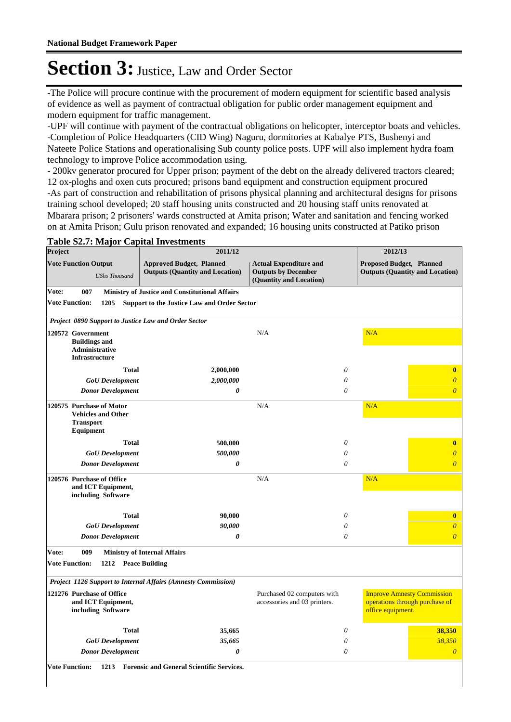-The Police will procure continue with the procurement of modern equipment for scientific based analysis of evidence as well as payment of contractual obligation for public order management equipment and modern equipment for traffic management.

-UPF will continue with payment of the contractual obligations on helicopter, interceptor boats and vehicles. -Completion of Police Headquarters (CID Wing) Naguru, dormitories at Kabalye PTS, Bushenyi and Nateete Police Stations and operationalising Sub county police posts. UPF will also implement hydra foam technology to improve Police accommodation using.

- 200kv generator procured for Upper prison; payment of the debt on the already delivered tractors cleared; 12 ox-ploghs and oxen cuts procured; prisons band equipment and construction equipment procured -As part of construction and rehabilitation of prisons physical planning and architectural designs for prisons training school developed; 20 staff housing units constructed and 20 housing staff units renovated at Mbarara prison; 2 prisoners' wards constructed at Amita prison; Water and sanitation and fencing worked on at Amita Prison; Gulu prison renovated and expanded; 16 housing units constructed at Patiko prison

#### **Table S2.7: Major Capital Investments**

| Project                        |                                                                                        | 2011/12                                                                   |                                                                                        | 2012/13                                                                                  |
|--------------------------------|----------------------------------------------------------------------------------------|---------------------------------------------------------------------------|----------------------------------------------------------------------------------------|------------------------------------------------------------------------------------------|
|                                | <b>Vote Function Output</b><br><b>UShs Thousand</b>                                    | <b>Approved Budget, Planned</b><br><b>Outputs (Quantity and Location)</b> | <b>Actual Expenditure and</b><br><b>Outputs by December</b><br>(Quantity and Location) | <b>Proposed Budget, Planned</b><br><b>Outputs (Quantity and Location)</b>                |
| Vote:                          | 007                                                                                    | <b>Ministry of Justice and Constitutional Affairs</b>                     |                                                                                        |                                                                                          |
| <b>Vote Function:</b>          | 1205                                                                                   | <b>Support to the Justice Law and Order Sector</b>                        |                                                                                        |                                                                                          |
|                                | Project 0890 Support to Justice Law and Order Sector                                   |                                                                           |                                                                                        |                                                                                          |
|                                | 120572 Government<br><b>Buildings and</b><br>Administrative                            |                                                                           | N/A                                                                                    | N/A                                                                                      |
|                                | <b>Infrastructure</b><br><b>Total</b>                                                  | 2,000,000                                                                 | $\theta$                                                                               | $\bf{0}$                                                                                 |
|                                | <b>GoU</b> Development                                                                 | 2,000,000                                                                 | 0                                                                                      | $\overline{0}$                                                                           |
|                                | <b>Donor Development</b>                                                               | 0                                                                         | 0                                                                                      | $\boldsymbol{\theta}$                                                                    |
|                                | 120575 Purchase of Motor<br><b>Vehicles and Other</b><br><b>Transport</b><br>Equipment |                                                                           | N/A                                                                                    | N/A                                                                                      |
|                                | <b>Total</b>                                                                           | 500,000                                                                   | $\theta$                                                                               | $\bf{0}$                                                                                 |
|                                | <b>GoU</b> Development                                                                 | 500,000                                                                   | 0                                                                                      | $\overline{0}$                                                                           |
|                                | <b>Donor Development</b>                                                               | 0                                                                         | $\theta$                                                                               | $\boldsymbol{\theta}$                                                                    |
|                                | 120576 Purchase of Office<br>and ICT Equipment,<br>including Software                  |                                                                           | N/A                                                                                    | N/A                                                                                      |
|                                | <b>Total</b>                                                                           | 90,000                                                                    | $\theta$                                                                               | $\bf{0}$                                                                                 |
|                                | <b>GoU</b> Development                                                                 | 90,000                                                                    | 0                                                                                      | $\boldsymbol{\theta}$                                                                    |
|                                | <b>Donor Development</b>                                                               | 0                                                                         | $\theta$                                                                               | $\boldsymbol{\theta}$                                                                    |
| Vote:<br><b>Vote Function:</b> | 009<br>1212 Peace Building                                                             | <b>Ministry of Internal Affairs</b>                                       |                                                                                        |                                                                                          |
|                                |                                                                                        | Project 1126 Support to Internal Affairs (Amnesty Commission)             |                                                                                        |                                                                                          |
|                                | 121276 Purchase of Office<br>and ICT Equipment,<br>including Software                  |                                                                           | Purchased 02 computers with<br>accessories and 03 printers.                            | <b>Improve Amnesty Commission</b><br>operations through purchase of<br>office equipment. |
|                                | <b>Total</b>                                                                           | 35,665                                                                    | $\theta$                                                                               | 38,350                                                                                   |
|                                | <b>GoU</b> Development                                                                 | 35,665                                                                    | $\theta$                                                                               | 38,350                                                                                   |
|                                | <b>Donor Development</b>                                                               | 0                                                                         | 0                                                                                      | $\boldsymbol{\theta}$                                                                    |

**Vote Function: 1213 Forensic and General Scientific Services.**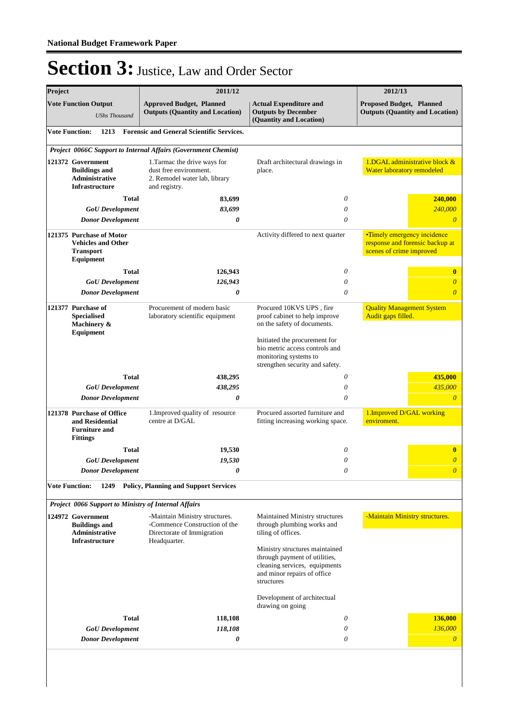| Project                                                                              |                                                                                               | 2011/12                                                                                                  | 2012/13                                                                                                                                       |                                                                                                   |  |
|--------------------------------------------------------------------------------------|-----------------------------------------------------------------------------------------------|----------------------------------------------------------------------------------------------------------|-----------------------------------------------------------------------------------------------------------------------------------------------|---------------------------------------------------------------------------------------------------|--|
| <b>Vote Function Output</b><br><b>UShs Thousand</b>                                  |                                                                                               | <b>Approved Budget, Planned</b><br><b>Outputs (Quantity and Location)</b>                                | <b>Actual Expenditure and</b><br><b>Outputs by December</b><br>(Quantity and Location)                                                        | Proposed Budget, Planned<br><b>Outputs (Quantity and Location)</b>                                |  |
|                                                                                      | <b>Vote Function:</b><br>1213                                                                 | <b>Forensic and General Scientific Services.</b>                                                         |                                                                                                                                               |                                                                                                   |  |
|                                                                                      |                                                                                               | Project 0066C Support to Internal Affairs (Government Chemist)                                           |                                                                                                                                               |                                                                                                   |  |
| 121372 Government<br><b>Buildings and</b><br>Administrative<br><b>Infrastructure</b> |                                                                                               | 1. Tarmac the drive ways for<br>dust free environment.<br>2. Remodel water lab, library<br>and registry. | Draft architectural drawings in<br>place.                                                                                                     | 1.DGAL administrative block &<br>Water laboratory remodeled                                       |  |
|                                                                                      | <b>Total</b>                                                                                  | 83,699                                                                                                   | 0                                                                                                                                             | 240,000                                                                                           |  |
|                                                                                      | <b>GoU</b> Development                                                                        | 83,699                                                                                                   | 0                                                                                                                                             | 240,000                                                                                           |  |
|                                                                                      | <b>Donor Development</b>                                                                      | 0                                                                                                        | 0                                                                                                                                             |                                                                                                   |  |
|                                                                                      | 121375 Purchase of Motor<br><b>Vehicles and Other</b><br><b>Transport</b><br><b>Equipment</b> |                                                                                                          | Activity differed to next quarter                                                                                                             | <b>•Timely emergency incidence</b><br>response and forensic backup at<br>scenes of crime improved |  |
|                                                                                      | <b>Total</b>                                                                                  | 126,943                                                                                                  | 0                                                                                                                                             | $\bf{0}$                                                                                          |  |
|                                                                                      | <b>GoU</b> Development                                                                        | 126,943                                                                                                  | 0                                                                                                                                             | 0                                                                                                 |  |
|                                                                                      | <b>Donor Development</b>                                                                      | $\boldsymbol{\theta}$                                                                                    | $\theta$                                                                                                                                      | $\overline{\theta}$                                                                               |  |
|                                                                                      | 121377 Purchase of<br><b>Specialised</b><br>Machinery &<br><b>Equipment</b>                   | Procurement of modern basic<br>laboratory scientific equipment                                           | Procured 10KVS UPS, fire<br>proof cabinet to help improve<br>on the safety of documents.                                                      | <b>Quality Management System</b><br>Audit gaps filled.                                            |  |
|                                                                                      |                                                                                               |                                                                                                          | Initiated the procurement for<br>bio metric access controls and<br>monitoring systems to<br>strengthen security and safety.                   |                                                                                                   |  |
|                                                                                      | <b>Total</b>                                                                                  | 438,295                                                                                                  | 0                                                                                                                                             | 435,000                                                                                           |  |
|                                                                                      | <b>GoU</b> Development                                                                        | 438,295                                                                                                  | 0                                                                                                                                             | 435,000                                                                                           |  |
|                                                                                      | <b>Donor Development</b>                                                                      | 0                                                                                                        | $\theta$                                                                                                                                      | $\overline{\theta}$                                                                               |  |
|                                                                                      | 121378 Purchase of Office<br>and Residential<br><b>Furniture and</b><br><b>Fittings</b>       | 1. Improved quality of resource<br>centre at D/GAL                                                       | Procured assorted furniture and<br>fitting increasing working space.                                                                          | 1. Improved D/GAL working<br>enviroment.                                                          |  |
|                                                                                      | <b>Total</b>                                                                                  | 19,530                                                                                                   | 0                                                                                                                                             | $\bf{0}$                                                                                          |  |
|                                                                                      | <b>GoU</b> Development                                                                        | 19,530                                                                                                   | 0                                                                                                                                             | $\theta$                                                                                          |  |
|                                                                                      | <b>Donor Development</b>                                                                      | 0                                                                                                        | 0                                                                                                                                             | $\theta$                                                                                          |  |
|                                                                                      | <b>Vote Function:</b><br>1249                                                                 | <b>Policy, Planning and Support Services</b>                                                             |                                                                                                                                               |                                                                                                   |  |
|                                                                                      | Project 0066 Support to Ministry of Internal Affairs                                          |                                                                                                          |                                                                                                                                               |                                                                                                   |  |
|                                                                                      | 124972 Government<br><b>Buildings and</b><br>Administrative                                   | -Maintain Ministry structures.<br>-Commence Construction of the<br>Directorate of Immigration            | <b>Maintained Ministry structures</b><br>through plumbing works and<br>tiling of offices.                                                     | -Maintain Ministry structures.                                                                    |  |
| <b>Infrastructure</b>                                                                |                                                                                               | Headquarter.                                                                                             | Ministry structures maintained<br>through payment of utilities,<br>cleaning services, equipments<br>and minor repairs of office<br>structures |                                                                                                   |  |
|                                                                                      |                                                                                               |                                                                                                          | Development of architectual<br>drawing on going                                                                                               |                                                                                                   |  |
|                                                                                      | <b>Total</b>                                                                                  | 118,108                                                                                                  | 0                                                                                                                                             | 136,000                                                                                           |  |
|                                                                                      | <b>GoU</b> Development                                                                        | 118,108                                                                                                  | 0                                                                                                                                             | 136,000                                                                                           |  |
|                                                                                      | <b>Donor Development</b>                                                                      | 0                                                                                                        | 0                                                                                                                                             | $\boldsymbol{\theta}$                                                                             |  |
|                                                                                      |                                                                                               |                                                                                                          |                                                                                                                                               |                                                                                                   |  |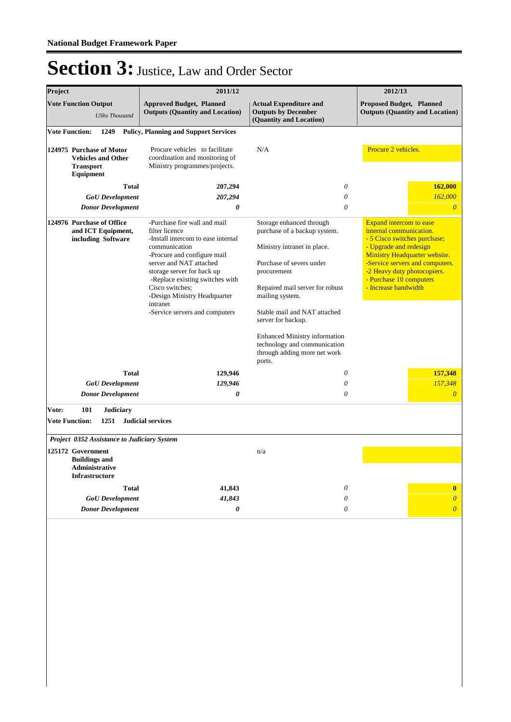| Project |                                                                                             |                                                                       | 2011/12                                                                                                                                                                                                                                                                                                                           |                                                                                                                                                                                                                                                                                                                                                                  | 2012/13                                                                                                                                                                                                                                                                          |  |
|---------|---------------------------------------------------------------------------------------------|-----------------------------------------------------------------------|-----------------------------------------------------------------------------------------------------------------------------------------------------------------------------------------------------------------------------------------------------------------------------------------------------------------------------------|------------------------------------------------------------------------------------------------------------------------------------------------------------------------------------------------------------------------------------------------------------------------------------------------------------------------------------------------------------------|----------------------------------------------------------------------------------------------------------------------------------------------------------------------------------------------------------------------------------------------------------------------------------|--|
|         | <b>Vote Function Output</b>                                                                 | <b>UShs Thousand</b>                                                  | <b>Approved Budget, Planned</b><br><b>Outputs (Quantity and Location)</b>                                                                                                                                                                                                                                                         | <b>Actual Expenditure and</b><br><b>Outputs by December</b><br>(Quantity and Location)                                                                                                                                                                                                                                                                           |                                                                                                                                                                                                                                                                                  |  |
|         | <b>Vote Function:</b>                                                                       | 1249                                                                  | <b>Policy, Planning and Support Services</b>                                                                                                                                                                                                                                                                                      |                                                                                                                                                                                                                                                                                                                                                                  |                                                                                                                                                                                                                                                                                  |  |
|         | <b>Transport</b><br>Equipment                                                               | 124975 Purchase of Motor<br><b>Vehicles and Other</b>                 | Procure vehicles to facilitate<br>coordination and monitoring of<br>Ministry programmes/projects.                                                                                                                                                                                                                                 | N/A                                                                                                                                                                                                                                                                                                                                                              | Procure 2 vehicles.                                                                                                                                                                                                                                                              |  |
|         |                                                                                             | <b>Total</b>                                                          | 207,294                                                                                                                                                                                                                                                                                                                           | $\theta$                                                                                                                                                                                                                                                                                                                                                         | 162,000                                                                                                                                                                                                                                                                          |  |
|         |                                                                                             | <b>GoU</b> Development                                                | 207,294                                                                                                                                                                                                                                                                                                                           | $\theta$                                                                                                                                                                                                                                                                                                                                                         | 162,000                                                                                                                                                                                                                                                                          |  |
|         |                                                                                             | <b>Donor Development</b>                                              | $\boldsymbol{\theta}$                                                                                                                                                                                                                                                                                                             | $\theta$                                                                                                                                                                                                                                                                                                                                                         | $\overline{0}$                                                                                                                                                                                                                                                                   |  |
|         |                                                                                             | 124976 Purchase of Office<br>and ICT Equipment,<br>including Software | -Purchase fire wall and mail<br>filter licence<br>-Install intercom to ease internal<br>communication<br>-Procure and configure mail<br>server and NAT attached<br>storage server for back up<br>-Replace existing switches with<br>Cisco switches;<br>-Design Ministry Headquarter<br>intranet<br>-Service servers and computers | Storage enhanced through<br>purchase of a backup system.<br>Ministry intranet in place.<br>Purchase of severs under<br>procurement<br>Repaired mail server for robust<br>mailing system.<br>Stable mail and NAT attached<br>server for backup.<br><b>Enhanced Ministry information</b><br>technology and communication<br>through adding more net work<br>ports. | <b>Expand intercom to ease</b><br>internal communication.<br>- 5 Cisco switches purchase;<br>- Upgrade and redesign<br><b>Ministry Headquarter website.</b><br>-Service servers and computers.<br>-2 Heavy duty photocopiers.<br>- Purchase 10 computers<br>- Increase bandwidth |  |
|         |                                                                                             | <b>Total</b>                                                          | 129,946                                                                                                                                                                                                                                                                                                                           | $\boldsymbol{\mathit{0}}$                                                                                                                                                                                                                                                                                                                                        | 157,348                                                                                                                                                                                                                                                                          |  |
|         |                                                                                             | <b>GoU</b> Development                                                | 129,946                                                                                                                                                                                                                                                                                                                           | $\theta$                                                                                                                                                                                                                                                                                                                                                         | 157,348                                                                                                                                                                                                                                                                          |  |
|         |                                                                                             | <b>Donor Development</b>                                              | $\boldsymbol{\theta}$                                                                                                                                                                                                                                                                                                             | $\theta$                                                                                                                                                                                                                                                                                                                                                         | $\overline{0}$                                                                                                                                                                                                                                                                   |  |
| Vote:   | 101<br><b>Vote Function:</b>                                                                | <b>Judiciary</b><br>1251                                              | <b>Judicial services</b>                                                                                                                                                                                                                                                                                                          |                                                                                                                                                                                                                                                                                                                                                                  |                                                                                                                                                                                                                                                                                  |  |
|         |                                                                                             | Project 0352 Assistance to Judiciary System                           |                                                                                                                                                                                                                                                                                                                                   |                                                                                                                                                                                                                                                                                                                                                                  |                                                                                                                                                                                                                                                                                  |  |
|         | 125172 Government<br><b>Buildings and</b><br><b>Administrative</b><br><b>Infrastructure</b> |                                                                       |                                                                                                                                                                                                                                                                                                                                   | n/a                                                                                                                                                                                                                                                                                                                                                              |                                                                                                                                                                                                                                                                                  |  |
|         |                                                                                             | <b>Total</b>                                                          | 41,843                                                                                                                                                                                                                                                                                                                            | 0                                                                                                                                                                                                                                                                                                                                                                | $\bf{0}$                                                                                                                                                                                                                                                                         |  |
|         |                                                                                             | <b>GoU</b> Development                                                | 41,843                                                                                                                                                                                                                                                                                                                            | $\theta$                                                                                                                                                                                                                                                                                                                                                         | $\overline{0}$                                                                                                                                                                                                                                                                   |  |
|         |                                                                                             | <b>Donor Development</b>                                              | $\boldsymbol{\theta}$                                                                                                                                                                                                                                                                                                             | $\theta$                                                                                                                                                                                                                                                                                                                                                         | $\boldsymbol{\theta}$                                                                                                                                                                                                                                                            |  |
|         |                                                                                             |                                                                       |                                                                                                                                                                                                                                                                                                                                   |                                                                                                                                                                                                                                                                                                                                                                  |                                                                                                                                                                                                                                                                                  |  |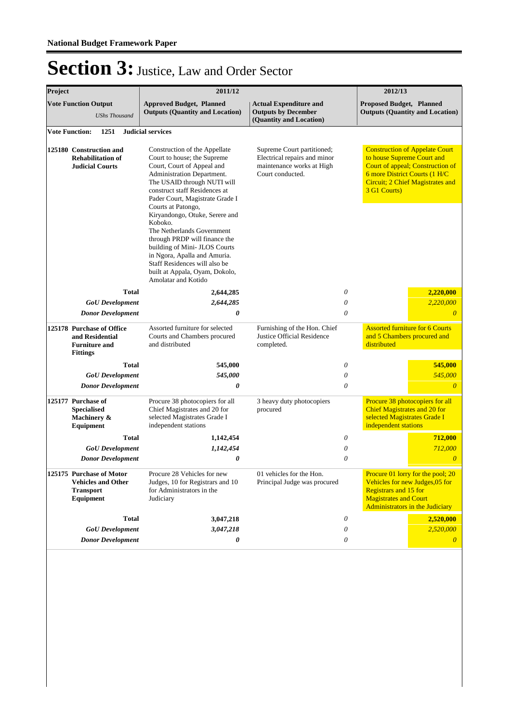| Project |                                                                                               | 2011/12                                                                                                                                                                                                                                                                                                                                                                                                                                                                                                                  |                                                                                                             |                       | 2012/13                                                                                     |                                                                                                                      |
|---------|-----------------------------------------------------------------------------------------------|--------------------------------------------------------------------------------------------------------------------------------------------------------------------------------------------------------------------------------------------------------------------------------------------------------------------------------------------------------------------------------------------------------------------------------------------------------------------------------------------------------------------------|-------------------------------------------------------------------------------------------------------------|-----------------------|---------------------------------------------------------------------------------------------|----------------------------------------------------------------------------------------------------------------------|
|         | <b>Vote Function Output</b><br><b>UShs Thousand</b>                                           | <b>Approved Budget, Planned</b><br><b>Outputs (Quantity and Location)</b>                                                                                                                                                                                                                                                                                                                                                                                                                                                | <b>Actual Expenditure and</b><br><b>Outputs by December</b><br>(Quantity and Location)                      |                       | <b>Proposed Budget, Planned</b>                                                             | <b>Outputs (Quantity and Location)</b>                                                                               |
|         | 1251<br><b>Vote Function:</b>                                                                 | <b>Judicial services</b>                                                                                                                                                                                                                                                                                                                                                                                                                                                                                                 |                                                                                                             |                       |                                                                                             |                                                                                                                      |
|         | 125180 Construction and<br><b>Rehabilitation of</b><br><b>Judicial Courts</b>                 | Construction of the Appellate<br>Court to house; the Supreme<br>Court, Court of Appeal and<br>Administration Department.<br>The USAID through NUTI will<br>construct staff Residences at<br>Pader Court, Magistrate Grade I<br>Courts at Patongo,<br>Kiryandongo, Otuke, Serere and<br>Koboko.<br>The Netherlands Government<br>through PRDP will finance the<br>building of Mini- JLOS Courts<br>in Ngora, Apalla and Amuria.<br>Staff Residences will also be<br>built at Appala, Oyam, Dokolo,<br>Amolatar and Kotido | Supreme Court partitioned;<br>Electrical repairs and minor<br>maintenance works at High<br>Court conducted. |                       | to house Supreme Court and<br>6 more District Courts (1 H/C<br>3 G1 Courts)                 | <b>Construction of Appelate Court</b><br>Court of appeal; Construction of<br><b>Circuit; 2 Chief Magistrates and</b> |
|         | <b>Total</b>                                                                                  | 2,644,285                                                                                                                                                                                                                                                                                                                                                                                                                                                                                                                |                                                                                                             | 0                     |                                                                                             | 2,220,000                                                                                                            |
|         | <b>GoU</b> Development                                                                        | 2,644,285                                                                                                                                                                                                                                                                                                                                                                                                                                                                                                                |                                                                                                             | 0                     |                                                                                             | 2,220,000                                                                                                            |
|         | <b>Donor Development</b>                                                                      | 0                                                                                                                                                                                                                                                                                                                                                                                                                                                                                                                        |                                                                                                             | 0                     |                                                                                             | $\theta$                                                                                                             |
|         | 125178 Purchase of Office<br>and Residential<br><b>Furniture and</b><br><b>Fittings</b>       | Assorted furniture for selected<br>Courts and Chambers procured<br>and distributed                                                                                                                                                                                                                                                                                                                                                                                                                                       | Furnishing of the Hon. Chief<br>Justice Official Residence<br>completed.                                    |                       | and 5 Chambers procured and<br>distributed                                                  | <b>Assorted furniture for 6 Courts</b>                                                                               |
|         | <b>Total</b>                                                                                  | 545,000                                                                                                                                                                                                                                                                                                                                                                                                                                                                                                                  |                                                                                                             | 0                     |                                                                                             | 545,000                                                                                                              |
|         | <b>GoU</b> Development                                                                        | 545,000                                                                                                                                                                                                                                                                                                                                                                                                                                                                                                                  |                                                                                                             | 0                     |                                                                                             | 545,000                                                                                                              |
|         | <b>Donor Development</b>                                                                      | 0                                                                                                                                                                                                                                                                                                                                                                                                                                                                                                                        |                                                                                                             | $\theta$              |                                                                                             | $\theta$                                                                                                             |
|         | 125177 Purchase of<br><b>Specialised</b><br>Machinery &<br><b>Equipment</b>                   | Procure 38 photocopiers for all<br>Chief Magistrates and 20 for<br>selected Magistrates Grade I<br>independent stations                                                                                                                                                                                                                                                                                                                                                                                                  | 3 heavy duty photocopiers<br>procured                                                                       |                       | <b>Chief Magistrates and 20 for</b><br>selected Magistrates Grade I<br>independent stations | Procure 38 photocopiers for all                                                                                      |
|         | <b>Total</b>                                                                                  | 1,142,454                                                                                                                                                                                                                                                                                                                                                                                                                                                                                                                |                                                                                                             | 0                     |                                                                                             | 712,000                                                                                                              |
|         | <b>GoU</b> Development                                                                        | 1,142,454                                                                                                                                                                                                                                                                                                                                                                                                                                                                                                                |                                                                                                             | 0                     |                                                                                             | 712,000                                                                                                              |
|         | <b>Donor Development</b>                                                                      | 0                                                                                                                                                                                                                                                                                                                                                                                                                                                                                                                        |                                                                                                             | 0                     |                                                                                             | $\overline{0}$                                                                                                       |
|         | 125175 Purchase of Motor<br><b>Vehicles and Other</b><br><b>Transport</b><br><b>Equipment</b> | Procure 28 Vehicles for new<br>Judges, 10 for Registrars and 10<br>for Administrators in the<br>Judiciary                                                                                                                                                                                                                                                                                                                                                                                                                | 01 vehicles for the Hon.<br>Principal Judge was procured                                                    |                       | <b>Registrars and 15 for</b><br><b>Magistrates and Court</b>                                | Procure 01 lorry for the pool; 20<br>Vehicles for new Judges, 05 for<br><b>Administrators in the Judiciary</b>       |
|         | <b>Total</b>                                                                                  | 3,047,218                                                                                                                                                                                                                                                                                                                                                                                                                                                                                                                |                                                                                                             | 0                     |                                                                                             | 2,520,000                                                                                                            |
|         | <b>GoU</b> Development                                                                        | 3,047,218                                                                                                                                                                                                                                                                                                                                                                                                                                                                                                                |                                                                                                             | $\boldsymbol{\theta}$ |                                                                                             | 2,520,000                                                                                                            |
|         | <b>Donor Development</b>                                                                      | 0                                                                                                                                                                                                                                                                                                                                                                                                                                                                                                                        |                                                                                                             | 0                     |                                                                                             | $\theta$                                                                                                             |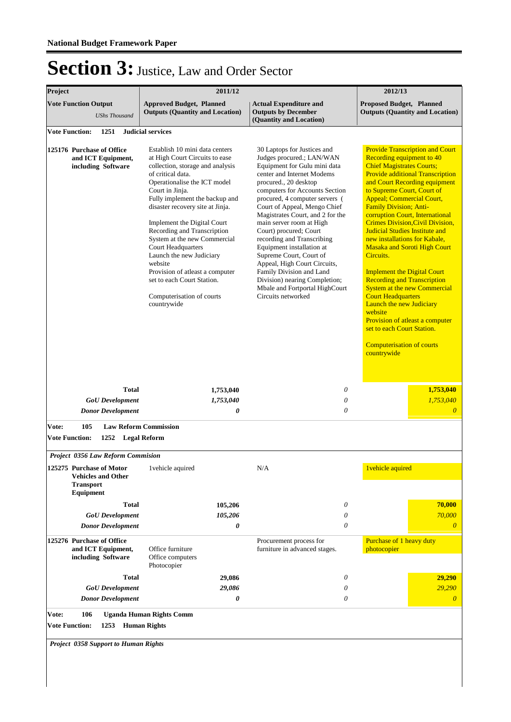| Project                                                                                | 2011/12                                                                                                                                                                                                                                                                                                                                                                                                                                                                                                                           |                                                                                                                                                                                                                                                                                                                                                                                                                                                                                                                                                                                          | 2012/13                                                                                                                                                                                                                                                                                                                                                                                                                                                                                                                                                                                                                                                                                                                                                                                                        |  |
|----------------------------------------------------------------------------------------|-----------------------------------------------------------------------------------------------------------------------------------------------------------------------------------------------------------------------------------------------------------------------------------------------------------------------------------------------------------------------------------------------------------------------------------------------------------------------------------------------------------------------------------|------------------------------------------------------------------------------------------------------------------------------------------------------------------------------------------------------------------------------------------------------------------------------------------------------------------------------------------------------------------------------------------------------------------------------------------------------------------------------------------------------------------------------------------------------------------------------------------|----------------------------------------------------------------------------------------------------------------------------------------------------------------------------------------------------------------------------------------------------------------------------------------------------------------------------------------------------------------------------------------------------------------------------------------------------------------------------------------------------------------------------------------------------------------------------------------------------------------------------------------------------------------------------------------------------------------------------------------------------------------------------------------------------------------|--|
| <b>Vote Function Output</b><br><b>UShs Thousand</b>                                    | <b>Approved Budget, Planned</b><br><b>Outputs (Quantity and Location)</b>                                                                                                                                                                                                                                                                                                                                                                                                                                                         | <b>Actual Expenditure and</b><br><b>Outputs by December</b><br>(Quantity and Location)                                                                                                                                                                                                                                                                                                                                                                                                                                                                                                   | <b>Proposed Budget, Planned</b><br><b>Outputs (Quantity and Location)</b>                                                                                                                                                                                                                                                                                                                                                                                                                                                                                                                                                                                                                                                                                                                                      |  |
| <b>Vote Function:</b><br>1251                                                          | <b>Judicial services</b>                                                                                                                                                                                                                                                                                                                                                                                                                                                                                                          |                                                                                                                                                                                                                                                                                                                                                                                                                                                                                                                                                                                          |                                                                                                                                                                                                                                                                                                                                                                                                                                                                                                                                                                                                                                                                                                                                                                                                                |  |
| 125176 Purchase of Office<br>and ICT Equipment,<br>including Software                  | Establish 10 mini data centers<br>at High Court Circuits to ease<br>collection, storage and analysis<br>of critical data.<br>Operationalise the ICT model<br>Court in Jinja.<br>Fully implement the backup and<br>disaster recovery site at Jinja.<br>Implement the Digital Court<br>Recording and Transcription<br>System at the new Commercial<br><b>Court Headquarters</b><br>Launch the new Judiciary<br>website<br>Provision of atleast a computer<br>set to each Court Station.<br>Computerisation of courts<br>countrywide | 30 Laptops for Justices and<br>Judges procured.; LAN/WAN<br>Equipment for Gulu mini data<br>center and Internet Modems<br>procured., 20 desktop<br>computers for Accounts Section<br>procured, 4 computer servers (<br>Court of Appeal, Mengo Chief<br>Magistrates Court, and 2 for the<br>main server room at High<br>Court) procured; Court<br>recording and Transcribing<br>Equipment installation at<br>Supreme Court, Court of<br>Appeal, High Court Circuits,<br>Family Division and Land<br>Division) nearing Completion;<br>Mbale and Fortportal HighCourt<br>Circuits networked | <b>Provide Transcription and Court</b><br>Recording equipment to 40<br><b>Chief Magistrates Courts;</b><br><b>Provide additional Transcription</b><br>and Court Recording equipment<br>to Supreme Court, Court of<br><b>Appeal</b> ; Commercial Court,<br>Family Division; Anti-<br>corruption Court, International<br><b>Crimes Division, Civil Division,</b><br><b>Judicial Studies Institute and</b><br>new installations for Kabale,<br><b>Masaka and Soroti High Court</b><br>Circuits.<br><b>Implement the Digital Court</b><br><b>Recording and Transcription</b><br><b>System at the new Commercial</b><br><b>Court Headquarters</b><br><b>Launch the new Judiciary</b><br>website<br>Provision of atleast a computer<br>set to each Court Station.<br><b>Computerisation of courts</b><br>countrywide |  |
| <b>Total</b>                                                                           | 1,753,040                                                                                                                                                                                                                                                                                                                                                                                                                                                                                                                         | 0                                                                                                                                                                                                                                                                                                                                                                                                                                                                                                                                                                                        | 1,753,040                                                                                                                                                                                                                                                                                                                                                                                                                                                                                                                                                                                                                                                                                                                                                                                                      |  |
| <b>GoU</b> Development                                                                 | 1,753,040                                                                                                                                                                                                                                                                                                                                                                                                                                                                                                                         | $\theta$                                                                                                                                                                                                                                                                                                                                                                                                                                                                                                                                                                                 | 1,753,040                                                                                                                                                                                                                                                                                                                                                                                                                                                                                                                                                                                                                                                                                                                                                                                                      |  |
| <b>Donor Development</b>                                                               | 0                                                                                                                                                                                                                                                                                                                                                                                                                                                                                                                                 | 0                                                                                                                                                                                                                                                                                                                                                                                                                                                                                                                                                                                        | $\overline{0}$                                                                                                                                                                                                                                                                                                                                                                                                                                                                                                                                                                                                                                                                                                                                                                                                 |  |
| 105<br>Vote:                                                                           | <b>Law Reform Commission</b>                                                                                                                                                                                                                                                                                                                                                                                                                                                                                                      |                                                                                                                                                                                                                                                                                                                                                                                                                                                                                                                                                                                          |                                                                                                                                                                                                                                                                                                                                                                                                                                                                                                                                                                                                                                                                                                                                                                                                                |  |
| <b>Vote Function:</b><br>1252 Legal Reform                                             |                                                                                                                                                                                                                                                                                                                                                                                                                                                                                                                                   |                                                                                                                                                                                                                                                                                                                                                                                                                                                                                                                                                                                          |                                                                                                                                                                                                                                                                                                                                                                                                                                                                                                                                                                                                                                                                                                                                                                                                                |  |
| <b>Project 0356 Law Reform Commision</b>                                               |                                                                                                                                                                                                                                                                                                                                                                                                                                                                                                                                   |                                                                                                                                                                                                                                                                                                                                                                                                                                                                                                                                                                                          |                                                                                                                                                                                                                                                                                                                                                                                                                                                                                                                                                                                                                                                                                                                                                                                                                |  |
| 125275 Purchase of Motor<br><b>Vehicles and Other</b><br><b>Transport</b><br>Equipment | 1 vehicle aquired                                                                                                                                                                                                                                                                                                                                                                                                                                                                                                                 | N/A                                                                                                                                                                                                                                                                                                                                                                                                                                                                                                                                                                                      | 1 vehicle aquired                                                                                                                                                                                                                                                                                                                                                                                                                                                                                                                                                                                                                                                                                                                                                                                              |  |
| <b>Total</b>                                                                           | 105,206                                                                                                                                                                                                                                                                                                                                                                                                                                                                                                                           | 0                                                                                                                                                                                                                                                                                                                                                                                                                                                                                                                                                                                        | 70,000                                                                                                                                                                                                                                                                                                                                                                                                                                                                                                                                                                                                                                                                                                                                                                                                         |  |
| <b>GoU</b> Development<br><b>Donor Development</b>                                     | 105,206<br>0                                                                                                                                                                                                                                                                                                                                                                                                                                                                                                                      | 0<br>0                                                                                                                                                                                                                                                                                                                                                                                                                                                                                                                                                                                   | 70,000<br>$\theta$                                                                                                                                                                                                                                                                                                                                                                                                                                                                                                                                                                                                                                                                                                                                                                                             |  |
|                                                                                        |                                                                                                                                                                                                                                                                                                                                                                                                                                                                                                                                   |                                                                                                                                                                                                                                                                                                                                                                                                                                                                                                                                                                                          |                                                                                                                                                                                                                                                                                                                                                                                                                                                                                                                                                                                                                                                                                                                                                                                                                |  |
| 125276 Purchase of Office<br>and ICT Equipment,<br>including Software                  | Office furniture<br>Office computers<br>Photocopier                                                                                                                                                                                                                                                                                                                                                                                                                                                                               | Procurement process for<br>furniture in advanced stages.                                                                                                                                                                                                                                                                                                                                                                                                                                                                                                                                 | Purchase of 1 heavy duty<br>photocopier                                                                                                                                                                                                                                                                                                                                                                                                                                                                                                                                                                                                                                                                                                                                                                        |  |
| <b>Total</b>                                                                           | 29,086                                                                                                                                                                                                                                                                                                                                                                                                                                                                                                                            | 0                                                                                                                                                                                                                                                                                                                                                                                                                                                                                                                                                                                        | 29,290                                                                                                                                                                                                                                                                                                                                                                                                                                                                                                                                                                                                                                                                                                                                                                                                         |  |
| <b>GoU</b> Development                                                                 | 29,086<br>0                                                                                                                                                                                                                                                                                                                                                                                                                                                                                                                       | 0<br>$\theta$                                                                                                                                                                                                                                                                                                                                                                                                                                                                                                                                                                            | 29,290<br>$\theta$                                                                                                                                                                                                                                                                                                                                                                                                                                                                                                                                                                                                                                                                                                                                                                                             |  |
| <b>Donor Development</b>                                                               |                                                                                                                                                                                                                                                                                                                                                                                                                                                                                                                                   |                                                                                                                                                                                                                                                                                                                                                                                                                                                                                                                                                                                          |                                                                                                                                                                                                                                                                                                                                                                                                                                                                                                                                                                                                                                                                                                                                                                                                                |  |
| 106<br>Vote:<br><b>Vote Function:</b><br>1253 Human Rights                             | <b>Uganda Human Rights Comm</b>                                                                                                                                                                                                                                                                                                                                                                                                                                                                                                   |                                                                                                                                                                                                                                                                                                                                                                                                                                                                                                                                                                                          |                                                                                                                                                                                                                                                                                                                                                                                                                                                                                                                                                                                                                                                                                                                                                                                                                |  |
|                                                                                        |                                                                                                                                                                                                                                                                                                                                                                                                                                                                                                                                   |                                                                                                                                                                                                                                                                                                                                                                                                                                                                                                                                                                                          |                                                                                                                                                                                                                                                                                                                                                                                                                                                                                                                                                                                                                                                                                                                                                                                                                |  |
| <b>Project 0358 Support to Human Rights</b>                                            |                                                                                                                                                                                                                                                                                                                                                                                                                                                                                                                                   |                                                                                                                                                                                                                                                                                                                                                                                                                                                                                                                                                                                          |                                                                                                                                                                                                                                                                                                                                                                                                                                                                                                                                                                                                                                                                                                                                                                                                                |  |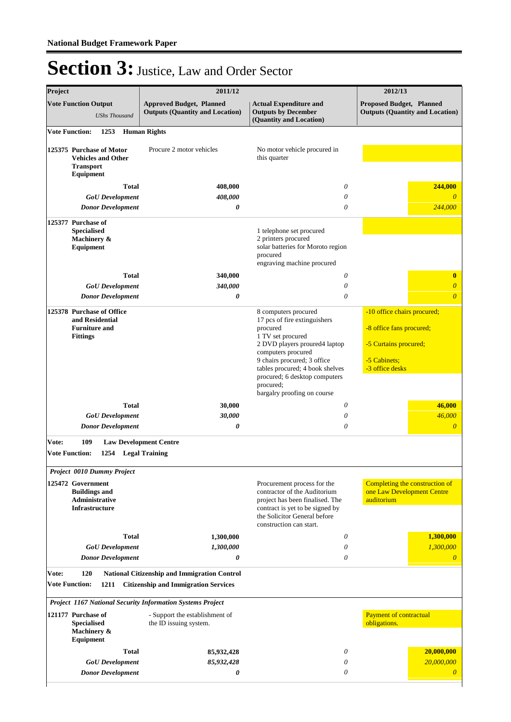| Project                        |                                                                                         | 2011/12                                                                                                                                                                                                               | 2012/13                                                                                                                                                                                                                                                                                     |                                                                                                                     |  |  |
|--------------------------------|-----------------------------------------------------------------------------------------|-----------------------------------------------------------------------------------------------------------------------------------------------------------------------------------------------------------------------|---------------------------------------------------------------------------------------------------------------------------------------------------------------------------------------------------------------------------------------------------------------------------------------------|---------------------------------------------------------------------------------------------------------------------|--|--|
|                                | <b>Vote Function Output</b><br><b>UShs Thousand</b>                                     | <b>Approved Budget, Planned</b><br><b>Outputs (Quantity and Location)</b>                                                                                                                                             | <b>Actual Expenditure and</b><br><b>Outputs by December</b><br>(Quantity and Location)                                                                                                                                                                                                      | <b>Proposed Budget, Planned</b><br><b>Outputs (Quantity and Location)</b>                                           |  |  |
| <b>Vote Function:</b>          | 1253                                                                                    | <b>Human Rights</b>                                                                                                                                                                                                   |                                                                                                                                                                                                                                                                                             |                                                                                                                     |  |  |
|                                | 125375 Purchase of Motor<br><b>Vehicles and Other</b><br><b>Transport</b><br>Equipment  | Procure 2 motor vehicles                                                                                                                                                                                              | No motor vehicle procured in<br>this quarter                                                                                                                                                                                                                                                |                                                                                                                     |  |  |
|                                | <b>Total</b>                                                                            | 408,000                                                                                                                                                                                                               | 0                                                                                                                                                                                                                                                                                           | 244,000                                                                                                             |  |  |
|                                | <b>GoU</b> Development                                                                  | 408,000                                                                                                                                                                                                               | 0                                                                                                                                                                                                                                                                                           | $\theta$                                                                                                            |  |  |
|                                | <b>Donor Development</b>                                                                | 0                                                                                                                                                                                                                     | $\theta$                                                                                                                                                                                                                                                                                    | 244,000                                                                                                             |  |  |
|                                | 125377 Purchase of<br><b>Specialised</b><br>Machinery &<br>Equipment                    |                                                                                                                                                                                                                       | 1 telephone set procured<br>2 printers procured<br>solar batteries for Moroto region<br>procured<br>engraving machine procured                                                                                                                                                              |                                                                                                                     |  |  |
|                                | <b>Total</b>                                                                            | 340,000                                                                                                                                                                                                               | 0                                                                                                                                                                                                                                                                                           | $\bf{0}$                                                                                                            |  |  |
|                                | <b>GoU</b> Development                                                                  | 340,000                                                                                                                                                                                                               | $\theta$                                                                                                                                                                                                                                                                                    | $\overline{\theta}$                                                                                                 |  |  |
|                                | <b>Donor Development</b>                                                                | 0                                                                                                                                                                                                                     | $\theta$                                                                                                                                                                                                                                                                                    | $\overline{\theta}$                                                                                                 |  |  |
|                                | 125378 Purchase of Office<br>and Residential<br><b>Furniture and</b><br><b>Fittings</b> |                                                                                                                                                                                                                       | 8 computers procured<br>17 pcs of fire extinguishers<br>procured<br>1 TV set procured<br>2 DVD players proured4 laptop<br>computers procured<br>9 chairs procured; 3 office<br>tables procured; 4 book shelves<br>procured; 6 desktop computers<br>procured;<br>bargalry proofing on course | -10 office chairs procured;<br>-8 office fans procured;<br>-5 Curtains procured;<br>-5 Cabinets;<br>-3 office desks |  |  |
|                                | <b>Total</b>                                                                            | 30,000                                                                                                                                                                                                                | $\theta$                                                                                                                                                                                                                                                                                    | 46,000                                                                                                              |  |  |
|                                | <b>GoU</b> Development                                                                  | 30,000                                                                                                                                                                                                                | $\theta$                                                                                                                                                                                                                                                                                    | 46,000                                                                                                              |  |  |
|                                | <b>Donor Development</b>                                                                | 0                                                                                                                                                                                                                     | $\theta$                                                                                                                                                                                                                                                                                    | $\overline{0}$                                                                                                      |  |  |
| Vote:<br><b>Vote Function:</b> | 109<br>1254 Legal Training                                                              | <b>Law Development Centre</b>                                                                                                                                                                                         |                                                                                                                                                                                                                                                                                             |                                                                                                                     |  |  |
|                                | Project 0010 Dummy Project                                                              |                                                                                                                                                                                                                       |                                                                                                                                                                                                                                                                                             |                                                                                                                     |  |  |
|                                | 125472 Government<br><b>Buildings and</b><br>Administrative<br><b>Infrastructure</b>    |                                                                                                                                                                                                                       | Procurement process for the<br>contractor of the Auditorium<br>project has been finalised. The<br>contract is yet to be signed by<br>the Solicitor General before<br>construction can start.                                                                                                | Completing the construction of<br>one Law Development Centre<br>auditorium                                          |  |  |
|                                | <b>Total</b>                                                                            | 1,300,000                                                                                                                                                                                                             | 0                                                                                                                                                                                                                                                                                           | 1,300,000                                                                                                           |  |  |
|                                | <b>GoU</b> Development                                                                  | 1,300,000                                                                                                                                                                                                             | $\theta$                                                                                                                                                                                                                                                                                    | 1,300,000                                                                                                           |  |  |
|                                | <b>Donor Development</b>                                                                | 0                                                                                                                                                                                                                     | $\theta$                                                                                                                                                                                                                                                                                    | $\overline{\theta}$                                                                                                 |  |  |
| Vote:<br><b>Vote Function:</b> | 120<br>1211<br>121177 Purchase of<br><b>Specialised</b><br>Machinery &                  | National Citizenship and Immigration Control<br><b>Citizenship and Immigration Services</b><br>Project 1167 National Security Information Systems Project<br>- Support the establishment of<br>the ID issuing system. |                                                                                                                                                                                                                                                                                             | <b>Payment of contractual</b><br>obligations.                                                                       |  |  |
|                                | Equipment                                                                               |                                                                                                                                                                                                                       |                                                                                                                                                                                                                                                                                             |                                                                                                                     |  |  |
|                                | <b>Total</b>                                                                            | 85,932,428<br>85,932,428                                                                                                                                                                                              | 0<br>0                                                                                                                                                                                                                                                                                      | 20,000,000<br>20,000,000                                                                                            |  |  |
|                                | <b>GoU</b> Development<br><b>Donor Development</b>                                      | 0                                                                                                                                                                                                                     | 0                                                                                                                                                                                                                                                                                           | $\boldsymbol{\theta}$                                                                                               |  |  |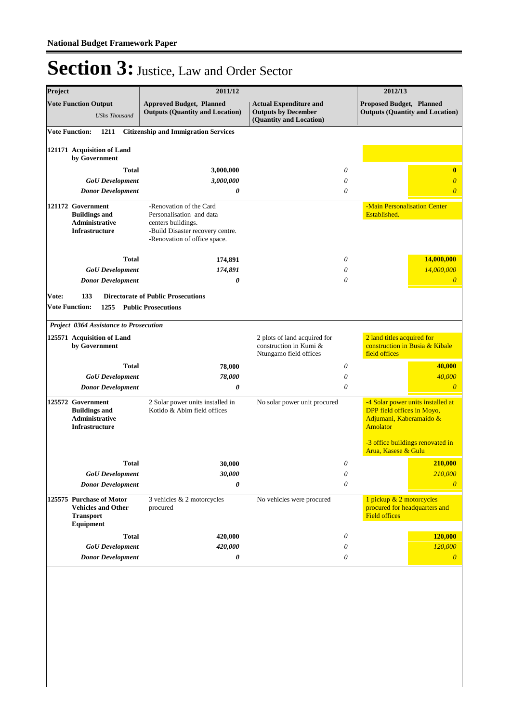| Project |                                                                                             | 2011/12                                                                                                       |                                                                                  | 2012/13                                                                                                       |
|---------|---------------------------------------------------------------------------------------------|---------------------------------------------------------------------------------------------------------------|----------------------------------------------------------------------------------|---------------------------------------------------------------------------------------------------------------|
|         | <b>Vote Function Output</b><br><b>UShs Thousand</b>                                         | <b>Approved Budget, Planned</b><br><b>Outputs (Quantity and Location)</b>                                     | <b>Actual Expenditure and</b><br><b>Outputs by December</b>                      | <b>Proposed Budget, Planned</b><br><b>Outputs (Quantity and Location)</b>                                     |
|         | <b>Vote Function:</b><br>1211                                                               | <b>Citizenship and Immigration Services</b>                                                                   | (Quantity and Location)                                                          |                                                                                                               |
|         |                                                                                             |                                                                                                               |                                                                                  |                                                                                                               |
|         | 121171 Acquisition of Land<br>by Government                                                 |                                                                                                               |                                                                                  |                                                                                                               |
|         | <b>Total</b>                                                                                | 3,000,000                                                                                                     | 0                                                                                | $\bf{0}$                                                                                                      |
|         | <b>GoU</b> Development                                                                      | 3,000,000                                                                                                     | 0                                                                                | $\boldsymbol{\theta}$                                                                                         |
|         | <b>Donor Development</b>                                                                    | 0                                                                                                             | 0                                                                                | $\overline{0}$                                                                                                |
|         | 121172 Government<br><b>Buildings and</b><br>Administrative<br>Infrastructure               | -Renovation of the Card<br>Personalisation and data<br>centers buildings.<br>-Build Disaster recovery centre. |                                                                                  | -Main Personalisation Center<br>Established.                                                                  |
|         |                                                                                             | -Renovation of office space.                                                                                  |                                                                                  |                                                                                                               |
|         | <b>Total</b>                                                                                | 174,891                                                                                                       | 0                                                                                | 14,000,000                                                                                                    |
|         | <b>GoU</b> Development                                                                      | 174,891                                                                                                       | 0                                                                                | 14,000,000                                                                                                    |
|         | <b>Donor Development</b>                                                                    | $\boldsymbol{\theta}$                                                                                         | 0                                                                                | $\overline{0}$                                                                                                |
|         | <b>Vote Function:</b><br>1255<br>Project 0364 Assistance to Prosecution                     | <b>Public Prosecutions</b>                                                                                    |                                                                                  |                                                                                                               |
|         | 125571 Acquisition of Land<br>by Government                                                 |                                                                                                               | 2 plots of land acquired for<br>construction in Kumi &<br>Ntungamo field offices | 2 land titles acquired for<br>construction in Busia & Kibale<br>field offices                                 |
|         | <b>Total</b>                                                                                | 78,000                                                                                                        | 0                                                                                | 40,000                                                                                                        |
|         | <b>GoU</b> Development                                                                      | 78,000                                                                                                        | 0                                                                                | 40,000                                                                                                        |
|         | <b>Donor Development</b>                                                                    | 0                                                                                                             | 0                                                                                | $\theta$                                                                                                      |
|         | 125572 Government<br><b>Buildings and</b><br><b>Administrative</b><br><b>Infrastructure</b> | 2 Solar power units installed in<br>Kotido & Abim field offices                                               | No solar power unit procured                                                     | -4 Solar power units installed at<br>DPP field offices in Moyo,<br>Adjumani, Kaberamaido &<br><b>Amolator</b> |
|         |                                                                                             |                                                                                                               |                                                                                  | -3 office buildings renovated in<br>Arua, Kasese & Gulu                                                       |
|         | <b>Total</b>                                                                                | 30,000                                                                                                        | 0                                                                                | 210,000                                                                                                       |
|         | <b>GoU</b> Development                                                                      | 30,000                                                                                                        | 0                                                                                | 210,000                                                                                                       |
|         | <b>Donor Development</b>                                                                    | 0                                                                                                             | 0                                                                                | $\theta$                                                                                                      |
|         | 125575 Purchase of Motor<br><b>Vehicles and Other</b><br><b>Transport</b>                   | 3 vehicles & 2 motorcycles<br>procured                                                                        | No vehicles were procured                                                        | 1 pickup & 2 motorcycles<br>procured for headquarters and<br><b>Field offices</b>                             |
|         | Equipment                                                                                   |                                                                                                               | 0                                                                                |                                                                                                               |
|         | <b>Total</b><br><b>GoU</b> Development                                                      | 420,000<br>420,000                                                                                            | 0                                                                                | 120,000<br>120,000                                                                                            |
|         | <b>Donor Development</b>                                                                    | 0                                                                                                             | 0                                                                                | $\theta$                                                                                                      |
|         |                                                                                             |                                                                                                               |                                                                                  |                                                                                                               |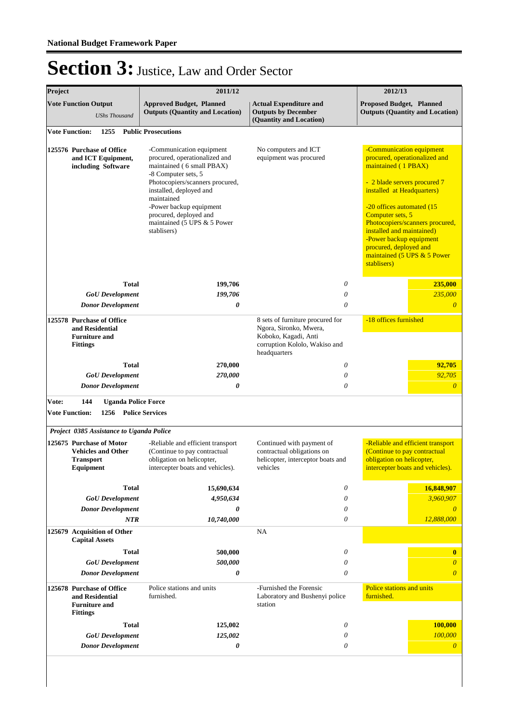| Project                                                                                 |                                                                                         | 2011/12                                                                                                                                                                                                                                                                                      |                                                                                                                                     | 2012/13                                                                                                                                                                                                                                                                                                                                                            |
|-----------------------------------------------------------------------------------------|-----------------------------------------------------------------------------------------|----------------------------------------------------------------------------------------------------------------------------------------------------------------------------------------------------------------------------------------------------------------------------------------------|-------------------------------------------------------------------------------------------------------------------------------------|--------------------------------------------------------------------------------------------------------------------------------------------------------------------------------------------------------------------------------------------------------------------------------------------------------------------------------------------------------------------|
| <b>Vote Function Output</b><br><b>UShs Thousand</b>                                     |                                                                                         | <b>Approved Budget, Planned</b><br><b>Outputs (Quantity and Location)</b>                                                                                                                                                                                                                    | <b>Actual Expenditure and</b><br><b>Outputs by December</b><br>(Quantity and Location)                                              | <b>Proposed Budget, Planned</b><br><b>Outputs (Quantity and Location)</b>                                                                                                                                                                                                                                                                                          |
|                                                                                         | 1255<br><b>Vote Function:</b>                                                           | <b>Public Prosecutions</b>                                                                                                                                                                                                                                                                   |                                                                                                                                     |                                                                                                                                                                                                                                                                                                                                                                    |
| 125576 Purchase of Office<br>and ICT Equipment,<br>including Software                   |                                                                                         | -Communication equipment<br>procured, operationalized and<br>maintained (6 small PBAX)<br>-8 Computer sets, 5<br>Photocopiers/scanners procured,<br>installed, deployed and<br>maintained<br>-Power backup equipment<br>procured, deployed and<br>maintained (5 UPS & 5 Power<br>stablisers) | No computers and ICT<br>equipment was procured                                                                                      | -Communication equipment<br>procured, operationalized and<br>maintained (1 PBAX)<br>- 2 blade servers procured 7<br>installed at Headquarters)<br>-20 offices automated (15<br>Computer sets, 5<br>Photocopiers/scanners procured,<br>installed and maintained)<br>-Power backup equipment<br>procured, deployed and<br>maintained (5 UPS & 5 Power<br>stablisers) |
|                                                                                         | <b>Total</b>                                                                            | 199,706<br>199,706                                                                                                                                                                                                                                                                           | 0<br>0                                                                                                                              | 235,000<br>235,000                                                                                                                                                                                                                                                                                                                                                 |
|                                                                                         | <b>GoU</b> Development<br><b>Donor Development</b>                                      | 0                                                                                                                                                                                                                                                                                            | $\theta$                                                                                                                            | $\theta$                                                                                                                                                                                                                                                                                                                                                           |
| 125578 Purchase of Office<br>and Residential<br><b>Furniture and</b><br><b>Fittings</b> |                                                                                         |                                                                                                                                                                                                                                                                                              | 8 sets of furniture procured for<br>Ngora, Sironko, Mwera,<br>Koboko, Kagadi, Anti<br>corruption Kololo, Wakiso and<br>headquarters | -18 offices furnished                                                                                                                                                                                                                                                                                                                                              |
|                                                                                         | <b>Total</b>                                                                            | 270,000                                                                                                                                                                                                                                                                                      | 0                                                                                                                                   | 92,705                                                                                                                                                                                                                                                                                                                                                             |
|                                                                                         | <b>GoU</b> Development<br><b>Donor Development</b>                                      | 270,000<br>0                                                                                                                                                                                                                                                                                 | $\theta$<br>$\theta$                                                                                                                | 92,705<br>$\boldsymbol{\theta}$                                                                                                                                                                                                                                                                                                                                    |
| Vote:                                                                                   | 144<br><b>Uganda Police Force</b>                                                       |                                                                                                                                                                                                                                                                                              |                                                                                                                                     |                                                                                                                                                                                                                                                                                                                                                                    |
|                                                                                         | <b>Vote Function:</b><br>1256                                                           | <b>Police Services</b>                                                                                                                                                                                                                                                                       |                                                                                                                                     |                                                                                                                                                                                                                                                                                                                                                                    |
|                                                                                         | Project 0385 Assistance to Uganda Police                                                |                                                                                                                                                                                                                                                                                              |                                                                                                                                     |                                                                                                                                                                                                                                                                                                                                                                    |
| 125675 Purchase of Motor<br><b>Vehicles and Other</b><br><b>Transport</b><br>Equipment  |                                                                                         | -Reliable and efficient transport<br>(Continue to pay contractual<br>obligation on helicopter,<br>intercepter boats and vehicles).                                                                                                                                                           | Continued with payment of<br>contractual obligations on<br>helicopter, interceptor boats and<br>vehicles                            |                                                                                                                                                                                                                                                                                                                                                                    |
|                                                                                         | <b>Total</b>                                                                            | 15,690,634                                                                                                                                                                                                                                                                                   | $\boldsymbol{\mathit{0}}$                                                                                                           | 16,848,907                                                                                                                                                                                                                                                                                                                                                         |
|                                                                                         | <b>GoU</b> Development                                                                  | 4,950,634                                                                                                                                                                                                                                                                                    | 0                                                                                                                                   | 3,960,907                                                                                                                                                                                                                                                                                                                                                          |
|                                                                                         | <b>Donor Development</b><br><b>NTR</b>                                                  | 0<br>10,740,000                                                                                                                                                                                                                                                                              | 0<br>0                                                                                                                              | 12,888,000                                                                                                                                                                                                                                                                                                                                                         |
|                                                                                         | 125679 Acquisition of Other<br><b>Capital Assets</b>                                    |                                                                                                                                                                                                                                                                                              | NA                                                                                                                                  |                                                                                                                                                                                                                                                                                                                                                                    |
|                                                                                         | <b>Total</b>                                                                            | 500,000                                                                                                                                                                                                                                                                                      | 0                                                                                                                                   | $\bf{0}$                                                                                                                                                                                                                                                                                                                                                           |
|                                                                                         | <b>GoU</b> Development                                                                  | 500,000                                                                                                                                                                                                                                                                                      | 0                                                                                                                                   | $\theta$                                                                                                                                                                                                                                                                                                                                                           |
|                                                                                         | <b>Donor Development</b>                                                                | 0                                                                                                                                                                                                                                                                                            | 0                                                                                                                                   | $\theta$                                                                                                                                                                                                                                                                                                                                                           |
|                                                                                         | 125678 Purchase of Office<br>and Residential<br><b>Furniture and</b><br><b>Fittings</b> | Police stations and units<br>furnished.                                                                                                                                                                                                                                                      | -Furnished the Forensic<br>Laboratory and Bushenyi police<br>station                                                                | Police stations and units<br>furnished.                                                                                                                                                                                                                                                                                                                            |
|                                                                                         | <b>Total</b>                                                                            | 125,002                                                                                                                                                                                                                                                                                      | 0                                                                                                                                   | 100,000                                                                                                                                                                                                                                                                                                                                                            |
|                                                                                         | <b>GoU</b> Development                                                                  | 125,002                                                                                                                                                                                                                                                                                      | 0                                                                                                                                   | 100,000                                                                                                                                                                                                                                                                                                                                                            |
| <b>Donor Development</b>                                                                |                                                                                         | 0                                                                                                                                                                                                                                                                                            | 0                                                                                                                                   | $\theta$                                                                                                                                                                                                                                                                                                                                                           |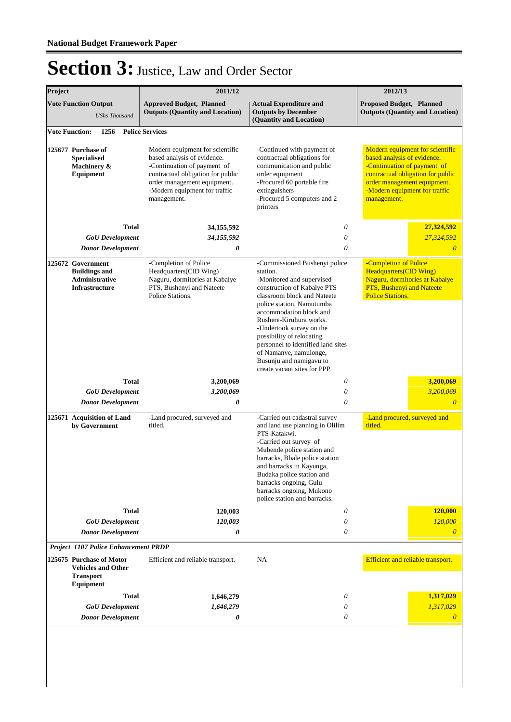| Project                                                                       |                                                                                                                                              | 2011/12                                                                                                                                                                                                           | 2012/13                                                                                                                                                                                                                                                                                                                   |                                                                                                                                                                                                                   |
|-------------------------------------------------------------------------------|----------------------------------------------------------------------------------------------------------------------------------------------|-------------------------------------------------------------------------------------------------------------------------------------------------------------------------------------------------------------------|---------------------------------------------------------------------------------------------------------------------------------------------------------------------------------------------------------------------------------------------------------------------------------------------------------------------------|-------------------------------------------------------------------------------------------------------------------------------------------------------------------------------------------------------------------|
|                                                                               | <b>Vote Function Output</b><br><b>UShs Thousand</b>                                                                                          | <b>Approved Budget, Planned</b><br><b>Outputs (Quantity and Location)</b>                                                                                                                                         | <b>Actual Expenditure and</b><br><b>Proposed Budget, Planned</b><br><b>Outputs by December</b><br>(Quantity and Location)                                                                                                                                                                                                 |                                                                                                                                                                                                                   |
|                                                                               | <b>Vote Function:</b><br>1256                                                                                                                | <b>Police Services</b>                                                                                                                                                                                            |                                                                                                                                                                                                                                                                                                                           |                                                                                                                                                                                                                   |
| 125677 Purchase of<br><b>Specialised</b><br>Machinery &<br>Equipment          |                                                                                                                                              | Modern equipment for scientific<br>based analysis of evidence.<br>-Continuation of payment of<br>contractual obligation for public<br>order management equipment.<br>-Modern equipment for traffic<br>management. | -Continued with payment of<br>contractual obligations for<br>communication and public<br>order equipment<br>-Procured 60 portable fire<br>extinguishers<br>-Procured 5 computers and 2<br>printers                                                                                                                        | Modern equipment for scientific<br>based analysis of evidence.<br>-Continuation of payment of<br>contractual obligation for public<br>order management equipment.<br>-Modern equipment for traffic<br>management. |
|                                                                               | <b>Total</b>                                                                                                                                 | 34,155,592                                                                                                                                                                                                        | 0                                                                                                                                                                                                                                                                                                                         | 27,324,592                                                                                                                                                                                                        |
|                                                                               | <b>GoU</b> Development                                                                                                                       | 34,155,592                                                                                                                                                                                                        | $\theta$                                                                                                                                                                                                                                                                                                                  | 27,324,592                                                                                                                                                                                                        |
|                                                                               | <b>Donor Development</b>                                                                                                                     | 0                                                                                                                                                                                                                 | 0                                                                                                                                                                                                                                                                                                                         | $\theta$                                                                                                                                                                                                          |
| 125672 Government<br><b>Buildings and</b><br>Administrative<br>Infrastructure |                                                                                                                                              | -Completion of Police<br>Headquarters(CID Wing)<br>Naguru, dormitories at Kabalye<br>PTS, Bushenyi and Nateete<br>Police Stations.                                                                                | -Commissioned Bushenyi police<br>station.<br>-Monitored and supervised<br>construction of Kabalye PTS<br>classroom block and Nateete<br>police station, Namutumba<br>accommodation block and                                                                                                                              | -Completion of Police<br><b>Headquarters(CID Wing)</b><br>Naguru, dormitories at Kabalye<br>PTS, Bushenyi and Nateete<br><b>Police Stations.</b>                                                                  |
|                                                                               |                                                                                                                                              |                                                                                                                                                                                                                   | Rushere-Kiruhura works.<br>-Undertook survey on the<br>possibility of relocating<br>personnel to identified land sites<br>of Namanve, namulonge,<br>Busunju and namigavu to<br>create vacant sites for PPP.                                                                                                               |                                                                                                                                                                                                                   |
|                                                                               | <b>Total</b>                                                                                                                                 | 3,200,069                                                                                                                                                                                                         | 0                                                                                                                                                                                                                                                                                                                         | 3,200,069                                                                                                                                                                                                         |
|                                                                               | <b>GoU</b> Development                                                                                                                       | 3,200,069                                                                                                                                                                                                         | 0                                                                                                                                                                                                                                                                                                                         | 3,200,069                                                                                                                                                                                                         |
|                                                                               | <b>Donor Development</b>                                                                                                                     | 0                                                                                                                                                                                                                 | $\theta$                                                                                                                                                                                                                                                                                                                  | $\theta$                                                                                                                                                                                                          |
| 125671 Acquisition of Land<br>by Government                                   |                                                                                                                                              | -Land procured, surveyed and<br>titled.                                                                                                                                                                           | -Carried out cadastral survey<br>and land use planning in Olilim<br>PTS-Katakwi.<br>-Carried out survey of<br>Mubende police station and<br>barracks, Bbale police station<br>and barracks in Kayunga,<br>Budaka police station and<br>barracks ongoing, Gulu<br>barracks ongoing, Mukono<br>police station and barracks. | -Land procured, surveyed and<br>titled.                                                                                                                                                                           |
|                                                                               | <b>Total</b>                                                                                                                                 | 120,003                                                                                                                                                                                                           | 0                                                                                                                                                                                                                                                                                                                         | 120,000                                                                                                                                                                                                           |
|                                                                               | <b>GoU</b> Development<br><b>Donor Development</b>                                                                                           | 120,003<br>0                                                                                                                                                                                                      | 0<br>0                                                                                                                                                                                                                                                                                                                    | 120,000<br>$\theta$                                                                                                                                                                                               |
|                                                                               |                                                                                                                                              |                                                                                                                                                                                                                   |                                                                                                                                                                                                                                                                                                                           |                                                                                                                                                                                                                   |
|                                                                               | <b>Project 1107 Police Enhancement PRDP</b><br>125675 Purchase of Motor<br><b>Vehicles and Other</b><br><b>Transport</b><br><b>Equipment</b> | Efficient and reliable transport.                                                                                                                                                                                 | NA                                                                                                                                                                                                                                                                                                                        | Efficient and reliable transport.                                                                                                                                                                                 |
|                                                                               | <b>Total</b>                                                                                                                                 | 1,646,279                                                                                                                                                                                                         | 0                                                                                                                                                                                                                                                                                                                         | 1,317,029                                                                                                                                                                                                         |
|                                                                               | <b>GoU</b> Development                                                                                                                       | 1,646,279                                                                                                                                                                                                         | 0                                                                                                                                                                                                                                                                                                                         | 1,317,029                                                                                                                                                                                                         |
|                                                                               | <b>Donor Development</b>                                                                                                                     | 0                                                                                                                                                                                                                 | 0                                                                                                                                                                                                                                                                                                                         | $\theta$                                                                                                                                                                                                          |
|                                                                               |                                                                                                                                              |                                                                                                                                                                                                                   |                                                                                                                                                                                                                                                                                                                           |                                                                                                                                                                                                                   |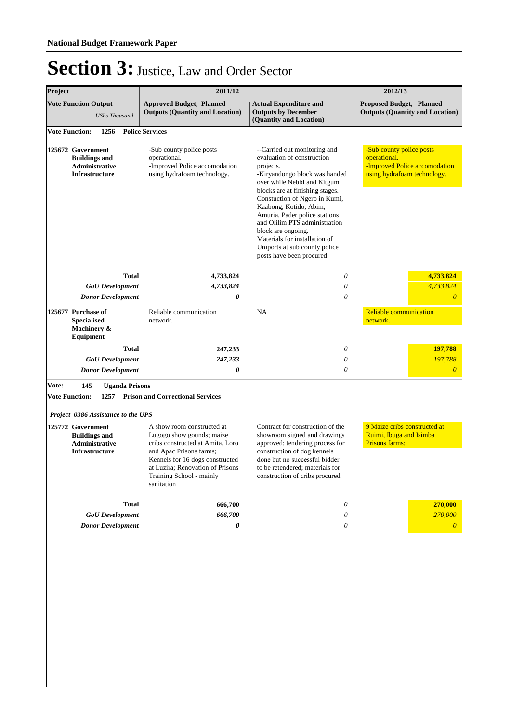| Project                                                                              |                                           | 2011/12                                                                                                                                                                                                                                 |                                                                                                                                                                                                                                                                                                                                                                                                                              | 2012/13                                                                                                  |  |
|--------------------------------------------------------------------------------------|-------------------------------------------|-----------------------------------------------------------------------------------------------------------------------------------------------------------------------------------------------------------------------------------------|------------------------------------------------------------------------------------------------------------------------------------------------------------------------------------------------------------------------------------------------------------------------------------------------------------------------------------------------------------------------------------------------------------------------------|----------------------------------------------------------------------------------------------------------|--|
| <b>Vote Function Output</b><br><b>UShs Thousand</b>                                  |                                           | <b>Approved Budget, Planned</b><br><b>Outputs (Quantity and Location)</b>                                                                                                                                                               | <b>Actual Expenditure and</b><br><b>Outputs by December</b><br>(Quantity and Location)                                                                                                                                                                                                                                                                                                                                       | <b>Proposed Budget, Planned</b><br><b>Outputs (Quantity and Location)</b>                                |  |
|                                                                                      | 1256<br><b>Vote Function:</b>             | <b>Police Services</b>                                                                                                                                                                                                                  |                                                                                                                                                                                                                                                                                                                                                                                                                              |                                                                                                          |  |
| 125672 Government<br><b>Buildings and</b><br>Administrative<br><b>Infrastructure</b> |                                           | -Sub county police posts<br>operational.<br>-Improved Police accomodation<br>using hydrafoam technology.                                                                                                                                | --Carried out monitoring and<br>evaluation of construction<br>projects.<br>-Kiryandongo block was handed<br>over while Nebbi and Kitgum<br>blocks are at finishing stages.<br>Constuction of Ngero in Kumi,<br>Kaabong, Kotido, Abim,<br>Amuria, Pader police stations<br>and Olilim PTS administration<br>block are ongoing.<br>Materials for installation of<br>Uniports at sub county police<br>posts have been procured. | -Sub county police posts<br>operational.<br>-Improved Police accomodation<br>using hydrafoam technology. |  |
|                                                                                      | <b>Total</b>                              | 4,733,824                                                                                                                                                                                                                               | $\theta$                                                                                                                                                                                                                                                                                                                                                                                                                     | 4,733,824                                                                                                |  |
|                                                                                      | <b>GoU</b> Development                    | 4,733,824                                                                                                                                                                                                                               | $\theta$                                                                                                                                                                                                                                                                                                                                                                                                                     | 4,733,824                                                                                                |  |
| <b>Donor Development</b>                                                             |                                           | 0                                                                                                                                                                                                                                       | $\theta$                                                                                                                                                                                                                                                                                                                                                                                                                     | $\overline{0}$                                                                                           |  |
| 125677 Purchase of<br><b>Specialised</b><br>Machinery &<br><b>Equipment</b>          |                                           | Reliable communication<br>network.                                                                                                                                                                                                      | <b>NA</b>                                                                                                                                                                                                                                                                                                                                                                                                                    | <b>Reliable communication</b><br>network.                                                                |  |
|                                                                                      | <b>Total</b>                              | 247,233                                                                                                                                                                                                                                 | 0                                                                                                                                                                                                                                                                                                                                                                                                                            | 197,788                                                                                                  |  |
|                                                                                      | <b>GoU</b> Development                    | 247,233                                                                                                                                                                                                                                 | $\theta$                                                                                                                                                                                                                                                                                                                                                                                                                     | 197,788                                                                                                  |  |
| <b>Donor Development</b>                                                             |                                           | 0                                                                                                                                                                                                                                       | $\theta$                                                                                                                                                                                                                                                                                                                                                                                                                     | $\boldsymbol{\theta}$                                                                                    |  |
| Vote:                                                                                | 145<br><b>Uganda Prisons</b>              |                                                                                                                                                                                                                                         |                                                                                                                                                                                                                                                                                                                                                                                                                              |                                                                                                          |  |
|                                                                                      | <b>Vote Function:</b><br>1257             | <b>Prison and Correctional Services</b>                                                                                                                                                                                                 |                                                                                                                                                                                                                                                                                                                                                                                                                              |                                                                                                          |  |
|                                                                                      | <b>Project 0386 Assistance to the UPS</b> |                                                                                                                                                                                                                                         |                                                                                                                                                                                                                                                                                                                                                                                                                              |                                                                                                          |  |
| 125772 Government<br><b>Buildings and</b><br>Administrative<br><b>Infrastructure</b> |                                           | A show room constructed at<br>Lugogo show gounds; maize<br>cribs constructed at Amita, Loro<br>and Apac Prisons farms;<br>Kennels for 16 dogs constructed<br>at Luzira; Renovation of Prisons<br>Training School - mainly<br>sanitation | Contract for construction of the<br>showroom signed and drawings<br>approved; tendering process for<br>construction of dog kennels<br>done but no successful bidder -<br>to be retendered; materials for<br>construction of cribs procured                                                                                                                                                                                   | 9 Maize cribs constructed at<br>Ruimi, Ibuga and Isimba<br>Prisons farms;                                |  |
|                                                                                      | <b>Total</b>                              | 666,700                                                                                                                                                                                                                                 | 0                                                                                                                                                                                                                                                                                                                                                                                                                            | 270,000                                                                                                  |  |
|                                                                                      | <b>GoU</b> Development                    | 666,700                                                                                                                                                                                                                                 | 0                                                                                                                                                                                                                                                                                                                                                                                                                            | 270,000                                                                                                  |  |
|                                                                                      | <b>Donor Development</b>                  | 0                                                                                                                                                                                                                                       | $\theta$                                                                                                                                                                                                                                                                                                                                                                                                                     | $\boldsymbol{\theta}$                                                                                    |  |
|                                                                                      |                                           |                                                                                                                                                                                                                                         |                                                                                                                                                                                                                                                                                                                                                                                                                              |                                                                                                          |  |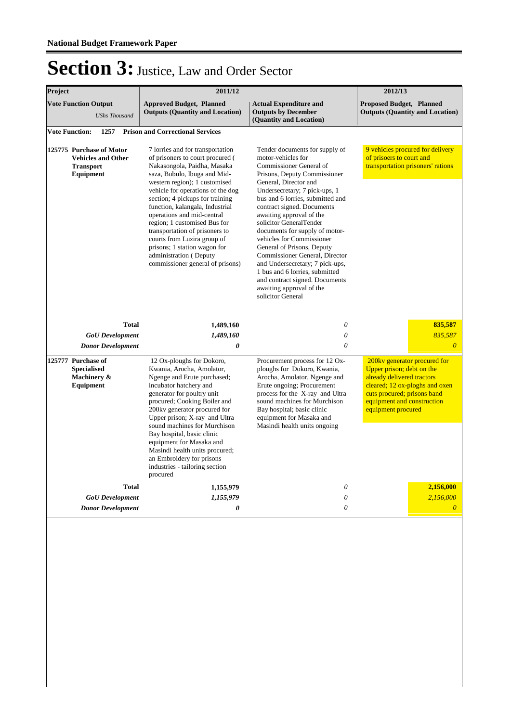| Project                                                                                                                                                                                                                                                                                                                                                                                                                                                                                                                       |                          | 2011/12                                                                                                                                                                                                                                                                                                                                                                                                                                                                                                      | 2012/13                                                                                                                                                                                                                                                                                                                                                                                                                                                                                                                                                                                   |                                                                                                   |  |  |
|-------------------------------------------------------------------------------------------------------------------------------------------------------------------------------------------------------------------------------------------------------------------------------------------------------------------------------------------------------------------------------------------------------------------------------------------------------------------------------------------------------------------------------|--------------------------|--------------------------------------------------------------------------------------------------------------------------------------------------------------------------------------------------------------------------------------------------------------------------------------------------------------------------------------------------------------------------------------------------------------------------------------------------------------------------------------------------------------|-------------------------------------------------------------------------------------------------------------------------------------------------------------------------------------------------------------------------------------------------------------------------------------------------------------------------------------------------------------------------------------------------------------------------------------------------------------------------------------------------------------------------------------------------------------------------------------------|---------------------------------------------------------------------------------------------------|--|--|
| <b>Vote Function Output</b>                                                                                                                                                                                                                                                                                                                                                                                                                                                                                                   | <b>UShs Thousand</b>     | <b>Approved Budget, Planned</b><br><b>Outputs (Quantity and Location)</b>                                                                                                                                                                                                                                                                                                                                                                                                                                    | <b>Actual Expenditure and</b><br><b>Outputs by December</b><br>(Quantity and Location)                                                                                                                                                                                                                                                                                                                                                                                                                                                                                                    | <b>Proposed Budget, Planned</b><br><b>Outputs (Quantity and Location)</b>                         |  |  |
| <b>Vote Function:</b>                                                                                                                                                                                                                                                                                                                                                                                                                                                                                                         |                          | <b>Prison and Correctional Services</b>                                                                                                                                                                                                                                                                                                                                                                                                                                                                      |                                                                                                                                                                                                                                                                                                                                                                                                                                                                                                                                                                                           |                                                                                                   |  |  |
| 1257<br>125775 Purchase of Motor<br><b>Vehicles and Other</b><br><b>Transport</b><br>Equipment                                                                                                                                                                                                                                                                                                                                                                                                                                |                          | 7 lorries and for transportation<br>of prisoners to court procured (<br>Nakasongola, Paidha, Masaka<br>saza, Bubulo, Ibuga and Mid-<br>western region); 1 customised<br>vehicle for operations of the dog<br>section; 4 pickups for training<br>function, kalangala, Industrial<br>operations and mid-central<br>region; 1 customised Bus for<br>transportation of prisoners to<br>courts from Luzira group of<br>prisons; 1 station wagon for<br>administration (Deputy<br>commissioner general of prisons) | Tender documents for supply of<br>motor-vehicles for<br>Commissioner General of<br>Prisons, Deputy Commissioner<br>General, Director and<br>Undersecretary; 7 pick-ups, 1<br>bus and 6 lorries, submitted and<br>contract signed. Documents<br>awaiting approval of the<br>solicitor GeneralTender<br>documents for supply of motor-<br>vehicles for Commissioner<br>General of Prisons, Deputy<br>Commissioner General, Director<br>and Undersecretary; 7 pick-ups,<br>1 bus and 6 lorries, submitted<br>and contract signed. Documents<br>awaiting approval of the<br>solicitor General | 9 vehicles procured for delivery<br>of prisoers to court and<br>transportation prisoners' rations |  |  |
|                                                                                                                                                                                                                                                                                                                                                                                                                                                                                                                               | <b>Total</b>             | 1,489,160                                                                                                                                                                                                                                                                                                                                                                                                                                                                                                    | $\theta$                                                                                                                                                                                                                                                                                                                                                                                                                                                                                                                                                                                  | 835,587                                                                                           |  |  |
|                                                                                                                                                                                                                                                                                                                                                                                                                                                                                                                               | <b>GoU</b> Development   | 1,489,160                                                                                                                                                                                                                                                                                                                                                                                                                                                                                                    | $\theta$                                                                                                                                                                                                                                                                                                                                                                                                                                                                                                                                                                                  | 835.587                                                                                           |  |  |
|                                                                                                                                                                                                                                                                                                                                                                                                                                                                                                                               | <b>Donor Development</b> | 0                                                                                                                                                                                                                                                                                                                                                                                                                                                                                                            | $\theta$                                                                                                                                                                                                                                                                                                                                                                                                                                                                                                                                                                                  | $\Omega$                                                                                          |  |  |
| 125777 Purchase of<br>12 Ox-ploughs for Dokoro,<br>Kwania, Arocha, Amolator,<br><b>Specialised</b><br>Ngenge and Erute purchased;<br>Machinery &<br>Equipment<br>incubator hatchery and<br>generator for poultry unit<br>procured; Cooking Boiler and<br>200kv generator procured for<br>Upper prison; X-ray and Ultra<br>sound machines for Murchison<br>Bay hospital, basic clinic<br>equipment for Masaka and<br>Masindi health units procured;<br>an Embroidery for prisons<br>industries - tailoring section<br>procured |                          | Procurement process for 12 Ox-<br>ploughs for Dokoro, Kwania,<br>Arocha, Amolator, Ngenge and<br>Erute ongoing; Procurement<br>process for the X-ray and Ultra<br>sound machines for Murchison<br>Bay hospital; basic clinic<br>equipment for Masaka and<br>Masindi health units ongoing                                                                                                                                                                                                                     | 200kv generator procured for<br>Upper prison; debt on the<br>already delivered tractors<br>cleared; 12 ox-ploghs and oxen<br>cuts procured; prisons band<br>equipment and construction<br>equipment procured                                                                                                                                                                                                                                                                                                                                                                              |                                                                                                   |  |  |
|                                                                                                                                                                                                                                                                                                                                                                                                                                                                                                                               | <b>Total</b>             | 1,155,979                                                                                                                                                                                                                                                                                                                                                                                                                                                                                                    | $\theta$                                                                                                                                                                                                                                                                                                                                                                                                                                                                                                                                                                                  | 2,156,000                                                                                         |  |  |
| <b>GoU</b> Development<br><b>Donor Development</b>                                                                                                                                                                                                                                                                                                                                                                                                                                                                            |                          | 1,155,979<br>0                                                                                                                                                                                                                                                                                                                                                                                                                                                                                               | $\theta$<br>$\theta$                                                                                                                                                                                                                                                                                                                                                                                                                                                                                                                                                                      | 2,156,000<br>$\overline{\theta}$                                                                  |  |  |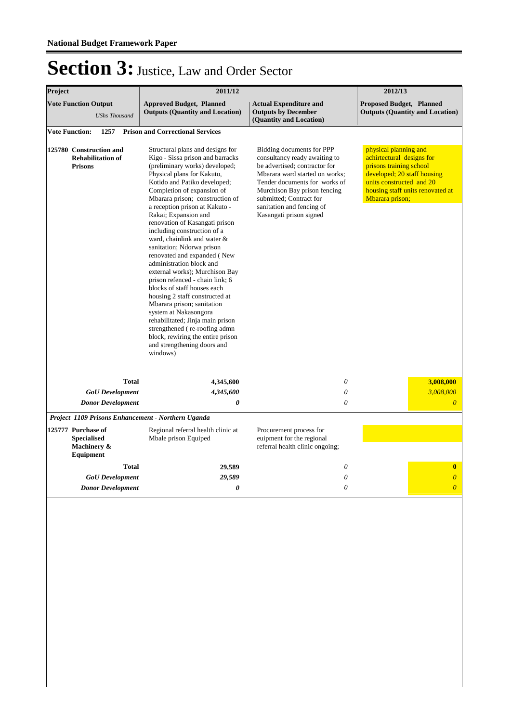| Project                                                               |              | 2011/12                                                                                                                                                                                                                                                                                                                                                                                                                                                                                                                                                                                                                                                                                                                                                                                                                                   |                                                                                                                                                                                                                                                                                   | 2012/13                                                                                                                                                                                         |  |
|-----------------------------------------------------------------------|--------------|-------------------------------------------------------------------------------------------------------------------------------------------------------------------------------------------------------------------------------------------------------------------------------------------------------------------------------------------------------------------------------------------------------------------------------------------------------------------------------------------------------------------------------------------------------------------------------------------------------------------------------------------------------------------------------------------------------------------------------------------------------------------------------------------------------------------------------------------|-----------------------------------------------------------------------------------------------------------------------------------------------------------------------------------------------------------------------------------------------------------------------------------|-------------------------------------------------------------------------------------------------------------------------------------------------------------------------------------------------|--|
| <b>Vote Function Output</b><br><b>UShs Thousand</b>                   |              | <b>Approved Budget, Planned</b><br><b>Outputs (Quantity and Location)</b>                                                                                                                                                                                                                                                                                                                                                                                                                                                                                                                                                                                                                                                                                                                                                                 | <b>Actual Expenditure and</b><br><b>Outputs by December</b><br>(Quantity and Location)                                                                                                                                                                                            | <b>Proposed Budget, Planned</b><br><b>Outputs (Quantity and Location)</b>                                                                                                                       |  |
| <b>Vote Function:</b><br>1257                                         |              | <b>Prison and Correctional Services</b>                                                                                                                                                                                                                                                                                                                                                                                                                                                                                                                                                                                                                                                                                                                                                                                                   |                                                                                                                                                                                                                                                                                   |                                                                                                                                                                                                 |  |
| 125780 Construction and<br><b>Rehabilitation of</b><br><b>Prisons</b> |              | Structural plans and designs for<br>Kigo - Sissa prison and barracks<br>(preliminary works) developed;<br>Physical plans for Kakuto,<br>Kotido and Patiko developed;<br>Completion of expansion of<br>Mbarara prison; construction of<br>a reception prison at Kakuto -<br>Rakai; Expansion and<br>renovation of Kasangati prison<br>including construction of a<br>ward, chainlink and water &<br>sanitation; Ndorwa prison<br>renovated and expanded (New<br>administration block and<br>external works); Murchison Bay<br>prison refenced - chain link; 6<br>blocks of staff houses each<br>housing 2 staff constructed at<br>Mbarara prison; sanitation<br>system at Nakasongora<br>rehabilitated; Jinja main prison<br>strengthened (re-roofing admn<br>block, rewiring the entire prison<br>and strengthening doors and<br>windows) | Bidding documents for PPP<br>consultancy ready awaiting to<br>be advertised; contractor for<br>Mbarara ward started on works;<br>Tender documents for works of<br>Murchison Bay prison fencing<br>submitted; Contract for<br>sanitation and fencing of<br>Kasangati prison signed | physical planning and<br>achirtectural designs for<br>prisons training school<br>developed; 20 staff housing<br>units constructed and 20<br>housing staff units renovated at<br>Mbarara prison; |  |
|                                                                       | <b>Total</b> | 4,345,600                                                                                                                                                                                                                                                                                                                                                                                                                                                                                                                                                                                                                                                                                                                                                                                                                                 | 0                                                                                                                                                                                                                                                                                 | 3,008,000                                                                                                                                                                                       |  |
| <b>GoU</b> Development                                                |              | 4,345,600                                                                                                                                                                                                                                                                                                                                                                                                                                                                                                                                                                                                                                                                                                                                                                                                                                 | 0                                                                                                                                                                                                                                                                                 | 3,008,000                                                                                                                                                                                       |  |
| <b>Donor Development</b>                                              |              | 0                                                                                                                                                                                                                                                                                                                                                                                                                                                                                                                                                                                                                                                                                                                                                                                                                                         | $\theta$                                                                                                                                                                                                                                                                          | $\overline{0}$                                                                                                                                                                                  |  |
| Project 1109 Prisons Enhancement - Northern Uganda                    |              |                                                                                                                                                                                                                                                                                                                                                                                                                                                                                                                                                                                                                                                                                                                                                                                                                                           |                                                                                                                                                                                                                                                                                   |                                                                                                                                                                                                 |  |
| 125777 Purchase of<br><b>Specialised</b><br>Machinery &<br>Equipment  |              | Regional referral health clinic at<br>Mbale prison Equiped                                                                                                                                                                                                                                                                                                                                                                                                                                                                                                                                                                                                                                                                                                                                                                                | Procurement process for<br>euipment for the regional<br>referral health clinic ongoing;                                                                                                                                                                                           |                                                                                                                                                                                                 |  |
|                                                                       | <b>Total</b> | 29,589                                                                                                                                                                                                                                                                                                                                                                                                                                                                                                                                                                                                                                                                                                                                                                                                                                    | $\Omega$                                                                                                                                                                                                                                                                          | $\mathbf{0}$                                                                                                                                                                                    |  |
| <b>GoU</b> Development                                                |              | 29,589                                                                                                                                                                                                                                                                                                                                                                                                                                                                                                                                                                                                                                                                                                                                                                                                                                    | $\theta$                                                                                                                                                                                                                                                                          | $\boldsymbol{\theta}$                                                                                                                                                                           |  |
| <b>Donor Development</b>                                              |              | 0                                                                                                                                                                                                                                                                                                                                                                                                                                                                                                                                                                                                                                                                                                                                                                                                                                         | $\theta$                                                                                                                                                                                                                                                                          | $\overline{0}$                                                                                                                                                                                  |  |
|                                                                       |              |                                                                                                                                                                                                                                                                                                                                                                                                                                                                                                                                                                                                                                                                                                                                                                                                                                           |                                                                                                                                                                                                                                                                                   |                                                                                                                                                                                                 |  |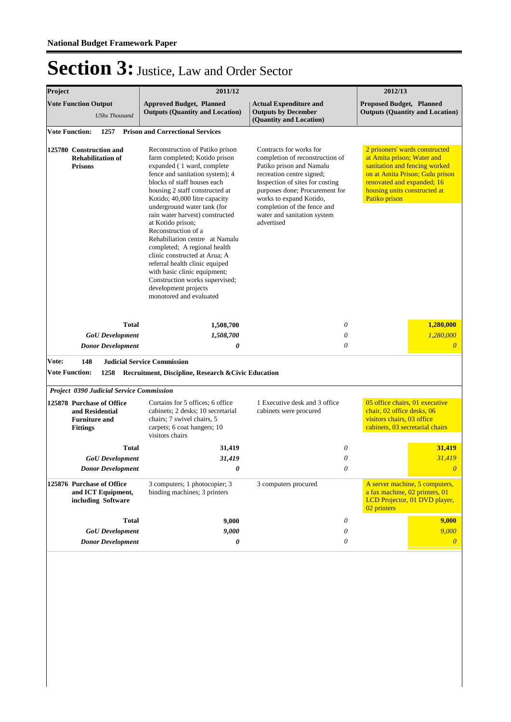| Project                                                                                 | 2011/12                                                                                                                                                                                                                                                                                                                                                                                                                                                                                                                                                                                                     |                                                                                                                                                                                                                                                                                                 | 2012/13                                                                                                                                                                                                         |  |
|-----------------------------------------------------------------------------------------|-------------------------------------------------------------------------------------------------------------------------------------------------------------------------------------------------------------------------------------------------------------------------------------------------------------------------------------------------------------------------------------------------------------------------------------------------------------------------------------------------------------------------------------------------------------------------------------------------------------|-------------------------------------------------------------------------------------------------------------------------------------------------------------------------------------------------------------------------------------------------------------------------------------------------|-----------------------------------------------------------------------------------------------------------------------------------------------------------------------------------------------------------------|--|
| <b>Vote Function Output</b><br><b>UShs Thousand</b>                                     | <b>Approved Budget, Planned</b><br><b>Outputs (Quantity and Location)</b>                                                                                                                                                                                                                                                                                                                                                                                                                                                                                                                                   | <b>Actual Expenditure and</b><br><b>Outputs by December</b><br>(Quantity and Location)                                                                                                                                                                                                          | <b>Proposed Budget, Planned</b><br><b>Outputs (Quantity and Location)</b>                                                                                                                                       |  |
| <b>Vote Function:</b><br>1257                                                           | <b>Prison and Correctional Services</b>                                                                                                                                                                                                                                                                                                                                                                                                                                                                                                                                                                     |                                                                                                                                                                                                                                                                                                 |                                                                                                                                                                                                                 |  |
| 125780 Construction and<br><b>Rehabilitation of</b><br><b>Prisons</b>                   | Reconstruction of Patiko prison<br>farm completed; Kotido prison<br>expanded (1 ward, complete<br>fence and sanitation system); 4<br>blocks of staff houses each<br>housing 2 staff constructed at<br>Kotido; 40,000 litre capacity<br>underground water tank (for<br>rain water harvest) constructed<br>at Kotido prison;<br>Reconstruction of a<br>Rehabiliation centre at Namalu<br>completed; A regional health<br>clinic constructed at Arua; A<br>referral health clinic equiped<br>with basic clinic equipment;<br>Construction works supervised;<br>development projects<br>monotored and evaluated | Contracts for works for<br>completion of reconstruction of<br>Patiko prison and Namalu<br>recreation centre signed;<br>Inspection of sites for costing<br>purposes done; Procurement for<br>works to expand Kotido,<br>completion of the fence and<br>water and sanitation system<br>advertised | 2 prisoners' wards constructed<br>at Amita prison; Water and<br>sanitation and fencing worked<br>on at Amita Prison; Gulu prison<br>renovated and expanded; 16<br>housing units constructed at<br>Patiko prison |  |
| <b>Total</b>                                                                            | 1,508,700                                                                                                                                                                                                                                                                                                                                                                                                                                                                                                                                                                                                   | 0                                                                                                                                                                                                                                                                                               | 1,280,000                                                                                                                                                                                                       |  |
| <b>GoU</b> Development                                                                  | 1,508,700                                                                                                                                                                                                                                                                                                                                                                                                                                                                                                                                                                                                   | 0                                                                                                                                                                                                                                                                                               | 1,280,000                                                                                                                                                                                                       |  |
| <b>Donor Development</b>                                                                | 0                                                                                                                                                                                                                                                                                                                                                                                                                                                                                                                                                                                                           | 0                                                                                                                                                                                                                                                                                               | $\overline{\theta}$                                                                                                                                                                                             |  |
| 148<br>Vote:                                                                            | <b>Judicial Service Commission</b>                                                                                                                                                                                                                                                                                                                                                                                                                                                                                                                                                                          |                                                                                                                                                                                                                                                                                                 |                                                                                                                                                                                                                 |  |
| <b>Vote Function:</b><br>1258                                                           | Recruitment, Discipline, Research & Civic Education                                                                                                                                                                                                                                                                                                                                                                                                                                                                                                                                                         |                                                                                                                                                                                                                                                                                                 |                                                                                                                                                                                                                 |  |
| <b>Project 0390 Judicial Service Commission</b>                                         |                                                                                                                                                                                                                                                                                                                                                                                                                                                                                                                                                                                                             |                                                                                                                                                                                                                                                                                                 |                                                                                                                                                                                                                 |  |
| 125878 Purchase of Office<br>and Residential<br><b>Furniture and</b><br><b>Fittings</b> | Curtains for 5 offices; 6 office<br>cabinets; 2 desks; 10 secretarial<br>chairs; 7 swivel chairs, 5<br>carpets; 6 coat hangers; 10<br>visitors chairs                                                                                                                                                                                                                                                                                                                                                                                                                                                       | 1 Executive desk and 3 office<br>cabinets were procured                                                                                                                                                                                                                                         | 05 office chairs, 01 executive<br>chair, 02 office desks, 06<br>visitors chairs, 03 office<br>cabinets, 03 secretarial chairs                                                                                   |  |
| <b>Total</b>                                                                            | 31,419                                                                                                                                                                                                                                                                                                                                                                                                                                                                                                                                                                                                      | 0                                                                                                                                                                                                                                                                                               | 31,419                                                                                                                                                                                                          |  |
| <b>GoU</b> Development                                                                  | 31,419                                                                                                                                                                                                                                                                                                                                                                                                                                                                                                                                                                                                      | 0                                                                                                                                                                                                                                                                                               | 31,419                                                                                                                                                                                                          |  |
| <b>Donor Development</b>                                                                | 0                                                                                                                                                                                                                                                                                                                                                                                                                                                                                                                                                                                                           | 0                                                                                                                                                                                                                                                                                               | 0                                                                                                                                                                                                               |  |
| 125876 Purchase of Office<br>and ICT Equipment,<br>including Software                   | 3 computers; 1 photocopier; 3<br>binding machines; 3 printers                                                                                                                                                                                                                                                                                                                                                                                                                                                                                                                                               | 3 computers procured                                                                                                                                                                                                                                                                            | A server machine, 5 computers,<br>a fax machine, 02 printers, 01<br>LCD Projector, 01 DVD player,<br>02 printers                                                                                                |  |
| <b>Total</b>                                                                            | 9,000                                                                                                                                                                                                                                                                                                                                                                                                                                                                                                                                                                                                       | 0                                                                                                                                                                                                                                                                                               | 9,000                                                                                                                                                                                                           |  |
| <b>GoU</b> Development                                                                  | 9,000                                                                                                                                                                                                                                                                                                                                                                                                                                                                                                                                                                                                       | 0                                                                                                                                                                                                                                                                                               | 9,000                                                                                                                                                                                                           |  |
| <b>Donor Development</b>                                                                | 0                                                                                                                                                                                                                                                                                                                                                                                                                                                                                                                                                                                                           | 0                                                                                                                                                                                                                                                                                               | $\boldsymbol{\theta}$                                                                                                                                                                                           |  |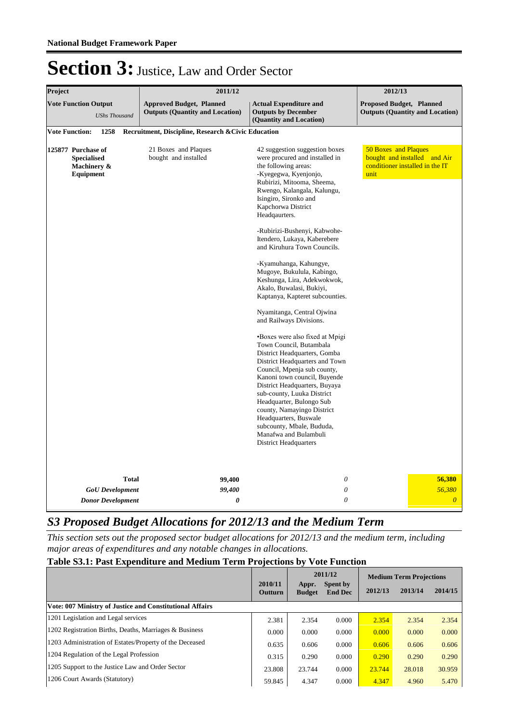| Project                                                              | 2011/12                                                                   | 2012/13                                                                                                                                                                                                                                                                                                                                                                                                                                                                                                                                                                                                                                                                                                                                                                                                                                                                                                                                                                                             |                                 |                                                                 |
|----------------------------------------------------------------------|---------------------------------------------------------------------------|-----------------------------------------------------------------------------------------------------------------------------------------------------------------------------------------------------------------------------------------------------------------------------------------------------------------------------------------------------------------------------------------------------------------------------------------------------------------------------------------------------------------------------------------------------------------------------------------------------------------------------------------------------------------------------------------------------------------------------------------------------------------------------------------------------------------------------------------------------------------------------------------------------------------------------------------------------------------------------------------------------|---------------------------------|-----------------------------------------------------------------|
| <b>Vote Function Output</b><br><b>UShs Thousand</b>                  | <b>Approved Budget, Planned</b><br><b>Outputs (Quantity and Location)</b> | <b>Actual Expenditure and</b><br><b>Outputs by December</b><br>(Quantity and Location)                                                                                                                                                                                                                                                                                                                                                                                                                                                                                                                                                                                                                                                                                                                                                                                                                                                                                                              | <b>Proposed Budget, Planned</b> | <b>Outputs (Quantity and Location)</b>                          |
| <b>Vote Function:</b><br>1258                                        | Recruitment, Discipline, Research & Civic Education                       |                                                                                                                                                                                                                                                                                                                                                                                                                                                                                                                                                                                                                                                                                                                                                                                                                                                                                                                                                                                                     |                                 |                                                                 |
| 125877 Purchase of<br><b>Specialised</b><br>Machinery &<br>Equipment | 21 Boxes and Plaques<br>bought and installed                              | 42 suggestion suggestion boxes<br>were procured and installed in<br>the following areas:<br>-Kyegegwa, Kyenjonjo,<br>Rubirizi, Mitooma, Sheema,<br>Rwengo, Kalangala, Kalungu,<br>Isingiro, Sironko and<br>Kapchorwa District<br>Headqaurters.<br>-Rubirizi-Bushenyi, Kabwohe-<br>Itendero, Lukaya, Kaberebere<br>and Kiruhura Town Councils.<br>-Kyamuhanga, Kahungye,<br>Mugoye, Bukulula, Kabingo,<br>Keshunga, Lira, Adekwokwok,<br>Akalo, Buwalasi, Bukiyi,<br>Kaptanya, Kapteret subcounties.<br>Nyamitanga, Central Ojwina<br>and Railways Divisions.<br>•Boxes were also fixed at Mpigi<br>Town Council, Butambala<br>District Headquarters, Gomba<br>District Headquarters and Town<br>Council, Mpenja sub county,<br>Kanoni town council, Buyende<br>District Headquarters, Buyaya<br>sub-county, Luuka District<br>Headquarter, Bulongo Sub<br>county, Namayingo District<br>Headquarters, Buswale<br>subcounty, Mbale, Bududa,<br>Manafwa and Bulambuli<br><b>District Headquarters</b> | 50 Boxes and Plaques<br>unit    | bought and installed and Air<br>conditioner installed in the IT |
| <b>Total</b>                                                         | 99,400                                                                    | 0                                                                                                                                                                                                                                                                                                                                                                                                                                                                                                                                                                                                                                                                                                                                                                                                                                                                                                                                                                                                   |                                 | 56,380                                                          |
| <b>GoU</b> Development                                               | 99,400                                                                    | 0                                                                                                                                                                                                                                                                                                                                                                                                                                                                                                                                                                                                                                                                                                                                                                                                                                                                                                                                                                                                   |                                 | 56,380                                                          |
| <b>Donor Development</b>                                             | $\boldsymbol{\theta}$                                                     | 0                                                                                                                                                                                                                                                                                                                                                                                                                                                                                                                                                                                                                                                                                                                                                                                                                                                                                                                                                                                                   |                                 | $\overline{\theta}$                                             |

#### *S3 Proposed Budget Allocations for 2012/13 and the Medium Term*

*This section sets out the proposed sector budget allocations for 2012/13 and the medium term, including major areas of expenditures and any notable changes in allocations.* 

#### **Table S3.1: Past Expenditure and Medium Term Projections by Vote Function**

|                                                                 |                    |               | 2011/12                             |        | <b>Medium Term Projections</b> |         |
|-----------------------------------------------------------------|--------------------|---------------|-------------------------------------|--------|--------------------------------|---------|
|                                                                 | 2010/11<br>Outturn | <b>Budget</b> | Spent by<br>Appr.<br><b>End Dec</b> |        | 2013/14                        | 2014/15 |
| <b>Vote: 007 Ministry of Justice and Constitutional Affairs</b> |                    |               |                                     |        |                                |         |
| 1201 Legislation and Legal services                             | 2.381              | 2.354         | 0.000                               | 2.354  | 2.354                          | 2.354   |
| 1202 Registration Births, Deaths, Marriages & Business          | 0.000              | 0.000         | 0.000                               | 0.000  | 0.000                          | 0.000   |
| 1203 Administration of Estates/Property of the Deceased         | 0.635              | 0.606         | 0.000                               | 0.606  | 0.606                          | 0.606   |
| 1204 Regulation of the Legal Profession                         | 0.315              | 0.290         | 0.000                               | 0.290  | 0.290                          | 0.290   |
| 1205 Support to the Justice Law and Order Sector                | 23.808             | 23.744        | 0.000                               | 23.744 | 28.018                         | 30.959  |
| 1206 Court Awards (Statutory)                                   | 59.845             | 4.347         | 0.000                               | 4.347  | 4.960                          | 5.470   |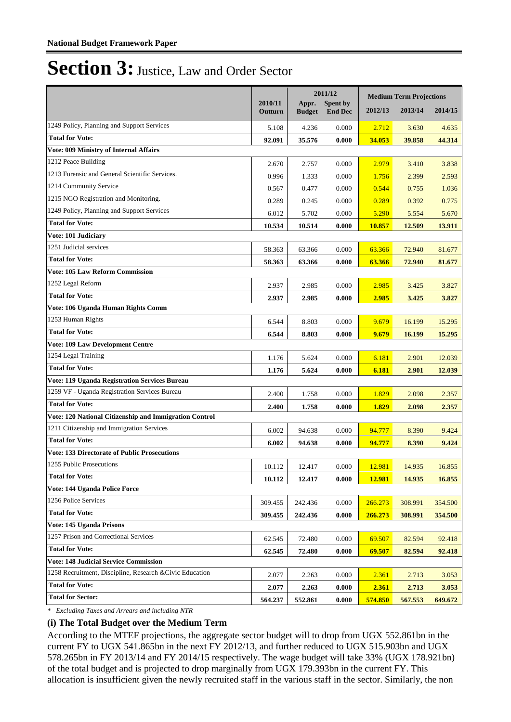|                                                          |                    | 2011/12                |                            |               | <b>Medium Term Projections</b> |         |  |
|----------------------------------------------------------|--------------------|------------------------|----------------------------|---------------|--------------------------------|---------|--|
|                                                          | 2010/11<br>Outturn | Appr.<br><b>Budget</b> | Spent by<br><b>End Dec</b> | 2012/13       | 2013/14                        | 2014/15 |  |
|                                                          |                    |                        |                            |               |                                |         |  |
| 1249 Policy, Planning and Support Services               | 5.108              | 4.236                  | 0.000                      | 2.712         | 3.630                          | 4.635   |  |
| <b>Total for Vote:</b>                                   | 92.091             | 35.576                 | 0.000                      | 34.053        | 39.858                         | 44.314  |  |
| <b>Vote: 009 Ministry of Internal Affairs</b>            |                    |                        |                            |               |                                |         |  |
| 1212 Peace Building                                      | 2.670              | 2.757                  | 0.000                      | 2.979         | 3.410                          | 3.838   |  |
| 1213 Forensic and General Scientific Services.           | 0.996              | 1.333                  | 0.000                      | 1.756         | 2.399                          | 2.593   |  |
| 1214 Community Service                                   | 0.567              | 0.477                  | 0.000                      | 0.544         | 0.755                          | 1.036   |  |
| 1215 NGO Registration and Monitoring.                    | 0.289              | 0.245                  | 0.000                      | 0.289         | 0.392                          | 0.775   |  |
| 1249 Policy, Planning and Support Services               | 6.012              | 5.702                  | 0.000                      | 5.290         | 5.554                          | 5.670   |  |
| <b>Total for Vote:</b>                                   | 10.534             | 10.514                 | 0.000                      | <b>10.857</b> | 12.509                         | 13.911  |  |
| Vote: 101 Judiciary                                      |                    |                        |                            |               |                                |         |  |
| 1251 Judicial services                                   | 58.363             | 63.366                 | 0.000                      | 63.366        | 72.940                         | 81.677  |  |
| <b>Total for Vote:</b>                                   | 58.363             | 63.366                 | 0.000                      | 63.366        | 72.940                         | 81.677  |  |
| <b>Vote: 105 Law Reform Commission</b>                   |                    |                        |                            |               |                                |         |  |
| 1252 Legal Reform                                        | 2.937              | 2.985                  | 0.000                      | 2.985         | 3.425                          | 3.827   |  |
| <b>Total for Vote:</b>                                   | 2.937              | 2.985                  | 0.000                      | 2.985         | 3.425                          | 3.827   |  |
| Vote: 106 Uganda Human Rights Comm                       |                    |                        |                            |               |                                |         |  |
| 1253 Human Rights                                        | 6.544              | 8.803                  | 0.000                      | 9.679         | 16.199                         | 15.295  |  |
| <b>Total for Vote:</b>                                   | 6.544              | 8.803                  | 0.000                      | 9.679         | 16.199                         | 15.295  |  |
| <b>Vote: 109 Law Development Centre</b>                  |                    |                        |                            |               |                                |         |  |
| 1254 Legal Training                                      | 1.176              | 5.624                  | 0.000                      | 6.181         | 2.901                          | 12.039  |  |
| <b>Total for Vote:</b>                                   | 1.176              | 5.624                  | 0.000                      | 6.181         | 2.901                          | 12.039  |  |
| <b>Vote: 119 Uganda Registration Services Bureau</b>     |                    |                        |                            |               |                                |         |  |
| 1259 VF - Uganda Registration Services Bureau            | 2.400              | 1.758                  | 0.000                      | 1.829         | 2.098                          | 2.357   |  |
| <b>Total for Vote:</b>                                   | 2.400              | 1.758                  | 0.000                      | 1.829         | 2.098                          | 2.357   |  |
| Vote: 120 National Citizenship and Immigration Control   |                    |                        |                            |               |                                |         |  |
| 1211 Citizenship and Immigration Services                | 6.002              | 94.638                 | 0.000                      | 94.777        | 8.390                          | 9.424   |  |
| <b>Total for Vote:</b>                                   | 6.002              | 94.638                 | 0.000                      | 94.777        | 8.390                          | 9.424   |  |
| <b>Vote: 133 Directorate of Public Prosecutions</b>      |                    |                        |                            |               |                                |         |  |
| 1255 Public Prosecutions                                 | 10.112             | 12.417                 | 0.000                      | 12.981        | 14.935                         | 16.855  |  |
| <b>Total for Vote:</b>                                   | 10.112             | 12.417                 | 0.000                      | 12.981        | 14.935                         | 16.855  |  |
| Vote: 144 Uganda Police Force                            |                    |                        |                            |               |                                |         |  |
| 1256 Police Services                                     | 309.455            | 242.436                | 0.000                      | 266.273       | 308.991                        | 354.500 |  |
| <b>Total for Vote:</b>                                   | 309.455            | 242.436                | 0.000                      | 266.273       | 308.991                        | 354.500 |  |
| Vote: 145 Uganda Prisons                                 |                    |                        |                            |               |                                |         |  |
| 1257 Prison and Correctional Services                    | 62.545             | 72.480                 | 0.000                      | 69.507        | 82.594                         | 92.418  |  |
| <b>Total for Vote:</b>                                   | 62.545             | 72.480                 | 0.000                      | 69.507        | 82.594                         | 92.418  |  |
| <b>Vote: 148 Judicial Service Commission</b>             |                    |                        |                            |               |                                |         |  |
| 1258 Recruitment, Discipline, Research & Civic Education | 2.077              | 2.263                  | 0.000                      | 2.361         | 2.713                          | 3.053   |  |
| <b>Total for Vote:</b>                                   | 2.077              | 2.263                  | 0.000                      | 2.361         | 2.713                          | 3.053   |  |
| <b>Total for Sector:</b>                                 | 564.237            | 552.861                | 0.000                      | 574.850       | 567.553                        | 649.672 |  |

*\* Excluding Taxes and Arrears and including NTR*

#### **(i) The Total Budget over the Medium Term**

According to the MTEF projections, the aggregate sector budget will to drop from UGX 552.861bn in the current FY to UGX 541.865bn in the next FY 2012/13, and further reduced to UGX 515.903bn and UGX 578.265bn in FY 2013/14 and FY 2014/15 respectively. The wage budget will take 33% (UGX 178.921bn) of the total budget and is projected to drop marginally from UGX 179.393bn in the current FY. This allocation is insufficient given the newly recruited staff in the various staff in the sector. Similarly, the non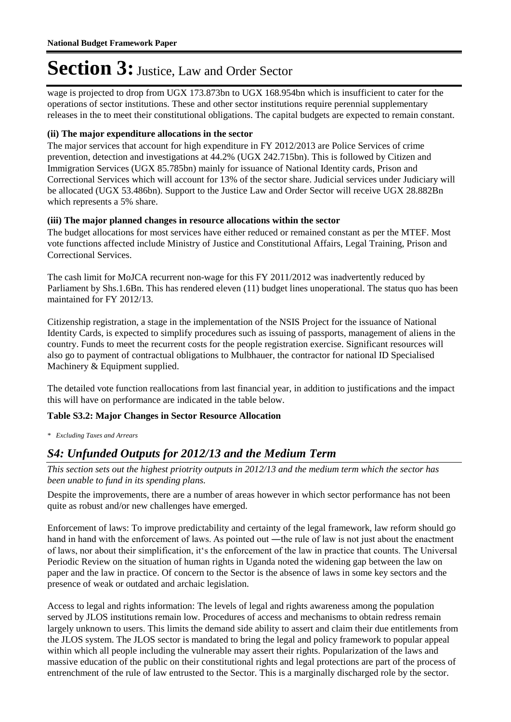wage is projected to drop from UGX 173.873bn to UGX 168.954bn which is insufficient to cater for the operations of sector institutions. These and other sector institutions require perennial supplementary releases in the to meet their constitutional obligations. The capital budgets are expected to remain constant.

#### **(ii) The major expenditure allocations in the sector**

The major services that account for high expenditure in FY 2012/2013 are Police Services of crime prevention, detection and investigations at 44.2% (UGX 242.715bn). This is followed by Citizen and Immigration Services (UGX 85.785bn) mainly for issuance of National Identity cards, Prison and Correctional Services which will account for 13% of the sector share. Judicial services under Judiciary will be allocated (UGX 53.486bn). Support to the Justice Law and Order Sector will receive UGX 28.882Bn which represents a 5% share.

#### **(iii) The major planned changes in resource allocations within the sector**

The budget allocations for most services have either reduced or remained constant as per the MTEF. Most vote functions affected include Ministry of Justice and Constitutional Affairs, Legal Training, Prison and Correctional Services.

The cash limit for MoJCA recurrent non-wage for this FY 2011/2012 was inadvertently reduced by Parliament by Shs.1.6Bn. This has rendered eleven (11) budget lines unoperational. The status quo has been maintained for FY 2012/13.

Citizenship registration, a stage in the implementation of the NSIS Project for the issuance of National Identity Cards, is expected to simplify procedures such as issuing of passports, management of aliens in the country. Funds to meet the recurrent costs for the people registration exercise. Significant resources will also go to payment of contractual obligations to Mulbhauer, the contractor for national ID Specialised Machinery & Equipment supplied.

The detailed vote function reallocations from last financial year, in addition to justifications and the impact this will have on performance are indicated in the table below.

#### **Table S3.2: Major Changes in Sector Resource Allocation**

*\* Excluding Taxes and Arrears*

#### *S4: Unfunded Outputs for 2012/13 and the Medium Term*

*This section sets out the highest priotrity outputs in 2012/13 and the medium term which the sector has been unable to fund in its spending plans.*

Despite the improvements, there are a number of areas however in which sector performance has not been quite as robust and/or new challenges have emerged.

Enforcement of laws: To improve predictability and certainty of the legal framework, law reform should go hand in hand with the enforcement of laws. As pointed out —the rule of law is not just about the enactment of laws, nor about their simplification, it"s the enforcement of the law in practice that counts. The Universal Periodic Review on the situation of human rights in Uganda noted the widening gap between the law on paper and the law in practice. Of concern to the Sector is the absence of laws in some key sectors and the presence of weak or outdated and archaic legislation.

Access to legal and rights information: The levels of legal and rights awareness among the population served by JLOS institutions remain low. Procedures of access and mechanisms to obtain redress remain largely unknown to users. This limits the demand side ability to assert and claim their due entitlements from the JLOS system. The JLOS sector is mandated to bring the legal and policy framework to popular appeal within which all people including the vulnerable may assert their rights. Popularization of the laws and massive education of the public on their constitutional rights and legal protections are part of the process of entrenchment of the rule of law entrusted to the Sector. This is a marginally discharged role by the sector.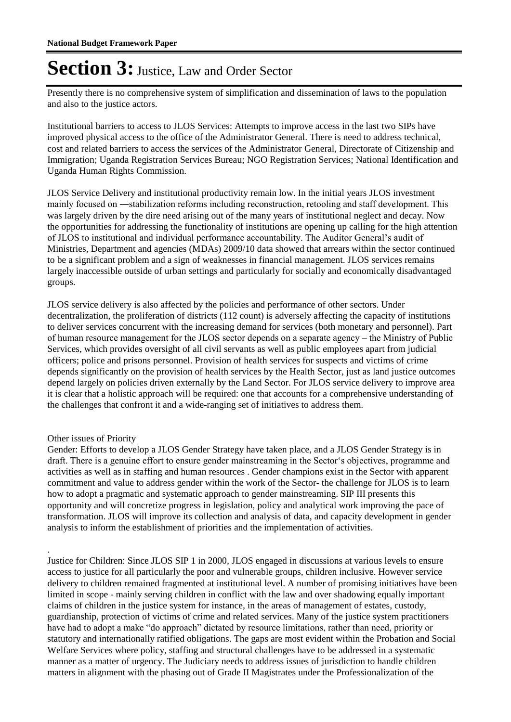Presently there is no comprehensive system of simplification and dissemination of laws to the population and also to the justice actors.

Institutional barriers to access to JLOS Services: Attempts to improve access in the last two SIPs have improved physical access to the office of the Administrator General. There is need to address technical, cost and related barriers to access the services of the Administrator General, Directorate of Citizenship and Immigration; Uganda Registration Services Bureau; NGO Registration Services; National Identification and Uganda Human Rights Commission.

JLOS Service Delivery and institutional productivity remain low. In the initial years JLOS investment mainly focused on ―stabilization reforms including reconstruction, retooling and staff development. This was largely driven by the dire need arising out of the many years of institutional neglect and decay. Now the opportunities for addressing the functionality of institutions are opening up calling for the high attention of JLOS to institutional and individual performance accountability. The Auditor General"s audit of Ministries, Department and agencies (MDAs) 2009/10 data showed that arrears within the sector continued to be a significant problem and a sign of weaknesses in financial management. JLOS services remains largely inaccessible outside of urban settings and particularly for socially and economically disadvantaged groups.

JLOS service delivery is also affected by the policies and performance of other sectors. Under decentralization, the proliferation of districts (112 count) is adversely affecting the capacity of institutions to deliver services concurrent with the increasing demand for services (both monetary and personnel). Part of human resource management for the JLOS sector depends on a separate agency – the Ministry of Public Services, which provides oversight of all civil servants as well as public employees apart from judicial officers; police and prisons personnel. Provision of health services for suspects and victims of crime depends significantly on the provision of health services by the Health Sector, just as land justice outcomes depend largely on policies driven externally by the Land Sector. For JLOS service delivery to improve area it is clear that a holistic approach will be required: one that accounts for a comprehensive understanding of the challenges that confront it and a wide-ranging set of initiatives to address them.

#### Other issues of Priority

.

Gender: Efforts to develop a JLOS Gender Strategy have taken place, and a JLOS Gender Strategy is in draft. There is a genuine effort to ensure gender mainstreaming in the Sector"s objectives, programme and activities as well as in staffing and human resources . Gender champions exist in the Sector with apparent commitment and value to address gender within the work of the Sector- the challenge for JLOS is to learn how to adopt a pragmatic and systematic approach to gender mainstreaming. SIP III presents this opportunity and will concretize progress in legislation, policy and analytical work improving the pace of transformation. JLOS will improve its collection and analysis of data, and capacity development in gender analysis to inform the establishment of priorities and the implementation of activities.

Justice for Children: Since JLOS SIP 1 in 2000, JLOS engaged in discussions at various levels to ensure access to justice for all particularly the poor and vulnerable groups, children inclusive. However service delivery to children remained fragmented at institutional level. A number of promising initiatives have been limited in scope - mainly serving children in conflict with the law and over shadowing equally important claims of children in the justice system for instance, in the areas of management of estates, custody, guardianship, protection of victims of crime and related services. Many of the justice system practitioners have had to adopt a make "do approach" dictated by resource limitations, rather than need, priority or statutory and internationally ratified obligations. The gaps are most evident within the Probation and Social Welfare Services where policy, staffing and structural challenges have to be addressed in a systematic manner as a matter of urgency. The Judiciary needs to address issues of jurisdiction to handle children matters in alignment with the phasing out of Grade II Magistrates under the Professionalization of the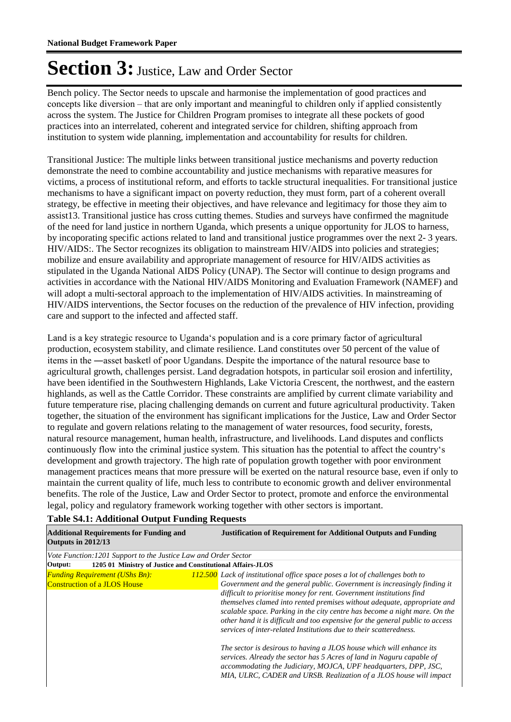Bench policy. The Sector needs to upscale and harmonise the implementation of good practices and concepts like diversion – that are only important and meaningful to children only if applied consistently across the system. The Justice for Children Program promises to integrate all these pockets of good practices into an interrelated, coherent and integrated service for children, shifting approach from institution to system wide planning, implementation and accountability for results for children.

Transitional Justice: The multiple links between transitional justice mechanisms and poverty reduction demonstrate the need to combine accountability and justice mechanisms with reparative measures for victims, a process of institutional reform, and efforts to tackle structural inequalities. For transitional justice mechanisms to have a significant impact on poverty reduction, they must form, part of a coherent overall strategy, be effective in meeting their objectives, and have relevance and legitimacy for those they aim to assist13. Transitional justice has cross cutting themes. Studies and surveys have confirmed the magnitude of the need for land justice in northern Uganda, which presents a unique opportunity for JLOS to harness, by incoporating specific actions related to land and transitional justice programmes over the next 2- 3 years. HIV/AIDS:. The Sector recognizes its obligation to mainstream HIV/AIDS into policies and strategies; mobilize and ensure availability and appropriate management of resource for HIV/AIDS activities as stipulated in the Uganda National AIDS Policy (UNAP). The Sector will continue to design programs and activities in accordance with the National HIV/AIDS Monitoring and Evaluation Framework (NAMEF) and will adopt a multi-sectoral approach to the implementation of HIV/AIDS activities. In mainstreaming of HIV/AIDS interventions, the Sector focuses on the reduction of the prevalence of HIV infection, providing care and support to the infected and affected staff.

Land is a key strategic resource to Uganda"s population and is a core primary factor of agricultural production, ecosystem stability, and climate resilience. Land constitutes over 50 percent of the value of items in the ―asset basket‖ of poor Ugandans. Despite the importance of the natural resource base to agricultural growth, challenges persist. Land degradation hotspots, in particular soil erosion and infertility, have been identified in the Southwestern Highlands, Lake Victoria Crescent, the northwest, and the eastern highlands, as well as the Cattle Corridor. These constraints are amplified by current climate variability and future temperature rise, placing challenging demands on current and future agricultural productivity. Taken together, the situation of the environment has significant implications for the Justice, Law and Order Sector to regulate and govern relations relating to the management of water resources, food security, forests, natural resource management, human health, infrastructure, and livelihoods. Land disputes and conflicts continuously flow into the criminal justice system. This situation has the potential to affect the country"s development and growth trajectory. The high rate of population growth together with poor environment management practices means that more pressure will be exerted on the natural resource base, even if only to maintain the current quality of life, much less to contribute to economic growth and deliver environmental benefits. The role of the Justice, Law and Order Sector to protect, promote and enforce the environmental legal, policy and regulatory framework working together with other sectors is important.

| <b>Table S4.1: Additional Output Funding Requests</b> |                                                                                                                                                                                                                                                                                                                                                                                                                                     |                                 |
|-------------------------------------------------------|-------------------------------------------------------------------------------------------------------------------------------------------------------------------------------------------------------------------------------------------------------------------------------------------------------------------------------------------------------------------------------------------------------------------------------------|---------------------------------|
|                                                       | <b>Additional Requirements for Funding and</b><br>$\bigcap$ $\bigcap$ $\bigcap$ $\bigcap$ $\bigcap$ $\bigcap$ $\bigcap$ $\bigcap$ $\bigcap$ $\bigcap$ $\bigcap$ $\bigcap$ $\bigcap$ $\bigcap$ $\bigcap$ $\bigcap$ $\bigcap$ $\bigcap$ $\bigcap$ $\bigcap$ $\bigcap$ $\bigcap$ $\bigcap$ $\bigcap$ $\bigcap$ $\bigcap$ $\bigcap$ $\bigcap$ $\bigcap$ $\bigcap$ $\bigcap$ $\bigcap$ $\bigcap$ $\bigcap$ $\bigcap$ $\bigcap$ $\bigcap$ | <b>Justification of Require</b> |

| <b>Additional Requirements for Funding and</b><br><b>Outputs in 2012/13</b>  |  | <b>Justification of Requirement for Additional Outputs and Funding</b>                                                                                                                                                                                                                                                                                                                                                                                                                                                                                                                                                                                                                                                                                                                                                                      |  |  |
|------------------------------------------------------------------------------|--|---------------------------------------------------------------------------------------------------------------------------------------------------------------------------------------------------------------------------------------------------------------------------------------------------------------------------------------------------------------------------------------------------------------------------------------------------------------------------------------------------------------------------------------------------------------------------------------------------------------------------------------------------------------------------------------------------------------------------------------------------------------------------------------------------------------------------------------------|--|--|
| Vote Function:1201 Support to the Justice Law and Order Sector               |  |                                                                                                                                                                                                                                                                                                                                                                                                                                                                                                                                                                                                                                                                                                                                                                                                                                             |  |  |
| 1205 01 Ministry of Justice and Constitutional Affairs-JLOS<br>Output:       |  |                                                                                                                                                                                                                                                                                                                                                                                                                                                                                                                                                                                                                                                                                                                                                                                                                                             |  |  |
| <b>Funding Requirement (UShs Bn):</b><br><b>Construction of a JLOS House</b> |  | 112.500 Lack of institutional office space poses a lot of challenges both to<br>Government and the general public. Government is increasingly finding it<br>difficult to prioritise money for rent. Government institutions find<br>themselves clamed into rented premises without adequate, appropriate and<br>scalable space. Parking in the city centre has become a night mare. On the<br>other hand it is difficult and too expensive for the general public to access<br>services of inter-related Institutions due to their scatteredness.<br>The sector is desirous to having a JLOS house which will enhance its<br>services. Already the sector has 5 Acres of land in Naguru capable of<br>accommodating the Judiciary, MOJCA, UPF headquarters, DPP, JSC,<br>MIA, ULRC, CADER and URSB. Realization of a JLOS house will impact |  |  |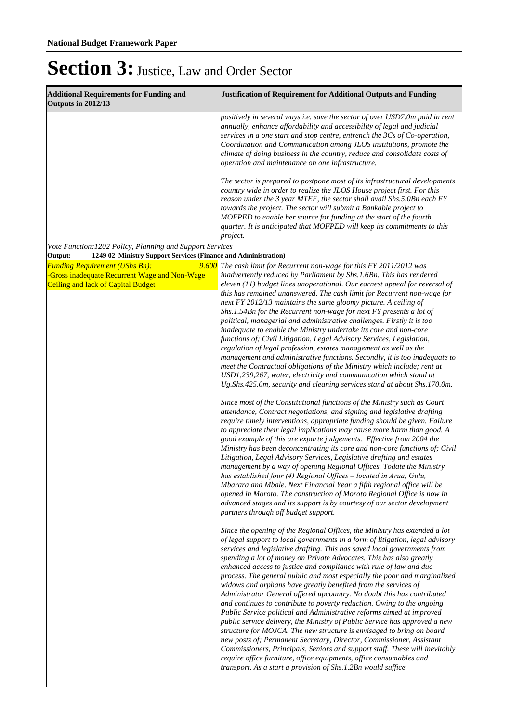| <b>Additional Requirements for Funding and</b><br>Outputs in 2012/13                                                                | <b>Justification of Requirement for Additional Outputs and Funding</b>                                                                                                                                                                                                                                                                                                                                                                                                                                                                                                                                                                                                                                                                                                                                                                                                                                                                                                                                                                                                                                                                                                                                                |
|-------------------------------------------------------------------------------------------------------------------------------------|-----------------------------------------------------------------------------------------------------------------------------------------------------------------------------------------------------------------------------------------------------------------------------------------------------------------------------------------------------------------------------------------------------------------------------------------------------------------------------------------------------------------------------------------------------------------------------------------------------------------------------------------------------------------------------------------------------------------------------------------------------------------------------------------------------------------------------------------------------------------------------------------------------------------------------------------------------------------------------------------------------------------------------------------------------------------------------------------------------------------------------------------------------------------------------------------------------------------------|
|                                                                                                                                     | positively in several ways i.e. save the sector of over USD7.0m paid in rent<br>annually, enhance affordability and accessibility of legal and judicial<br>services in a one start and stop centre, entrench the 3Cs of Co-operation,<br>Coordination and Communication among JLOS institutions, promote the<br>climate of doing business in the country, reduce and consolidate costs of<br>operation and maintenance on one infrastructure.                                                                                                                                                                                                                                                                                                                                                                                                                                                                                                                                                                                                                                                                                                                                                                         |
|                                                                                                                                     | The sector is prepared to postpone most of its infrastructural developments<br>country wide in order to realize the JLOS House project first. For this<br>reason under the 3 year MTEF, the sector shall avail Shs.5.0Bn each FY<br>towards the project. The sector will submit a Bankable project to<br>MOFPED to enable her source for funding at the start of the fourth<br>quarter. It is anticipated that MOFPED will keep its commitments to this<br>project.                                                                                                                                                                                                                                                                                                                                                                                                                                                                                                                                                                                                                                                                                                                                                   |
| Vote Function: 1202 Policy, Planning and Support Services                                                                           |                                                                                                                                                                                                                                                                                                                                                                                                                                                                                                                                                                                                                                                                                                                                                                                                                                                                                                                                                                                                                                                                                                                                                                                                                       |
| Output:<br>1249 02 Ministry Support Services (Finance and Administration)                                                           |                                                                                                                                                                                                                                                                                                                                                                                                                                                                                                                                                                                                                                                                                                                                                                                                                                                                                                                                                                                                                                                                                                                                                                                                                       |
| <b>Funding Requirement (UShs Bn):</b><br>-Gross inadequate Recurrent Wage and Non-Wage<br><b>Ceiling and lack of Capital Budget</b> | 9.600 The cash limit for Recurrent non-wage for this FY 2011/2012 was<br>inadvertently reduced by Parliament by Shs.1.6Bn. This has rendered<br>eleven $(11)$ budget lines unoperational. Our earnest appeal for reversal of<br>this has remained unanswered. The cash limit for Recurrent non-wage for<br>next FY 2012/13 maintains the same gloomy picture. A ceiling of<br>Shs.1.54Bn for the Recurrent non-wage for next FY presents a lot of<br>political, managerial and administrative challenges. Firstly it is too<br>inadequate to enable the Ministry undertake its core and non-core<br>functions of; Civil Litigation, Legal Advisory Services, Legislation,<br>regulation of legal profession, estates management as well as the<br>management and administrative functions. Secondly, it is too inadequate to<br>meet the Contractual obligations of the Ministry which include; rent at<br>USD1,239,267, water, electricity and communication which stand at<br>Ug.Shs.425.0m, security and cleaning services stand at about Shs.170.0m.<br>Since most of the Constitutional functions of the Ministry such as Court                                                                                  |
|                                                                                                                                     | attendance, Contract negotiations, and signing and legislative drafting<br>require timely interventions, appropriate funding should be given. Failure<br>to appreciate their legal implications may cause more harm than good. A<br>good example of this are exparte judgements. Effective from 2004 the<br>Ministry has been deconcentrating its core and non-core functions of; Civil<br>Litigation, Legal Advisory Services, Legislative drafting and estates<br>management by a way of opening Regional Offices. Todate the Ministry<br>has established four (4) Regional Offices - located in Arua, Gulu,<br>Mbarara and Mbale. Next Financial Year a fifth regional office will be<br>opened in Moroto. The construction of Moroto Regional Office is now in<br>advanced stages and its support is by courtesy of our sector development<br>partners through off budget support.                                                                                                                                                                                                                                                                                                                                |
|                                                                                                                                     | Since the opening of the Regional Offices, the Ministry has extended a lot<br>of legal support to local governments in a form of litigation, legal advisory<br>services and legislative drafting. This has saved local governments from<br>spending a lot of money on Private Advocates. This has also greatly<br>enhanced access to justice and compliance with rule of law and due<br>process. The general public and most especially the poor and marginalized<br>widows and orphans have greatly benefited from the services of<br>Administrator General offered upcountry. No doubt this has contributed<br>and continues to contribute to poverty reduction. Owing to the ongoing<br>Public Service political and Administrative reforms aimed at improved<br>public service delivery, the Ministry of Public Service has approved a new<br>structure for MOJCA. The new structure is envisaged to bring on board<br>new posts of; Permanent Secretary, Director, Commissioner, Assistant<br>Commissioners, Principals, Seniors and support staff. These will inevitably<br>require office furniture, office equipments, office consumables and<br>transport. As a start a provision of Shs.1.2Bn would suffice |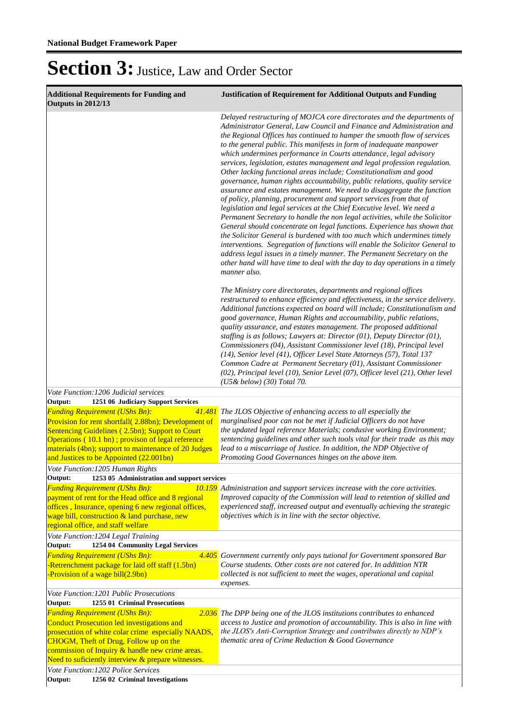| <b>Additional Requirements for Funding and</b><br>Outputs in 2012/13                                                                                                                                                                                                                                                                                                | <b>Justification of Requirement for Additional Outputs and Funding</b>                                                                                                                                                                                                                                                                                                                                                                                                                                                                                                                                                                                                                                                                                                                                                                                                                                                                                                                                                                                                                                                                                                                                                                                                                                                                 |
|---------------------------------------------------------------------------------------------------------------------------------------------------------------------------------------------------------------------------------------------------------------------------------------------------------------------------------------------------------------------|----------------------------------------------------------------------------------------------------------------------------------------------------------------------------------------------------------------------------------------------------------------------------------------------------------------------------------------------------------------------------------------------------------------------------------------------------------------------------------------------------------------------------------------------------------------------------------------------------------------------------------------------------------------------------------------------------------------------------------------------------------------------------------------------------------------------------------------------------------------------------------------------------------------------------------------------------------------------------------------------------------------------------------------------------------------------------------------------------------------------------------------------------------------------------------------------------------------------------------------------------------------------------------------------------------------------------------------|
|                                                                                                                                                                                                                                                                                                                                                                     | Delayed restructuring of MOJCA core directorates and the departments of<br>Administrator General, Law Council and Finance and Administration and<br>the Regional Offices has continued to hamper the smooth flow of services<br>to the general public. This manifests in form of inadequate manpower<br>which undermines performance in Courts attendance, legal advisory<br>services, legislation, estates management and legal profession regulation.<br>Other lacking functional areas include; Constitutionalism and good<br>governance, human rights accountability, public relations, quality service<br>assurance and estates management. We need to disaggregate the function<br>of policy, planning, procurement and support services from that of<br>legislation and legal services at the Chief Executive level. We need a<br>Permanent Secretary to handle the non legal activities, while the Solicitor<br>General should concentrate on legal functions. Experience has shown that<br>the Solicitor General is burdened with too much which undermines timely<br>interventions. Segregation of functions will enable the Solicitor General to<br>address legal issues in a timely manner. The Permanent Secretary on the<br>other hand will have time to deal with the day to day operations in a timely<br>manner also. |
|                                                                                                                                                                                                                                                                                                                                                                     | The Ministry core directorates, departments and regional offices<br>restructured to enhance efficiency and effectiveness, in the service delivery.<br>Additional functions expected on board will include; Constitutionalism and<br>good governance, Human Rights and accountability, public relations,<br>quality assurance, and estates management. The proposed additional<br>staffing is as follows; Lawyers at: Director (01), Deputy Director (01),<br>Commissioners (04), Assistant Commissioner level (18), Principal level<br>(14), Senior level (41), Officer Level State Attorneys (57), Total 137<br>Common Cadre at Permanent Secretary (01), Assistant Commissioner<br>(02), Principal level (10), Senior Level (07), Officer level (21), Other level<br>$(U5&\text{below})$ (30) Total 70.                                                                                                                                                                                                                                                                                                                                                                                                                                                                                                                              |
| Vote Function: 1206 Judicial services                                                                                                                                                                                                                                                                                                                               |                                                                                                                                                                                                                                                                                                                                                                                                                                                                                                                                                                                                                                                                                                                                                                                                                                                                                                                                                                                                                                                                                                                                                                                                                                                                                                                                        |
| Output:<br>1251 06 Judiciary Support Services<br><b>Funding Requirement (UShs Bn):</b><br>41.481<br>Provision for rent shortfall(2.88bn); Development of<br>Sentencing Guidelines (2.5bn); Support to Court<br>Operations (10.1 bn); provison of legal reference<br>materials (4bn); support to maintenance of 20 Judges<br>and Justices to be Appointed (22.001bn) | The JLOS Objective of enhancing access to all especially the<br>marginalised poor can not be met if Judicial Officers do not have<br>the updated legal reference Materials; condusive working Environment;<br>sentencing guidelines and other such tools vital for their trade as this may<br>lead to a miscarriage of Justice. In addition, the NDP Objective of<br>Promoting Good Governances hinges on the above item.                                                                                                                                                                                                                                                                                                                                                                                                                                                                                                                                                                                                                                                                                                                                                                                                                                                                                                              |
| Vote Function: 1205 Human Rights<br>1253 05 Administration and support services<br>Output:                                                                                                                                                                                                                                                                          |                                                                                                                                                                                                                                                                                                                                                                                                                                                                                                                                                                                                                                                                                                                                                                                                                                                                                                                                                                                                                                                                                                                                                                                                                                                                                                                                        |
| <b>Funding Requirement (UShs Bn):</b><br>10.159<br>payment of rent for the Head office and 8 regional<br>offices, Insurance, opening 6 new regional offices,<br>wage bill, construction & land purchase, new<br>regional office, and staff welfare                                                                                                                  | Administration and support services increase with the core activities.<br>Improved capacity of the Commission will lead to retention of skilled and<br>experienced staff, increased output and eventually achieving the strategic<br>objectives which is in line with the sector objective.                                                                                                                                                                                                                                                                                                                                                                                                                                                                                                                                                                                                                                                                                                                                                                                                                                                                                                                                                                                                                                            |
| Vote Function: 1204 Legal Training                                                                                                                                                                                                                                                                                                                                  |                                                                                                                                                                                                                                                                                                                                                                                                                                                                                                                                                                                                                                                                                                                                                                                                                                                                                                                                                                                                                                                                                                                                                                                                                                                                                                                                        |
| Output:<br>1254 04 Community Legal Services<br><b>Funding Requirement (UShs Bn):</b><br>-Retrenchment package for laid off staff (1.5bn)<br>Provision of a wage bill(2.9bn)                                                                                                                                                                                         | 4.405 Government currently only pays tutional for Government sponsored Bar<br>Course students. Other costs are not catered for. In addittion NTR<br>collected is not sufficient to meet the wages, operational and capital<br>expenses.                                                                                                                                                                                                                                                                                                                                                                                                                                                                                                                                                                                                                                                                                                                                                                                                                                                                                                                                                                                                                                                                                                |
| Vote Function: 1201 Public Prosecutions                                                                                                                                                                                                                                                                                                                             |                                                                                                                                                                                                                                                                                                                                                                                                                                                                                                                                                                                                                                                                                                                                                                                                                                                                                                                                                                                                                                                                                                                                                                                                                                                                                                                                        |
| 1255 01 Criminal Prosecutions<br>Output:<br><b>Funding Requirement (UShs Bn):</b><br>Conduct Prosecution led investigations and<br>prosecution of white colar crime especially NAADS,<br>CHOGM, Theft of Drug, Follow up on the<br>commission of Inquiry & handle new crime areas.<br>Need to suficiently interview & prepare witnesses.                            | 2.036 The DPP being one of the JLOS institutions contributes to enhanced<br>access to Justice and promotion of accountability. This is also in line with<br>the JLOS's Anti-Corruption Strategy and contributes directly to NDP's<br>thematic area of Crime Reduction & Good Governance                                                                                                                                                                                                                                                                                                                                                                                                                                                                                                                                                                                                                                                                                                                                                                                                                                                                                                                                                                                                                                                |
| Vote Function: 1202 Police Services<br>Output:<br>1256 02 Criminal Investigations                                                                                                                                                                                                                                                                                   |                                                                                                                                                                                                                                                                                                                                                                                                                                                                                                                                                                                                                                                                                                                                                                                                                                                                                                                                                                                                                                                                                                                                                                                                                                                                                                                                        |